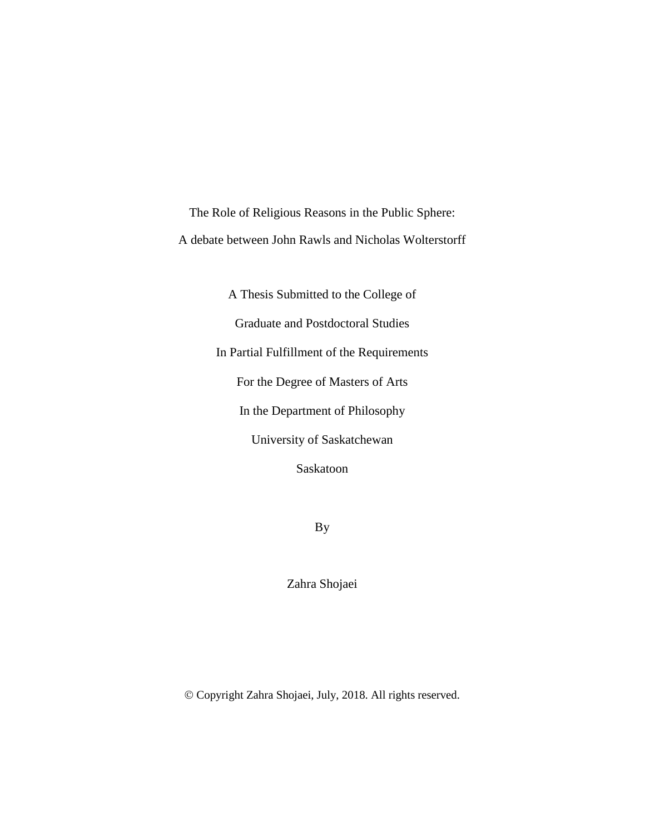<span id="page-0-0"></span>The Role of Religious Reasons in the Public Sphere: A debate between John Rawls and Nicholas Wolterstorff

> A Thesis Submitted to the College of Graduate and Postdoctoral Studies In Partial Fulfillment of the Requirements For the Degree of Masters of Arts In the Department of Philosophy University of Saskatchewan Saskatoon

> > By

Zahra Shojaei

Copyright Zahra Shojaei, July, 2018. All rights reserved.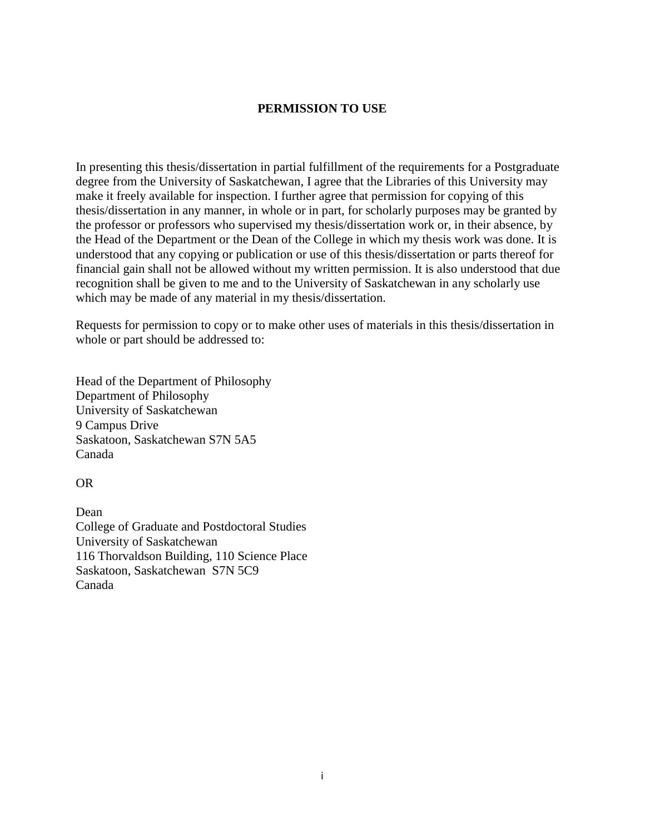## **PERMISSION TO USE**

In presenting this thesis/dissertation in partial fulfillment of the requirements for a Postgraduate degree from the University of Saskatchewan, I agree that the Libraries of this University may make it freely available for inspection. I further agree that permission for copying of this thesis/dissertation in any manner, in whole or in part, for scholarly purposes may be granted by the professor or professors who supervised my thesis/dissertation work or, in their absence, by the Head of the Department or the Dean of the College in which my thesis work was done. It is understood that any copying or publication or use of this thesis/dissertation or parts thereof for financial gain shall not be allowed without my written permission. It is also understood that due recognition shall be given to me and to the University of Saskatchewan in any scholarly use which may be made of any material in my thesis/dissertation.

Requests for permission to copy or to make other uses of materials in this thesis/dissertation in whole or part should be addressed to:

Head of the Department of Philosophy Department of Philosophy University of Saskatchewan 9 Campus Drive Saskatoon, Saskatchewan S7N 5A5 Canada

OR

Dean College of Graduate and Postdoctoral Studies University of Saskatchewan 116 Thorvaldson Building, 110 Science Place Saskatoon, Saskatchewan S7N 5C9 Canada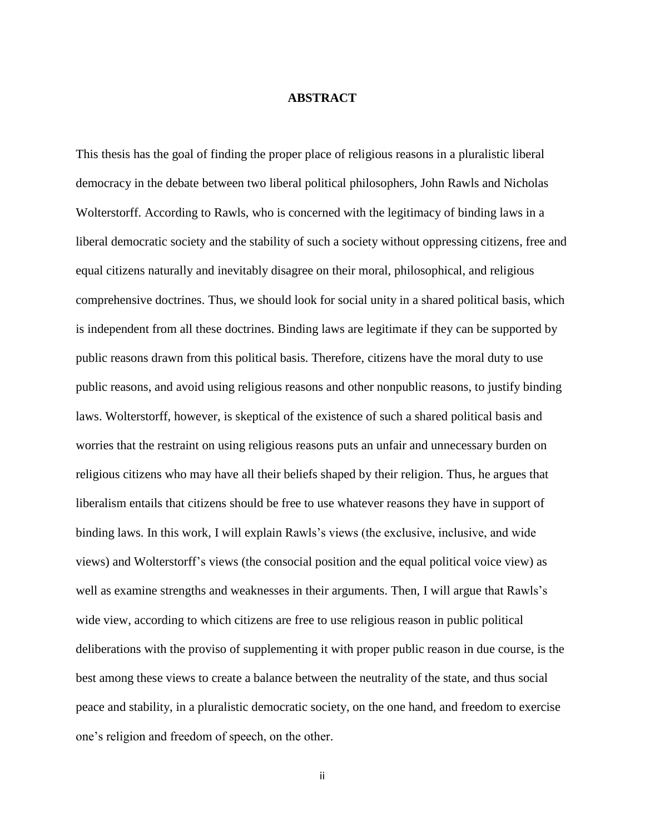## **ABSTRACT**

<span id="page-2-0"></span>This thesis has the goal of finding the proper place of religious reasons in a pluralistic liberal democracy in the debate between two liberal political philosophers, John Rawls and Nicholas Wolterstorff. According to Rawls, who is concerned with the legitimacy of binding laws in a liberal democratic society and the stability of such a society without oppressing citizens, free and equal citizens naturally and inevitably disagree on their moral, philosophical, and religious comprehensive doctrines. Thus, we should look for social unity in a shared political basis, which is independent from all these doctrines. Binding laws are legitimate if they can be supported by public reasons drawn from this political basis. Therefore, citizens have the moral duty to use public reasons, and avoid using religious reasons and other nonpublic reasons, to justify binding laws. Wolterstorff, however, is skeptical of the existence of such a shared political basis and worries that the restraint on using religious reasons puts an unfair and unnecessary burden on religious citizens who may have all their beliefs shaped by their religion. Thus, he argues that liberalism entails that citizens should be free to use whatever reasons they have in support of binding laws. In this work, I will explain Rawls's views (the exclusive, inclusive, and wide views) and Wolterstorff's views (the consocial position and the equal political voice view) as well as examine strengths and weaknesses in their arguments. Then, I will argue that Rawls's wide view, according to which citizens are free to use religious reason in public political deliberations with the proviso of supplementing it with proper public reason in due course, is the best among these views to create a balance between the neutrality of the state, and thus social peace and stability, in a pluralistic democratic society, on the one hand, and freedom to exercise one's religion and freedom of speech, on the other.

ii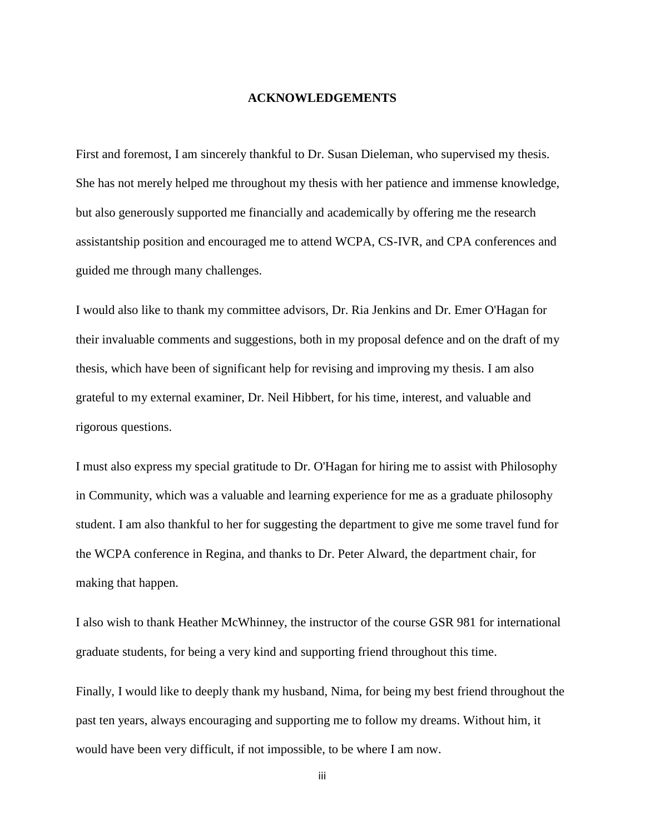#### **ACKNOWLEDGEMENTS**

<span id="page-3-0"></span>First and foremost, I am sincerely thankful to Dr. Susan Dieleman, who supervised my thesis. She has not merely helped me throughout my thesis with her patience and immense knowledge, but also generously supported me financially and academically by offering me the research assistantship position and encouraged me to attend WCPA, CS-IVR, and CPA conferences and guided me through many challenges.

I would also like to thank my committee advisors, Dr. Ria Jenkins and Dr. Emer O'Hagan for their invaluable comments and suggestions, both in my proposal defence and on the draft of my thesis, which have been of significant help for revising and improving my thesis. I am also grateful to my external examiner, Dr. Neil Hibbert, for his time, interest, and valuable and rigorous questions.

I must also express my special gratitude to Dr. O'Hagan for hiring me to assist with Philosophy in Community, which was a valuable and learning experience for me as a graduate philosophy student. I am also thankful to her for suggesting the department to give me some travel fund for the WCPA conference in Regina, and thanks to Dr. Peter Alward, the department chair, for making that happen.

I also wish to thank Heather McWhinney, the instructor of the course GSR 981 for international graduate students, for being a very kind and supporting friend throughout this time.

Finally, I would like to deeply thank my husband, Nima, for being my best friend throughout the past ten years, always encouraging and supporting me to follow my dreams. Without him, it would have been very difficult, if not impossible, to be where I am now.

iii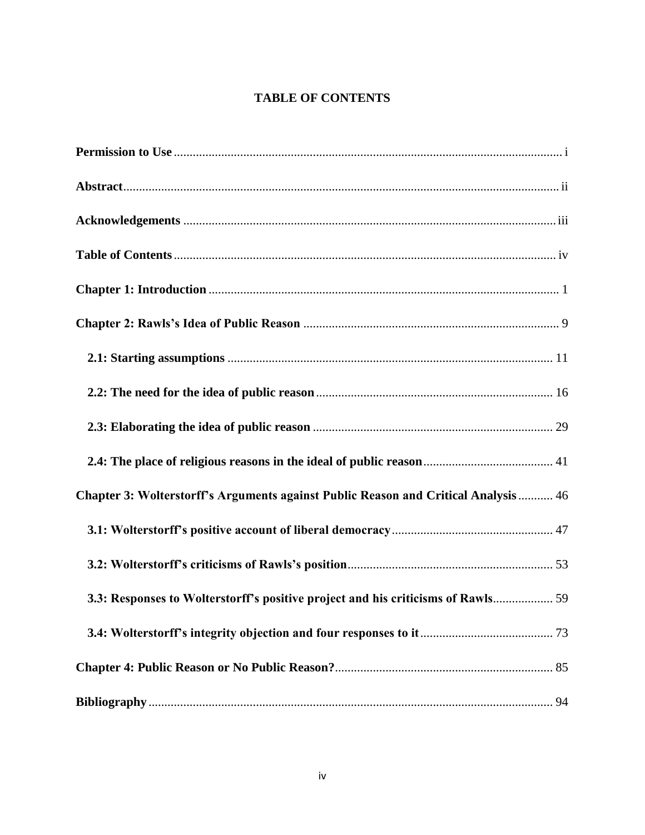# **TABLE OF CONTENTS**

<span id="page-4-0"></span>

| Chapter 3: Wolterstorff's Arguments against Public Reason and Critical Analysis  46 |  |
|-------------------------------------------------------------------------------------|--|
|                                                                                     |  |
|                                                                                     |  |
| 3.3: Responses to Wolterstorff's positive project and his criticisms of Rawls 59    |  |
|                                                                                     |  |
|                                                                                     |  |
|                                                                                     |  |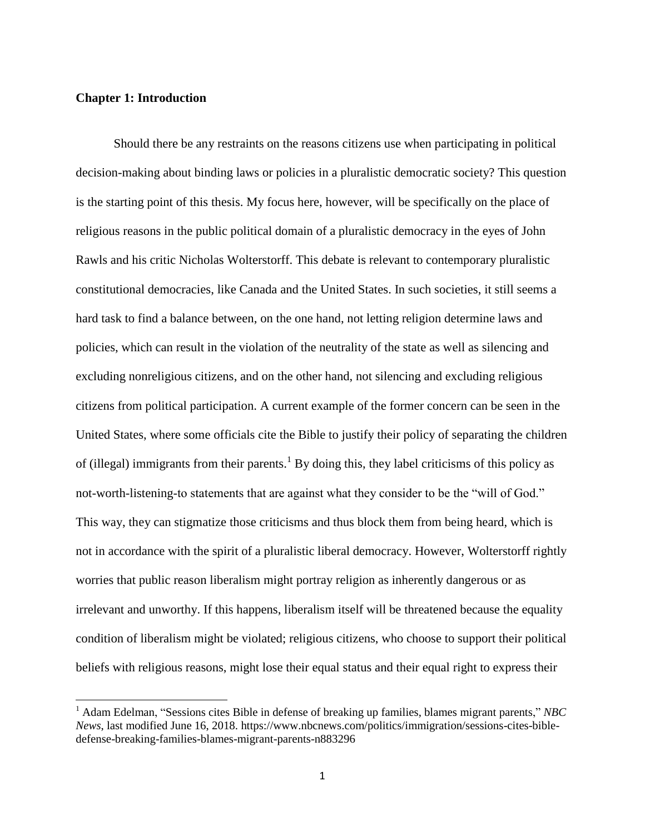## <span id="page-5-0"></span>**Chapter 1: Introduction**

l

Should there be any restraints on the reasons citizens use when participating in political decision-making about binding laws or policies in a pluralistic democratic society? This question is the starting point of this thesis. My focus here, however, will be specifically on the place of religious reasons in the public political domain of a pluralistic democracy in the eyes of John Rawls and his critic Nicholas Wolterstorff. This debate is relevant to contemporary pluralistic constitutional democracies, like Canada and the United States. In such societies, it still seems a hard task to find a balance between, on the one hand, not letting religion determine laws and policies, which can result in the violation of the neutrality of the state as well as silencing and excluding nonreligious citizens, and on the other hand, not silencing and excluding religious citizens from political participation. A current example of the former concern can be seen in the United States, where some officials cite the Bible to justify their policy of separating the children of (illegal) immigrants from their parents.<sup>1</sup> By doing this, they label criticisms of this policy as not-worth-listening-to statements that are against what they consider to be the "will of God." This way, they can stigmatize those criticisms and thus block them from being heard, which is not in accordance with the spirit of a pluralistic liberal democracy. However, Wolterstorff rightly worries that public reason liberalism might portray religion as inherently dangerous or as irrelevant and unworthy. If this happens, liberalism itself will be threatened because the equality condition of liberalism might be violated; religious citizens, who choose to support their political beliefs with religious reasons, might lose their equal status and their equal right to express their

<sup>1</sup> Adam Edelman, "Sessions cites Bible in defense of breaking up families, blames migrant parents," *NBC News*, last modified June 16, 2018. https://www.nbcnews.com/politics/immigration/sessions-cites-bibledefense-breaking-families-blames-migrant-parents-n883296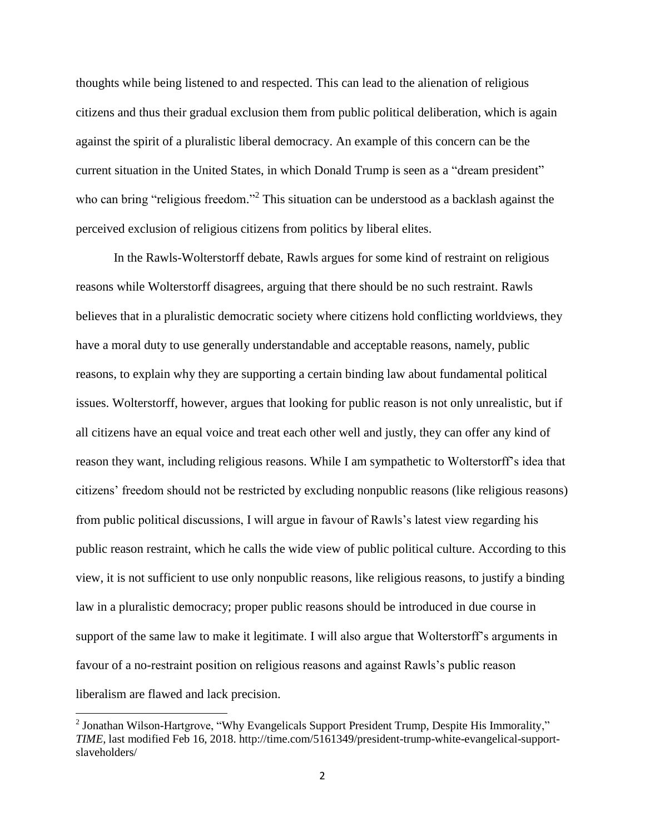thoughts while being listened to and respected. This can lead to the alienation of religious citizens and thus their gradual exclusion them from public political deliberation, which is again against the spirit of a pluralistic liberal democracy. An example of this concern can be the current situation in the United States, in which Donald Trump is seen as a "dream president" who can bring "religious freedom."<sup>2</sup> This situation can be understood as a backlash against the perceived exclusion of religious citizens from politics by liberal elites.

In the Rawls-Wolterstorff debate, Rawls argues for some kind of restraint on religious reasons while Wolterstorff disagrees, arguing that there should be no such restraint. Rawls believes that in a pluralistic democratic society where citizens hold conflicting worldviews, they have a moral duty to use generally understandable and acceptable reasons, namely, public reasons, to explain why they are supporting a certain binding law about fundamental political issues. Wolterstorff, however, argues that looking for public reason is not only unrealistic, but if all citizens have an equal voice and treat each other well and justly, they can offer any kind of reason they want, including religious reasons. While I am sympathetic to Wolterstorff's idea that citizens' freedom should not be restricted by excluding nonpublic reasons (like religious reasons) from public political discussions, I will argue in favour of Rawls's latest view regarding his public reason restraint, which he calls the wide view of public political culture. According to this view, it is not sufficient to use only nonpublic reasons, like religious reasons, to justify a binding law in a pluralistic democracy; proper public reasons should be introduced in due course in support of the same law to make it legitimate. I will also argue that Wolterstorff's arguments in favour of a no-restraint position on religious reasons and against Rawls's public reason liberalism are flawed and lack precision.

<sup>&</sup>lt;sup>2</sup> Jonathan Wilson-Hartgrove, "Why Evangelicals Support President Trump, Despite His Immorality," *TIME*, last modified Feb 16, 2018. http://time.com/5161349/president-trump-white-evangelical-supportslaveholders/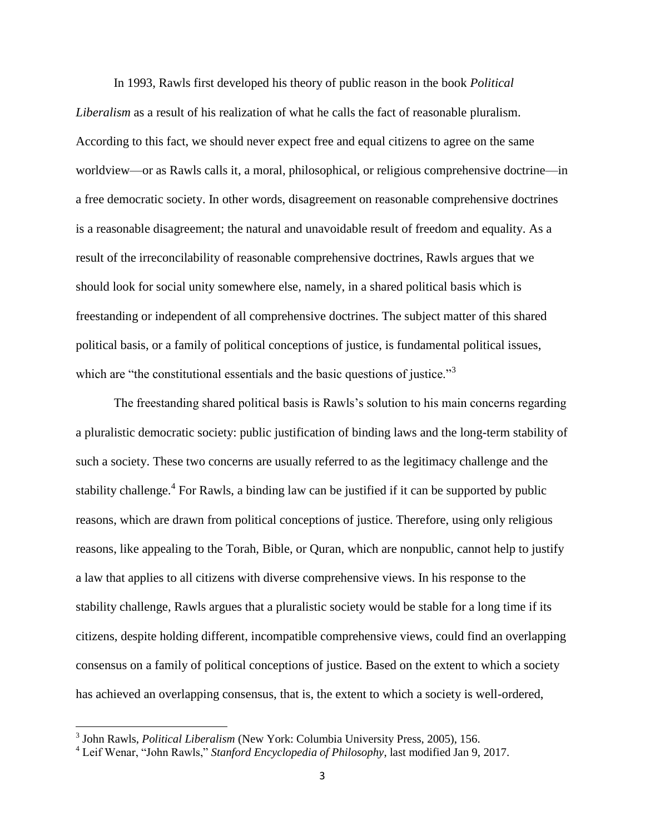In 1993, Rawls first developed his theory of public reason in the book *Political Liberalism* as a result of his realization of what he calls the fact of reasonable pluralism. According to this fact, we should never expect free and equal citizens to agree on the same worldview—or as Rawls calls it, a moral, philosophical, or religious comprehensive doctrine—in a free democratic society. In other words, disagreement on reasonable comprehensive doctrines is a reasonable disagreement; the natural and unavoidable result of freedom and equality. As a result of the irreconcilability of reasonable comprehensive doctrines, Rawls argues that we should look for social unity somewhere else, namely, in a shared political basis which is freestanding or independent of all comprehensive doctrines. The subject matter of this shared political basis, or a family of political conceptions of justice, is fundamental political issues, which are "the constitutional essentials and the basic questions of justice."<sup>3</sup>

The freestanding shared political basis is Rawls's solution to his main concerns regarding a pluralistic democratic society: public justification of binding laws and the long-term stability of such a society. These two concerns are usually referred to as the legitimacy challenge and the stability challenge.<sup>4</sup> For Rawls, a binding law can be justified if it can be supported by public reasons, which are drawn from political conceptions of justice. Therefore, using only religious reasons, like appealing to the Torah, Bible, or Quran, which are nonpublic, cannot help to justify a law that applies to all citizens with diverse comprehensive views. In his response to the stability challenge, Rawls argues that a pluralistic society would be stable for a long time if its citizens, despite holding different, incompatible comprehensive views, could find an overlapping consensus on a family of political conceptions of justice. Based on the extent to which a society has achieved an overlapping consensus, that is, the extent to which a society is well-ordered,

<sup>3</sup> John Rawls, *Political Liberalism* (New York: Columbia University Press, 2005), 156.

<sup>4</sup> Leif Wenar, "John Rawls," *Stanford Encyclopedia of Philosophy*, last modified Jan 9, 2017.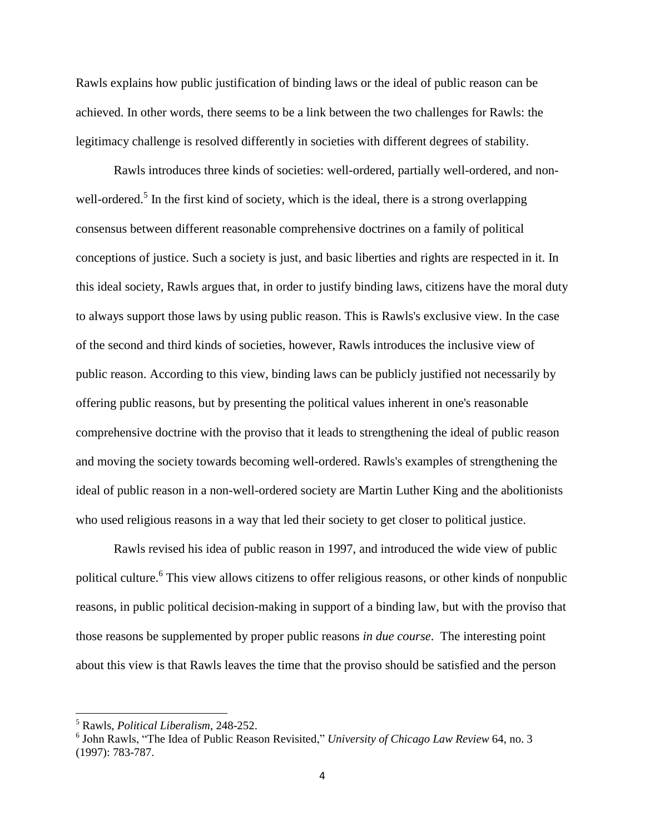Rawls explains how public justification of binding laws or the ideal of public reason can be achieved. In other words, there seems to be a link between the two challenges for Rawls: the legitimacy challenge is resolved differently in societies with different degrees of stability.

Rawls introduces three kinds of societies: well-ordered, partially well-ordered, and nonwell-ordered.<sup>5</sup> In the first kind of society, which is the ideal, there is a strong overlapping consensus between different reasonable comprehensive doctrines on a family of political conceptions of justice. Such a society is just, and basic liberties and rights are respected in it. In this ideal society, Rawls argues that, in order to justify binding laws, citizens have the moral duty to always support those laws by using public reason. This is Rawls's exclusive view. In the case of the second and third kinds of societies, however, Rawls introduces the inclusive view of public reason. According to this view, binding laws can be publicly justified not necessarily by offering public reasons, but by presenting the political values inherent in one's reasonable comprehensive doctrine with the proviso that it leads to strengthening the ideal of public reason and moving the society towards becoming well-ordered. Rawls's examples of strengthening the ideal of public reason in a non-well-ordered society are Martin Luther King and the abolitionists who used religious reasons in a way that led their society to get closer to political justice.

Rawls revised his idea of public reason in 1997, and introduced the wide view of public political culture.<sup>6</sup> This view allows citizens to offer religious reasons, or other kinds of nonpublic reasons, in public political decision-making in support of a binding law, but with the proviso that those reasons be supplemented by proper public reasons *in due course*. The interesting point about this view is that Rawls leaves the time that the proviso should be satisfied and the person

<sup>5</sup> Rawls, *Political Liberalism*, 248-252.

<sup>6</sup> John Rawls, "The Idea of Public Reason Revisited," *University of Chicago Law Review* 64, no. 3 (1997): 783-787.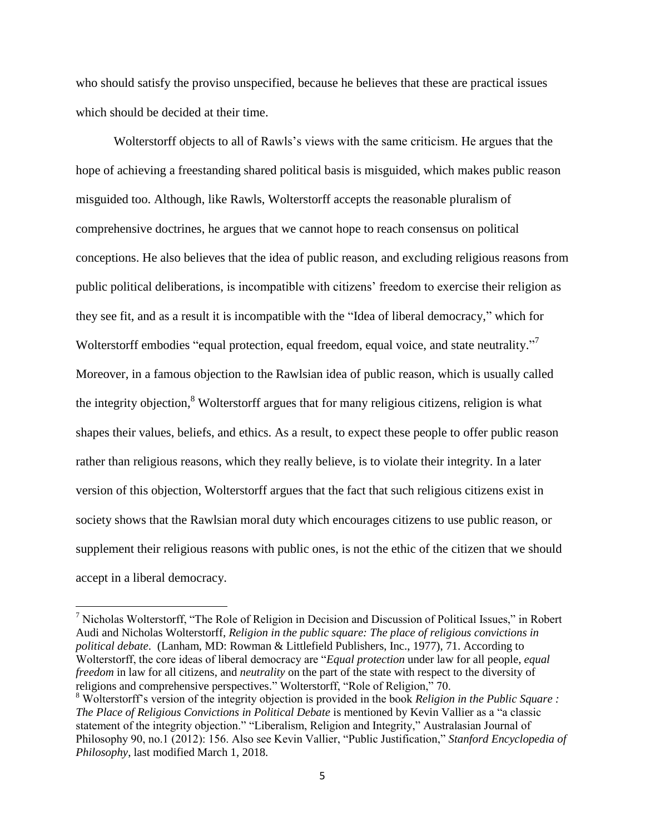who should satisfy the proviso unspecified, because he believes that these are practical issues which should be decided at their time.

Wolterstorff objects to all of Rawls's views with the same criticism. He argues that the hope of achieving a freestanding shared political basis is misguided, which makes public reason misguided too. Although, like Rawls, Wolterstorff accepts the reasonable pluralism of comprehensive doctrines, he argues that we cannot hope to reach consensus on political conceptions. He also believes that the idea of public reason, and excluding religious reasons from public political deliberations, is incompatible with citizens' freedom to exercise their religion as they see fit, and as a result it is incompatible with the "Idea of liberal democracy," which for Wolterstorff embodies "equal protection, equal freedom, equal voice, and state neutrality."<sup>7</sup> Moreover, in a famous objection to the Rawlsian idea of public reason, which is usually called the integrity objection, $\delta$  Wolterstorff argues that for many religious citizens, religion is what shapes their values, beliefs, and ethics. As a result, to expect these people to offer public reason rather than religious reasons, which they really believe, is to violate their integrity. In a later version of this objection, Wolterstorff argues that the fact that such religious citizens exist in society shows that the Rawlsian moral duty which encourages citizens to use public reason, or supplement their religious reasons with public ones, is not the ethic of the citizen that we should accept in a liberal democracy.

<sup>&</sup>lt;sup>7</sup> Nicholas Wolterstorff, "The Role of Religion in Decision and Discussion of Political Issues," in Robert Audi and Nicholas Wolterstorff, *Religion in the public square: The place of religious convictions in political debate*. (Lanham, MD: Rowman & Littlefield Publishers, Inc., 1977), 71. According to Wolterstorff, the core ideas of liberal democracy are "*Equal protection* under law for all people, *equal freedom* in law for all citizens, and *neutrality* on the part of the state with respect to the diversity of religions and comprehensive perspectives." Wolterstorff, "Role of Religion," 70.

<sup>8</sup> Wolterstorff's version of the integrity objection is provided in the book *Religion in the Public Square : The Place of Religious Convictions in Political Debate* is mentioned by Kevin Vallier as a "a classic statement of the integrity objection." "Liberalism, Religion and Integrity," Australasian Journal of Philosophy 90, no.1 (2012): 156. Also see Kevin Vallier, "Public Justification," *Stanford Encyclopedia of Philosophy*, last modified March 1, 2018.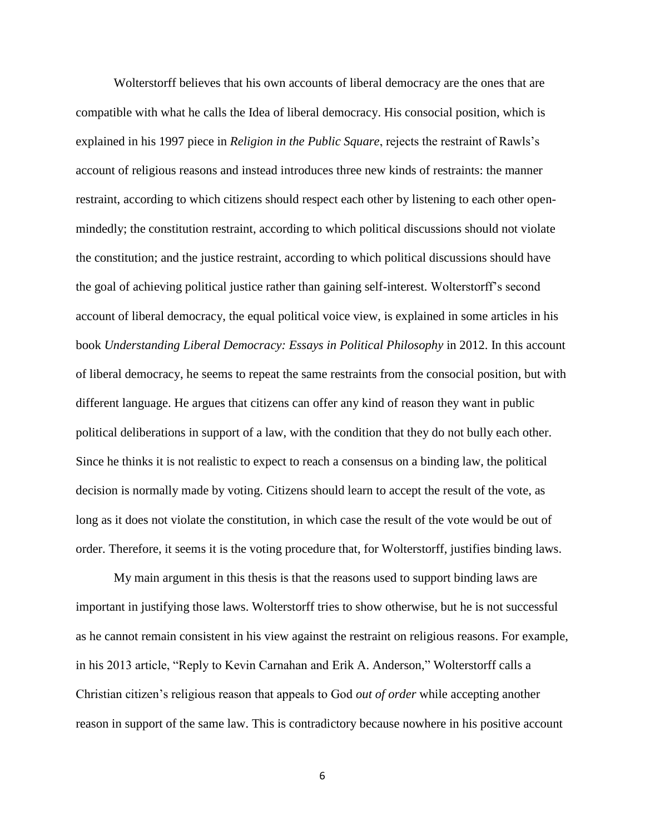Wolterstorff believes that his own accounts of liberal democracy are the ones that are compatible with what he calls the Idea of liberal democracy. His consocial position, which is explained in his 1997 piece in *Religion in the Public Square*, rejects the restraint of Rawls's account of religious reasons and instead introduces three new kinds of restraints: the manner restraint, according to which citizens should respect each other by listening to each other openmindedly; the constitution restraint, according to which political discussions should not violate the constitution; and the justice restraint, according to which political discussions should have the goal of achieving political justice rather than gaining self-interest. Wolterstorff's second account of liberal democracy, the equal political voice view, is explained in some articles in his book *Understanding Liberal Democracy: Essays in Political Philosophy* in 2012. In this account of liberal democracy, he seems to repeat the same restraints from the consocial position, but with different language. He argues that citizens can offer any kind of reason they want in public political deliberations in support of a law, with the condition that they do not bully each other. Since he thinks it is not realistic to expect to reach a consensus on a binding law, the political decision is normally made by voting. Citizens should learn to accept the result of the vote, as long as it does not violate the constitution, in which case the result of the vote would be out of order. Therefore, it seems it is the voting procedure that, for Wolterstorff, justifies binding laws.

My main argument in this thesis is that the reasons used to support binding laws are important in justifying those laws. Wolterstorff tries to show otherwise, but he is not successful as he cannot remain consistent in his view against the restraint on religious reasons. For example, in his 2013 article, "Reply to Kevin Carnahan and Erik A. Anderson," Wolterstorff calls a Christian citizen's religious reason that appeals to God *out of order* while accepting another reason in support of the same law. This is contradictory because nowhere in his positive account

6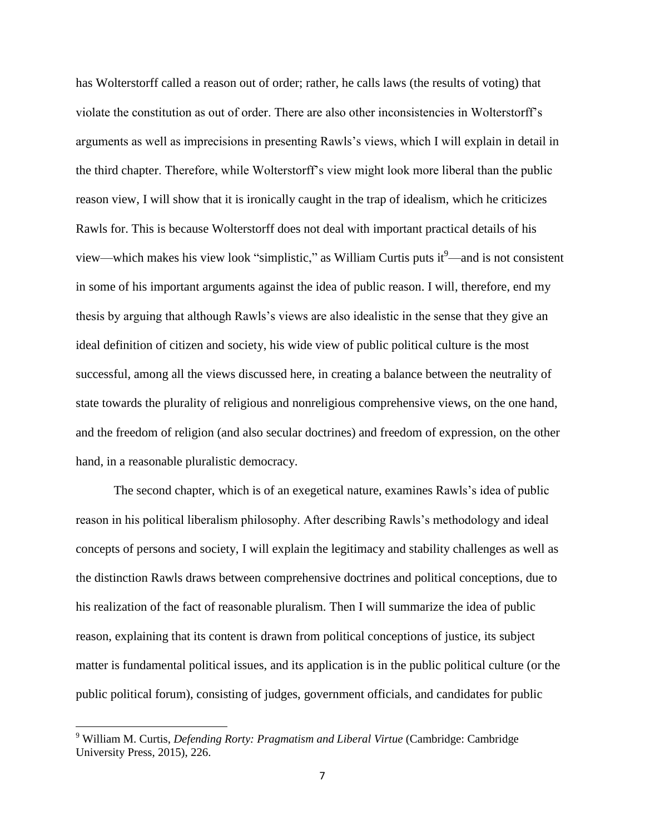has Wolterstorff called a reason out of order; rather, he calls laws (the results of voting) that violate the constitution as out of order. There are also other inconsistencies in Wolterstorff's arguments as well as imprecisions in presenting Rawls's views, which I will explain in detail in the third chapter. Therefore, while Wolterstorff's view might look more liberal than the public reason view, I will show that it is ironically caught in the trap of idealism, which he criticizes Rawls for. This is because Wolterstorff does not deal with important practical details of his view—which makes his view look "simplistic," as William Curtis puts it $\degree$ —and is not consistent in some of his important arguments against the idea of public reason. I will, therefore, end my thesis by arguing that although Rawls's views are also idealistic in the sense that they give an ideal definition of citizen and society, his wide view of public political culture is the most successful, among all the views discussed here, in creating a balance between the neutrality of state towards the plurality of religious and nonreligious comprehensive views, on the one hand, and the freedom of religion (and also secular doctrines) and freedom of expression, on the other hand, in a reasonable pluralistic democracy.

The second chapter, which is of an exegetical nature, examines Rawls's idea of public reason in his political liberalism philosophy. After describing Rawls's methodology and ideal concepts of persons and society, I will explain the legitimacy and stability challenges as well as the distinction Rawls draws between comprehensive doctrines and political conceptions, due to his realization of the fact of reasonable pluralism. Then I will summarize the idea of public reason, explaining that its content is drawn from political conceptions of justice, its subject matter is fundamental political issues, and its application is in the public political culture (or the public political forum), consisting of judges, government officials, and candidates for public

<sup>9</sup> William M. Curtis, *Defending Rorty: Pragmatism and Liberal Virtue* (Cambridge: Cambridge University Press, 2015), 226.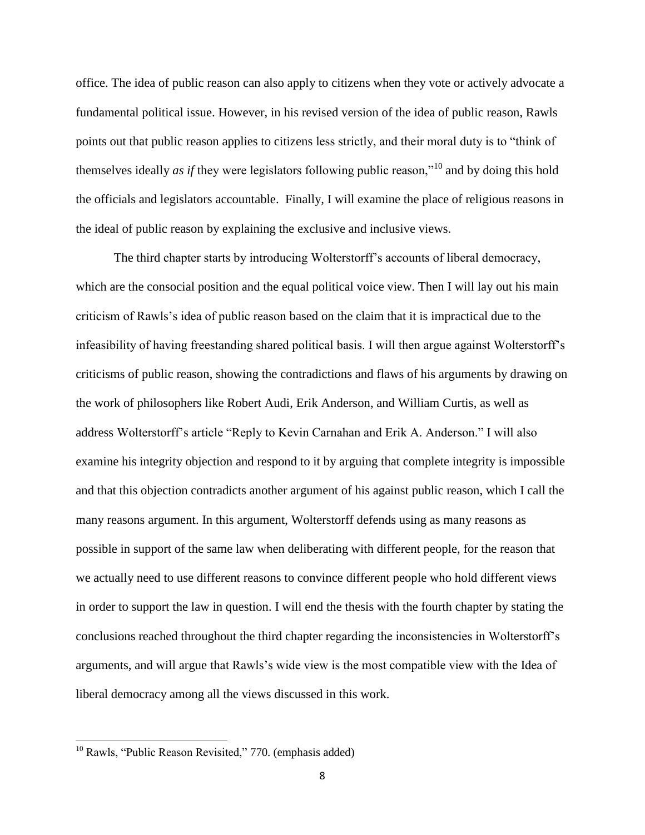office. The idea of public reason can also apply to citizens when they vote or actively advocate a fundamental political issue. However, in his revised version of the idea of public reason, Rawls points out that public reason applies to citizens less strictly, and their moral duty is to "think of themselves ideally *as if* they were legislators following public reason,"<sup>10</sup> and by doing this hold the officials and legislators accountable. Finally, I will examine the place of religious reasons in the ideal of public reason by explaining the exclusive and inclusive views.

The third chapter starts by introducing Wolterstorff's accounts of liberal democracy, which are the consocial position and the equal political voice view. Then I will lay out his main criticism of Rawls's idea of public reason based on the claim that it is impractical due to the infeasibility of having freestanding shared political basis. I will then argue against Wolterstorff's criticisms of public reason, showing the contradictions and flaws of his arguments by drawing on the work of philosophers like Robert Audi, Erik Anderson, and William Curtis, as well as address Wolterstorff's article "Reply to Kevin Carnahan and Erik A. Anderson." I will also examine his integrity objection and respond to it by arguing that complete integrity is impossible and that this objection contradicts another argument of his against public reason, which I call the many reasons argument. In this argument, Wolterstorff defends using as many reasons as possible in support of the same law when deliberating with different people, for the reason that we actually need to use different reasons to convince different people who hold different views in order to support the law in question. I will end the thesis with the fourth chapter by stating the conclusions reached throughout the third chapter regarding the inconsistencies in Wolterstorff's arguments, and will argue that Rawls's wide view is the most compatible view with the Idea of liberal democracy among all the views discussed in this work.

<sup>&</sup>lt;sup>10</sup> Rawls, "Public Reason Revisited," 770. (emphasis added)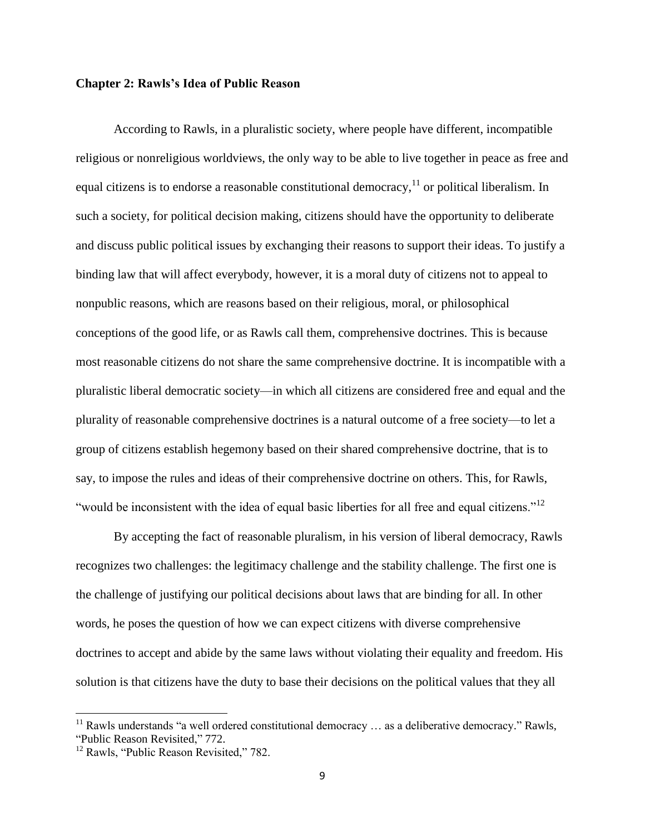## <span id="page-13-0"></span>**Chapter 2: Rawls's Idea of Public Reason**

According to Rawls, in a pluralistic society, where people have different, incompatible religious or nonreligious worldviews, the only way to be able to live together in peace as free and equal citizens is to endorse a reasonable constitutional democracy,  $11$  or political liberalism. In such a society, for political decision making, citizens should have the opportunity to deliberate and discuss public political issues by exchanging their reasons to support their ideas. To justify a binding law that will affect everybody, however, it is a moral duty of citizens not to appeal to nonpublic reasons, which are reasons based on their religious, moral, or philosophical conceptions of the good life, or as Rawls call them, comprehensive doctrines. This is because most reasonable citizens do not share the same comprehensive doctrine. It is incompatible with a pluralistic liberal democratic society—in which all citizens are considered free and equal and the plurality of reasonable comprehensive doctrines is a natural outcome of a free society—to let a group of citizens establish hegemony based on their shared comprehensive doctrine, that is to say, to impose the rules and ideas of their comprehensive doctrine on others. This, for Rawls, "would be inconsistent with the idea of equal basic liberties for all free and equal citizens."<sup>12</sup>

By accepting the fact of reasonable pluralism, in his version of liberal democracy, Rawls recognizes two challenges: the legitimacy challenge and the stability challenge. The first one is the challenge of justifying our political decisions about laws that are binding for all. In other words, he poses the question of how we can expect citizens with diverse comprehensive doctrines to accept and abide by the same laws without violating their equality and freedom. His solution is that citizens have the duty to base their decisions on the political values that they all

 $11$  Rawls understands "a well ordered constitutional democracy ... as a deliberative democracy." Rawls, "Public Reason Revisited," 772.

<sup>&</sup>lt;sup>12</sup> Rawls, "Public Reason Revisited," 782.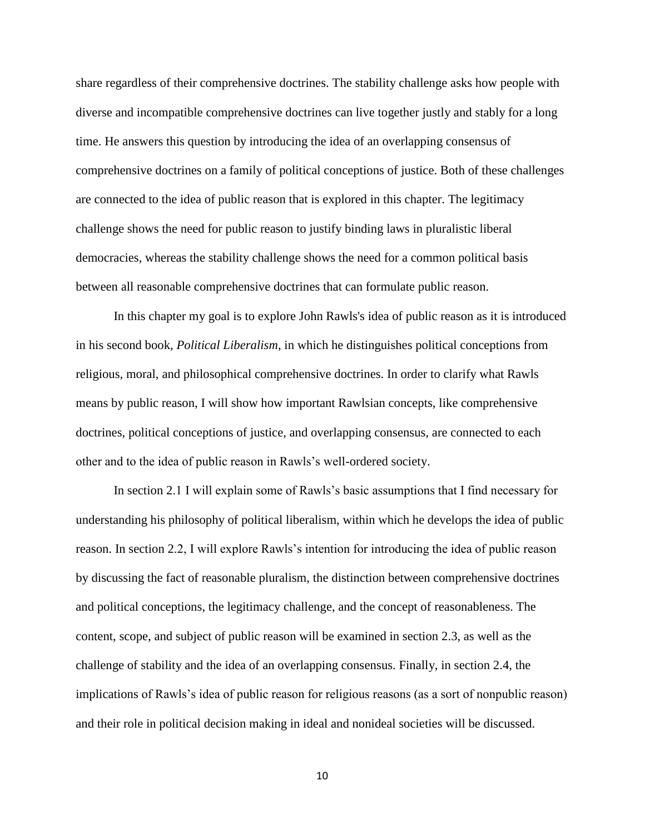share regardless of their comprehensive doctrines. The stability challenge asks how people with diverse and incompatible comprehensive doctrines can live together justly and stably for a long time. He answers this question by introducing the idea of an overlapping consensus of comprehensive doctrines on a family of political conceptions of justice. Both of these challenges are connected to the idea of public reason that is explored in this chapter. The legitimacy challenge shows the need for public reason to justify binding laws in pluralistic liberal democracies, whereas the stability challenge shows the need for a common political basis between all reasonable comprehensive doctrines that can formulate public reason.

In this chapter my goal is to explore John Rawls's idea of public reason as it is introduced in his second book, *Political Liberalism*, in which he distinguishes political conceptions from religious, moral, and philosophical comprehensive doctrines. In order to clarify what Rawls means by public reason, I will show how important Rawlsian concepts, like comprehensive doctrines, political conceptions of justice, and overlapping consensus, are connected to each other and to the idea of public reason in Rawls's well-ordered society.

In section 2.1 I will explain some of Rawls's basic assumptions that I find necessary for understanding his philosophy of political liberalism, within which he develops the idea of public reason. In section 2.2, I will explore Rawls's intention for introducing the idea of public reason by discussing the fact of reasonable pluralism, the distinction between comprehensive doctrines and political conceptions, the legitimacy challenge, and the concept of reasonableness. The content, scope, and subject of public reason will be examined in section 2.3, as well as the challenge of stability and the idea of an overlapping consensus. Finally, in section 2.4, the implications of Rawls's idea of public reason for religious reasons (as a sort of nonpublic reason) and their role in political decision making in ideal and nonideal societies will be discussed.

10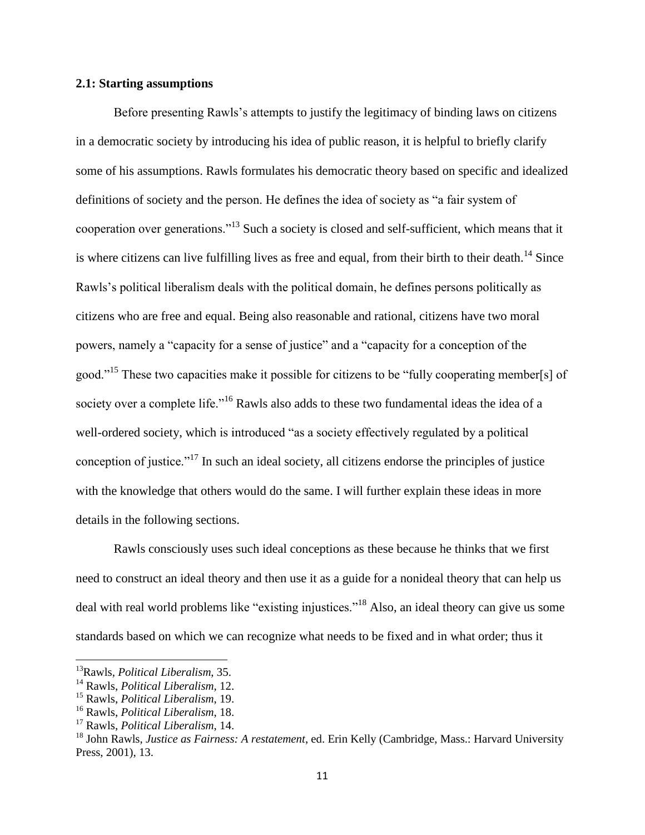## <span id="page-15-0"></span>**2.1: Starting assumptions**

Before presenting Rawls's attempts to justify the legitimacy of binding laws on citizens in a democratic society by introducing his idea of public reason, it is helpful to briefly clarify some of his assumptions. Rawls formulates his democratic theory based on specific and idealized definitions of society and the person. He defines the idea of society as "a fair system of cooperation over generations."<sup>13</sup> Such a society is closed and self-sufficient, which means that it is where citizens can live fulfilling lives as free and equal, from their birth to their death.<sup>14</sup> Since Rawls's political liberalism deals with the political domain, he defines persons politically as citizens who are free and equal. Being also reasonable and rational, citizens have two moral powers, namely a "capacity for a sense of justice" and a "capacity for a conception of the good."<sup>15</sup> These two capacities make it possible for citizens to be "fully cooperating member[s] of society over a complete life."<sup>16</sup> Rawls also adds to these two fundamental ideas the idea of a well-ordered society, which is introduced "as a society effectively regulated by a political conception of justice."<sup>17</sup> In such an ideal society, all citizens endorse the principles of justice with the knowledge that others would do the same. I will further explain these ideas in more details in the following sections.

Rawls consciously uses such ideal conceptions as these because he thinks that we first need to construct an ideal theory and then use it as a guide for a nonideal theory that can help us deal with real world problems like "existing injustices."<sup>18</sup> Also, an ideal theory can give us some standards based on which we can recognize what needs to be fixed and in what order; thus it

<sup>13</sup>Rawls, *Political Liberalism*, 35.

<sup>14</sup> Rawls, *Political Liberalism*, 12.

<sup>15</sup> Rawls, *Political Liberalism*, 19.

<sup>16</sup> Rawls, *Political Liberalism*, 18.

<sup>17</sup> Rawls, *Political Liberalism*, 14.

<sup>18</sup> John Rawls, *Justice as Fairness: A restatement*, ed. Erin Kelly (Cambridge, Mass.: Harvard University Press, 2001), 13.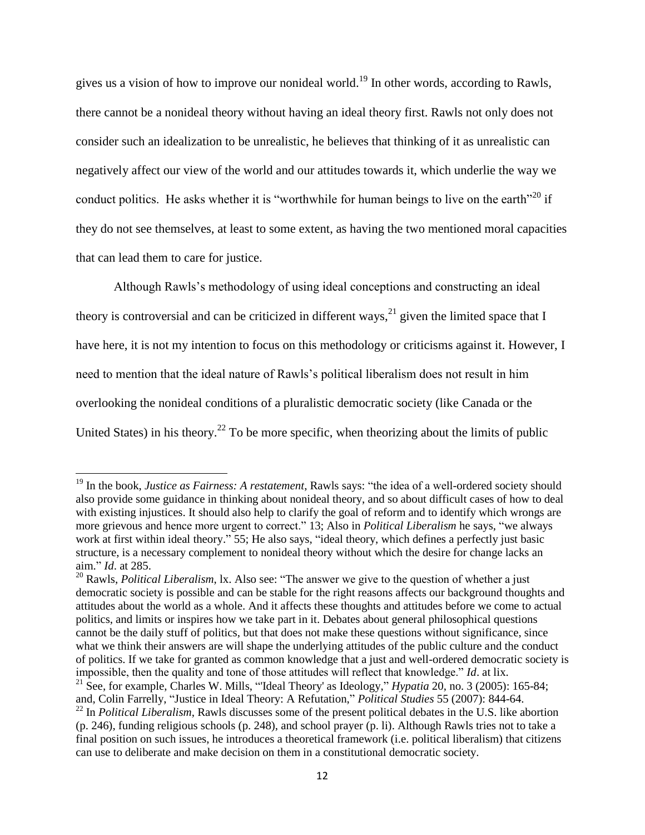gives us a vision of how to improve our nonideal world.<sup>19</sup> In other words, according to Rawls, there cannot be a nonideal theory without having an ideal theory first. Rawls not only does not consider such an idealization to be unrealistic, he believes that thinking of it as unrealistic can negatively affect our view of the world and our attitudes towards it, which underlie the way we conduct politics. He asks whether it is "worthwhile for human beings to live on the earth"<sup>20</sup> if they do not see themselves, at least to some extent, as having the two mentioned moral capacities that can lead them to care for justice.

Although Rawls's methodology of using ideal conceptions and constructing an ideal theory is controversial and can be criticized in different ways,  $2^{1}$  given the limited space that I have here, it is not my intention to focus on this methodology or criticisms against it. However, I need to mention that the ideal nature of Rawls's political liberalism does not result in him overlooking the nonideal conditions of a pluralistic democratic society (like Canada or the United States) in his theory.<sup>22</sup> To be more specific, when theorizing about the limits of public

<sup>&</sup>lt;sup>19</sup> In the book, *Justice as Fairness: A restatement*, Rawls says: "the idea of a well-ordered society should also provide some guidance in thinking about nonideal theory, and so about difficult cases of how to deal with existing injustices. It should also help to clarify the goal of reform and to identify which wrongs are more grievous and hence more urgent to correct." 13; Also in *Political Liberalism* he says, "we always work at first within ideal theory." 55; He also says, "ideal theory, which defines a perfectly just basic structure, is a necessary complement to nonideal theory without which the desire for change lacks an aim." *Id*. at 285.

<sup>&</sup>lt;sup>20</sup> Rawls, *Political Liberalism*, lx. Also see: "The answer we give to the question of whether a just democratic society is possible and can be stable for the right reasons affects our background thoughts and attitudes about the world as a whole. And it affects these thoughts and attitudes before we come to actual politics, and limits or inspires how we take part in it. Debates about general philosophical questions cannot be the daily stuff of politics, but that does not make these questions without significance, since what we think their answers are will shape the underlying attitudes of the public culture and the conduct of politics. If we take for granted as common knowledge that a just and well-ordered democratic society is impossible, then the quality and tone of those attitudes will reflect that knowledge." *Id*. at lix.

<sup>21</sup> See, for example, Charles W. Mills, "'Ideal Theory' as Ideology," *Hypatia* 20, no. 3 (2005): 165-84; and, Colin Farrelly, "Justice in Ideal Theory: A Refutation," *Political Studies* 55 (2007): 844-64.

<sup>&</sup>lt;sup>22</sup> In *Political Liberalism*, Rawls discusses some of the present political debates in the U.S. like abortion (p. 246), funding religious schools (p. 248), and school prayer (p. li). Although Rawls tries not to take a final position on such issues, he introduces a theoretical framework (i.e. political liberalism) that citizens can use to deliberate and make decision on them in a constitutional democratic society.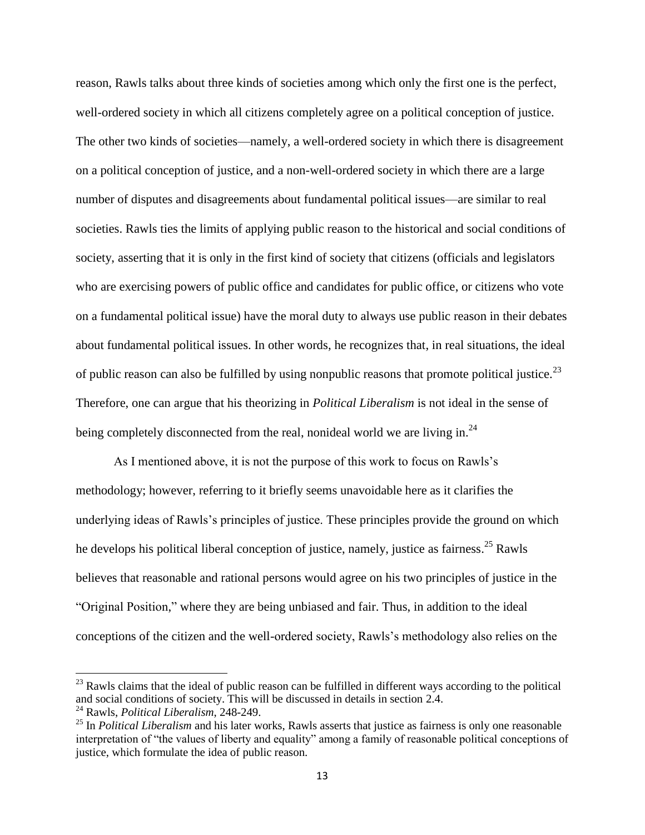reason, Rawls talks about three kinds of societies among which only the first one is the perfect, well-ordered society in which all citizens completely agree on a political conception of justice. The other two kinds of societies—namely, a well-ordered society in which there is disagreement on a political conception of justice, and a non-well-ordered society in which there are a large number of disputes and disagreements about fundamental political issues—are similar to real societies. Rawls ties the limits of applying public reason to the historical and social conditions of society, asserting that it is only in the first kind of society that citizens (officials and legislators who are exercising powers of public office and candidates for public office, or citizens who vote on a fundamental political issue) have the moral duty to always use public reason in their debates about fundamental political issues. In other words, he recognizes that, in real situations, the ideal of public reason can also be fulfilled by using nonpublic reasons that promote political justice.<sup>23</sup> Therefore, one can argue that his theorizing in *Political Liberalism* is not ideal in the sense of being completely disconnected from the real, nonideal world we are living in.<sup>24</sup>

As I mentioned above, it is not the purpose of this work to focus on Rawls's methodology; however, referring to it briefly seems unavoidable here as it clarifies the underlying ideas of Rawls's principles of justice. These principles provide the ground on which he develops his political liberal conception of justice, namely, justice as fairness.<sup>25</sup> Rawls believes that reasonable and rational persons would agree on his two principles of justice in the "Original Position," where they are being unbiased and fair. Thus, in addition to the ideal conceptions of the citizen and the well-ordered society, Rawls's methodology also relies on the

 $^{23}$  Rawls claims that the ideal of public reason can be fulfilled in different ways according to the political and social conditions of society. This will be discussed in details in section 2.4.

<sup>24</sup> Rawls, *Political Liberalism*, 248-249.

<sup>&</sup>lt;sup>25</sup> In *Political Liberalism* and his later works, Rawls asserts that justice as fairness is only one reasonable interpretation of "the values of liberty and equality" among a family of reasonable political conceptions of justice, which formulate the idea of public reason.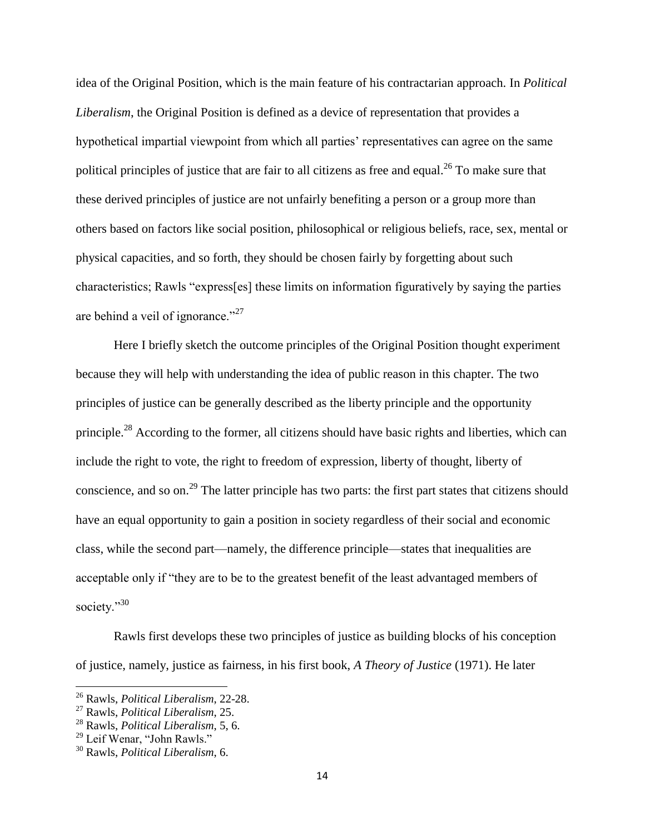idea of the Original Position, which is the main feature of his contractarian approach. In *Political Liberalism*, the Original Position is defined as a device of representation that provides a hypothetical impartial viewpoint from which all parties' representatives can agree on the same political principles of justice that are fair to all citizens as free and equal.<sup>26</sup> To make sure that these derived principles of justice are not unfairly benefiting a person or a group more than others based on factors like social position, philosophical or religious beliefs, race, sex, mental or physical capacities, and so forth, they should be chosen fairly by forgetting about such characteristics; Rawls "express[es] these limits on information figuratively by saying the parties are behind a veil of ignorance."<sup>27</sup>

Here I briefly sketch the outcome principles of the Original Position thought experiment because they will help with understanding the idea of public reason in this chapter. The two principles of justice can be generally described as the liberty principle and the opportunity principle.<sup>28</sup> According to the former, all citizens should have basic rights and liberties, which can include the right to vote, the right to freedom of expression, liberty of thought, liberty of conscience, and so on.<sup>29</sup> The latter principle has two parts: the first part states that citizens should have an equal opportunity to gain a position in society regardless of their social and economic class, while the second part—namely, the difference principle—states that inequalities are acceptable only if "they are to be to the greatest benefit of the least advantaged members of society."<sup>30</sup>

Rawls first develops these two principles of justice as building blocks of his conception of justice, namely, justice as fairness, in his first book, *A Theory of Justice* (1971). He later

<sup>26</sup> Rawls, *Political Liberalism*, 22-28.

<sup>27</sup> Rawls, *Political Liberalism*, 25.

<sup>28</sup> Rawls, *Political Liberalism*, 5, 6.

<sup>&</sup>lt;sup>29</sup> Leif Wenar, "John Rawls."

<sup>30</sup> Rawls, *Political Liberalism*, 6.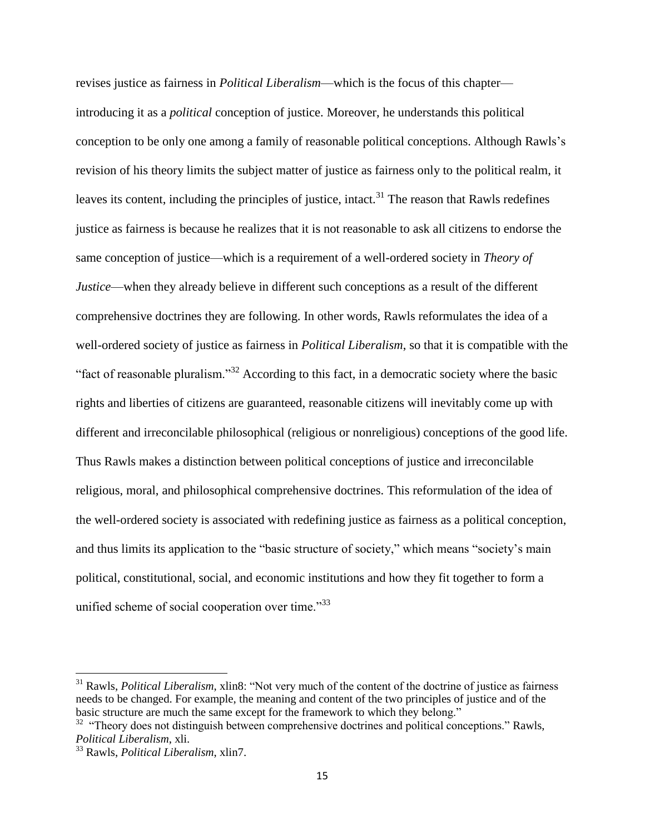revises justice as fairness in *Political Liberalism*—which is the focus of this chapter introducing it as a *political* conception of justice. Moreover, he understands this political conception to be only one among a family of reasonable political conceptions. Although Rawls's revision of his theory limits the subject matter of justice as fairness only to the political realm, it leaves its content, including the principles of justice, intact.<sup>31</sup> The reason that Rawls redefines justice as fairness is because he realizes that it is not reasonable to ask all citizens to endorse the same conception of justice—which is a requirement of a well-ordered society in *Theory of Justice*—when they already believe in different such conceptions as a result of the different comprehensive doctrines they are following. In other words, Rawls reformulates the idea of a well-ordered society of justice as fairness in *Political Liberalism*, so that it is compatible with the "fact of reasonable pluralism."<sup>32</sup> According to this fact, in a democratic society where the basic rights and liberties of citizens are guaranteed, reasonable citizens will inevitably come up with different and irreconcilable philosophical (religious or nonreligious) conceptions of the good life. Thus Rawls makes a distinction between political conceptions of justice and irreconcilable religious, moral, and philosophical comprehensive doctrines. This reformulation of the idea of the well-ordered society is associated with redefining justice as fairness as a political conception, and thus limits its application to the "basic structure of society," which means "society's main political, constitutional, social, and economic institutions and how they fit together to form a unified scheme of social cooperation over time."<sup>33</sup>

<sup>31</sup> Rawls, *Political Liberalism*, xlin8: "Not very much of the content of the doctrine of justice as fairness needs to be changed. For example, the meaning and content of the two principles of justice and of the basic structure are much the same except for the framework to which they belong."

 $32$  "Theory does not distinguish between comprehensive doctrines and political conceptions." Rawls, *Political Liberalism*, xli.

<sup>33</sup> Rawls, *Political Liberalism*, xlin7.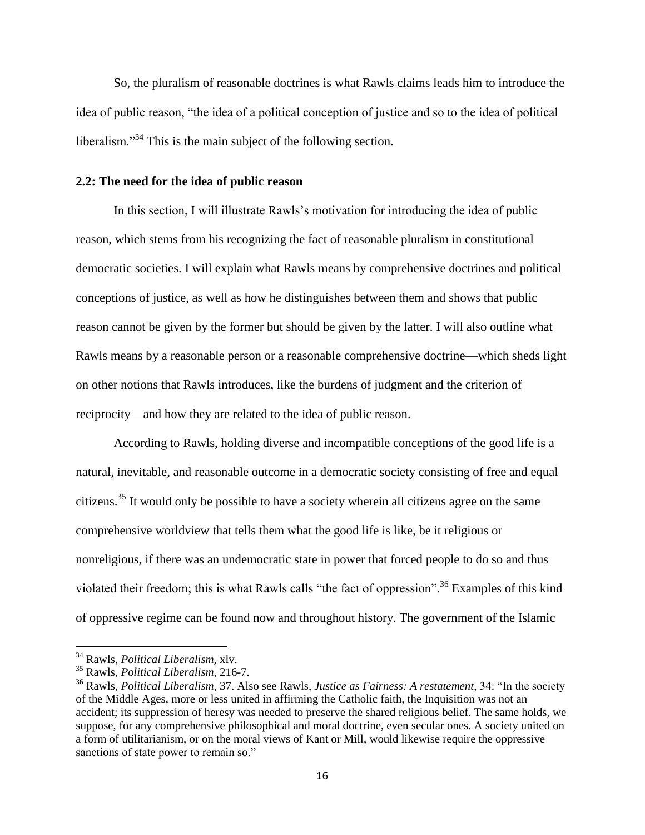So, the pluralism of reasonable doctrines is what Rawls claims leads him to introduce the idea of public reason, "the idea of a political conception of justice and so to the idea of political liberalism.<sup>34</sup> This is the main subject of the following section.

### <span id="page-20-0"></span>**2.2: The need for the idea of public reason**

In this section, I will illustrate Rawls's motivation for introducing the idea of public reason, which stems from his recognizing the fact of reasonable pluralism in constitutional democratic societies. I will explain what Rawls means by comprehensive doctrines and political conceptions of justice, as well as how he distinguishes between them and shows that public reason cannot be given by the former but should be given by the latter. I will also outline what Rawls means by a reasonable person or a reasonable comprehensive doctrine—which sheds light on other notions that Rawls introduces, like the burdens of judgment and the criterion of reciprocity—and how they are related to the idea of public reason.

According to Rawls, holding diverse and incompatible conceptions of the good life is a natural, inevitable, and reasonable outcome in a democratic society consisting of free and equal citizens.<sup>35</sup> It would only be possible to have a society wherein all citizens agree on the same comprehensive worldview that tells them what the good life is like, be it religious or nonreligious, if there was an undemocratic state in power that forced people to do so and thus violated their freedom; this is what Rawls calls "the fact of oppression".<sup>36</sup> Examples of this kind of oppressive regime can be found now and throughout history. The government of the Islamic

<sup>34</sup> Rawls, *Political Liberalism*, xlv.

<sup>35</sup> Rawls, *Political Liberalism*, 216-7.

<sup>36</sup> Rawls, *Political Liberalism*, 37. Also see Rawls, *Justice as Fairness: A restatement*, 34: "In the society of the Middle Ages, more or less united in affirming the Catholic faith, the Inquisition was not an accident; its suppression of heresy was needed to preserve the shared religious belief. The same holds, we suppose, for any comprehensive philosophical and moral doctrine, even secular ones. A society united on a form of utilitarianism, or on the moral views of Kant or Mill, would likewise require the oppressive sanctions of state power to remain so."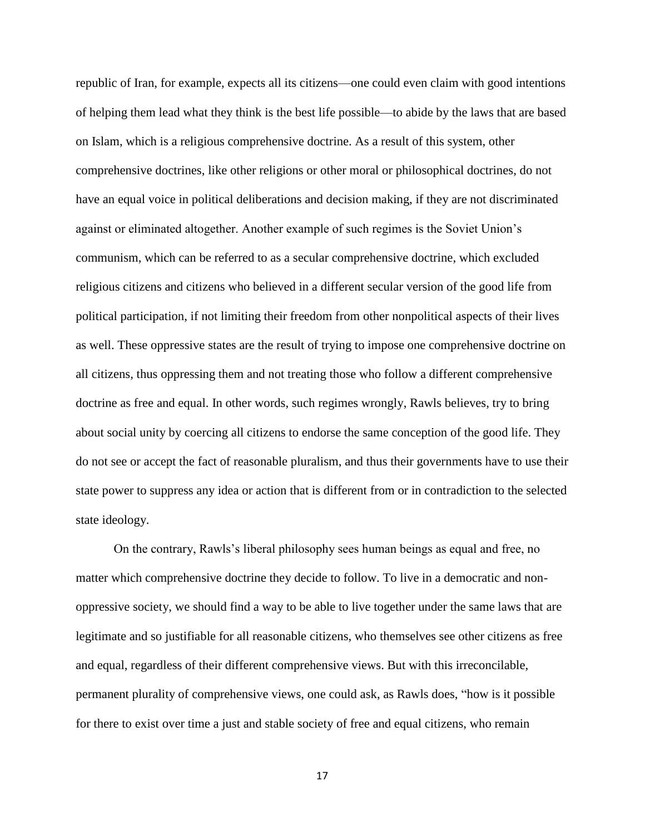republic of Iran, for example, expects all its citizens—one could even claim with good intentions of helping them lead what they think is the best life possible—to abide by the laws that are based on Islam, which is a religious comprehensive doctrine. As a result of this system, other comprehensive doctrines, like other religions or other moral or philosophical doctrines, do not have an equal voice in political deliberations and decision making, if they are not discriminated against or eliminated altogether. Another example of such regimes is the Soviet Union's communism, which can be referred to as a secular comprehensive doctrine, which excluded religious citizens and citizens who believed in a different secular version of the good life from political participation, if not limiting their freedom from other nonpolitical aspects of their lives as well. These oppressive states are the result of trying to impose one comprehensive doctrine on all citizens, thus oppressing them and not treating those who follow a different comprehensive doctrine as free and equal. In other words, such regimes wrongly, Rawls believes, try to bring about social unity by coercing all citizens to endorse the same conception of the good life. They do not see or accept the fact of reasonable pluralism, and thus their governments have to use their state power to suppress any idea or action that is different from or in contradiction to the selected state ideology.

On the contrary, Rawls's liberal philosophy sees human beings as equal and free, no matter which comprehensive doctrine they decide to follow. To live in a democratic and nonoppressive society, we should find a way to be able to live together under the same laws that are legitimate and so justifiable for all reasonable citizens, who themselves see other citizens as free and equal, regardless of their different comprehensive views. But with this irreconcilable, permanent plurality of comprehensive views, one could ask, as Rawls does, "how is it possible for there to exist over time a just and stable society of free and equal citizens, who remain

17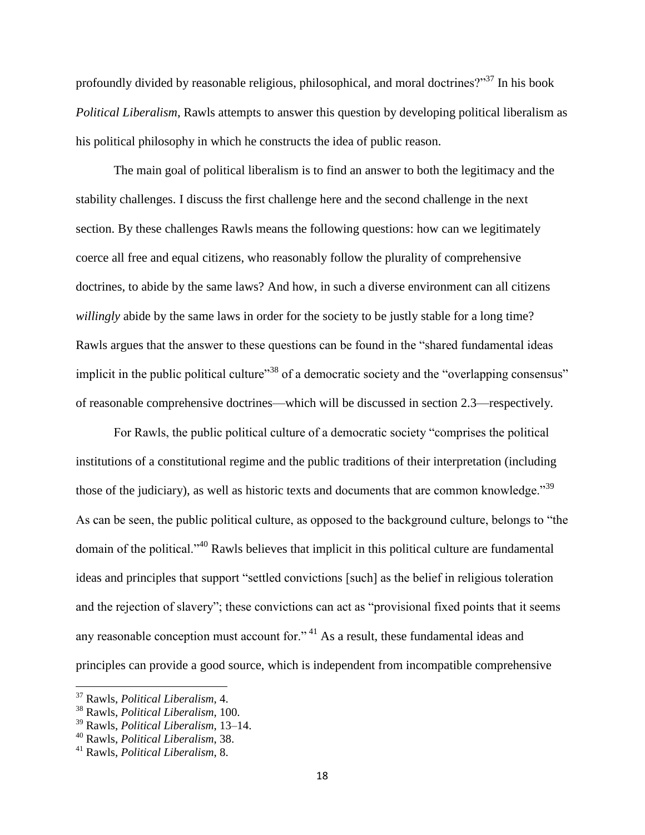profoundly divided by reasonable religious, philosophical, and moral doctrines?"<sup>37</sup> In his book *Political Liberalism*, Rawls attempts to answer this question by developing political liberalism as his political philosophy in which he constructs the idea of public reason.

The main goal of political liberalism is to find an answer to both the legitimacy and the stability challenges. I discuss the first challenge here and the second challenge in the next section. By these challenges Rawls means the following questions: how can we legitimately coerce all free and equal citizens, who reasonably follow the plurality of comprehensive doctrines, to abide by the same laws? And how, in such a diverse environment can all citizens *willingly* abide by the same laws in order for the society to be justly stable for a long time? Rawls argues that the answer to these questions can be found in the "shared fundamental ideas implicit in the public political culture<sup>338</sup> of a democratic society and the "overlapping consensus" of reasonable comprehensive doctrines—which will be discussed in section 2.3—respectively.

For Rawls, the public political culture of a democratic society "comprises the political institutions of a constitutional regime and the public traditions of their interpretation (including those of the judiciary), as well as historic texts and documents that are common knowledge.<sup>39</sup> As can be seen, the public political culture, as opposed to the background culture, belongs to "the domain of the political."<sup>40</sup> Rawls believes that implicit in this political culture are fundamental ideas and principles that support "settled convictions [such] as the belief in religious toleration and the rejection of slavery"; these convictions can act as "provisional fixed points that it seems any reasonable conception must account for."<sup>41</sup> As a result, these fundamental ideas and principles can provide a good source, which is independent from incompatible comprehensive

<sup>37</sup> Rawls, *Political Liberalism*, 4.

<sup>38</sup> Rawls, *Political Liberalism*, 100.

<sup>39</sup> Rawls, *Political Liberalism*, 13–14.

<sup>40</sup> Rawls, *Political Liberalism*, 38.

<sup>41</sup> Rawls, *Political Liberalism*, 8.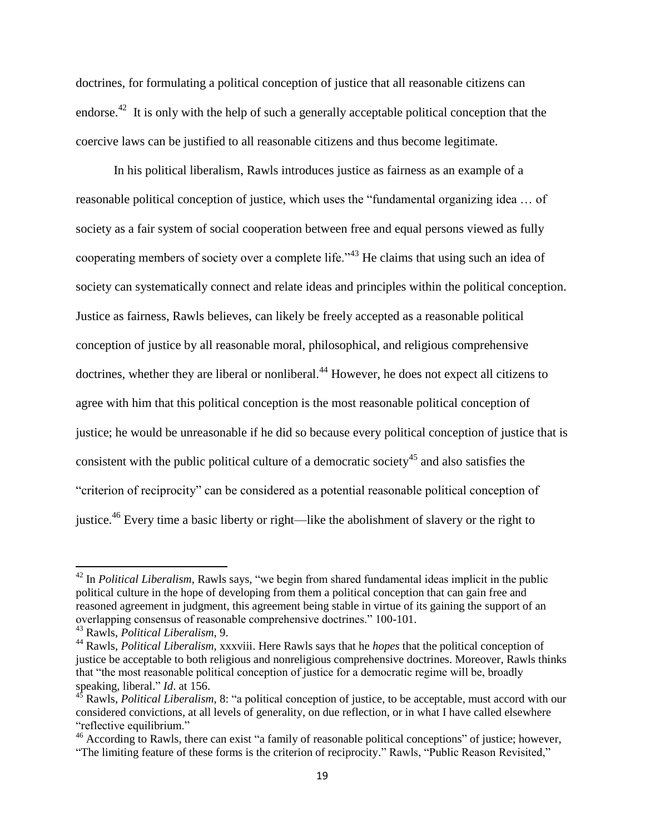doctrines, for formulating a political conception of justice that all reasonable citizens can endorse.<sup>42</sup> It is only with the help of such a generally acceptable political conception that the coercive laws can be justified to all reasonable citizens and thus become legitimate.

In his political liberalism, Rawls introduces justice as fairness as an example of a reasonable political conception of justice, which uses the "fundamental organizing idea … of society as a fair system of social cooperation between free and equal persons viewed as fully cooperating members of society over a complete life."<sup>43</sup> He claims that using such an idea of society can systematically connect and relate ideas and principles within the political conception. Justice as fairness, Rawls believes, can likely be freely accepted as a reasonable political conception of justice by all reasonable moral, philosophical, and religious comprehensive doctrines, whether they are liberal or nonliberal.<sup>44</sup> However, he does not expect all citizens to agree with him that this political conception is the most reasonable political conception of justice; he would be unreasonable if he did so because every political conception of justice that is consistent with the public political culture of a democratic society<sup>45</sup> and also satisfies the "criterion of reciprocity" can be considered as a potential reasonable political conception of justice.<sup>46</sup> Every time a basic liberty or right—like the abolishment of slavery or the right to

<sup>42</sup> In *Political Liberalism*, Rawls says, "we begin from shared fundamental ideas implicit in the public political culture in the hope of developing from them a political conception that can gain free and reasoned agreement in judgment, this agreement being stable in virtue of its gaining the support of an overlapping consensus of reasonable comprehensive doctrines." 100-101.

<sup>43</sup> Rawls, *Political Liberalism*, 9.

<sup>44</sup> Rawls, *Political Liberalism*, xxxviii. Here Rawls says that he *hopes* that the political conception of justice be acceptable to both religious and nonreligious comprehensive doctrines. Moreover, Rawls thinks that "the most reasonable political conception of justice for a democratic regime will be, broadly speaking, liberal." *Id.* at 156.

<sup>45</sup> Rawls, *Political Liberalism*, 8: "a political conception of justice, to be acceptable, must accord with our considered convictions, at all levels of generality, on due reflection, or in what I have called elsewhere "reflective equilibrium."

<sup>&</sup>lt;sup>46</sup> According to Rawls, there can exist "a family of reasonable political conceptions" of justice; however, "The limiting feature of these forms is the criterion of reciprocity." Rawls, "Public Reason Revisited,"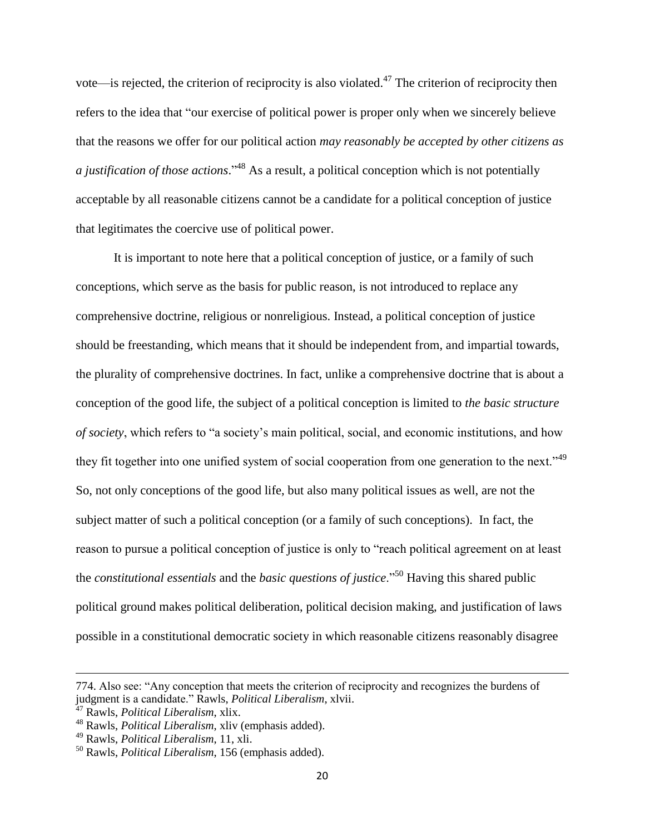vote—is rejected, the criterion of reciprocity is also violated.<sup>47</sup> The criterion of reciprocity then refers to the idea that "our exercise of political power is proper only when we sincerely believe that the reasons we offer for our political action *may reasonably be accepted by other citizens as a justification of those actions*." <sup>48</sup> As a result, a political conception which is not potentially acceptable by all reasonable citizens cannot be a candidate for a political conception of justice that legitimates the coercive use of political power.

It is important to note here that a political conception of justice, or a family of such conceptions, which serve as the basis for public reason, is not introduced to replace any comprehensive doctrine, religious or nonreligious. Instead, a political conception of justice should be freestanding, which means that it should be independent from, and impartial towards, the plurality of comprehensive doctrines. In fact, unlike a comprehensive doctrine that is about a conception of the good life, the subject of a political conception is limited to *the basic structure of society*, which refers to "a society's main political, social, and economic institutions, and how they fit together into one unified system of social cooperation from one generation to the next."<sup>49</sup> So, not only conceptions of the good life, but also many political issues as well, are not the subject matter of such a political conception (or a family of such conceptions). In fact, the reason to pursue a political conception of justice is only to "reach political agreement on at least the *constitutional essentials* and the *basic questions of justice*."<sup>50</sup> Having this shared public political ground makes political deliberation, political decision making, and justification of laws possible in a constitutional democratic society in which reasonable citizens reasonably disagree

<sup>774.</sup> Also see: "Any conception that meets the criterion of reciprocity and recognizes the burdens of judgment is a candidate." Rawls, *Political Liberalism*, xlvii.

<sup>47</sup> Rawls, *Political Liberalism*, xlix.

<sup>48</sup> Rawls, *Political Liberalism*, xliv (emphasis added).

<sup>49</sup> Rawls, *Political Liberalism*, 11, xli.

<sup>50</sup> Rawls, *Political Liberalism*, 156 (emphasis added).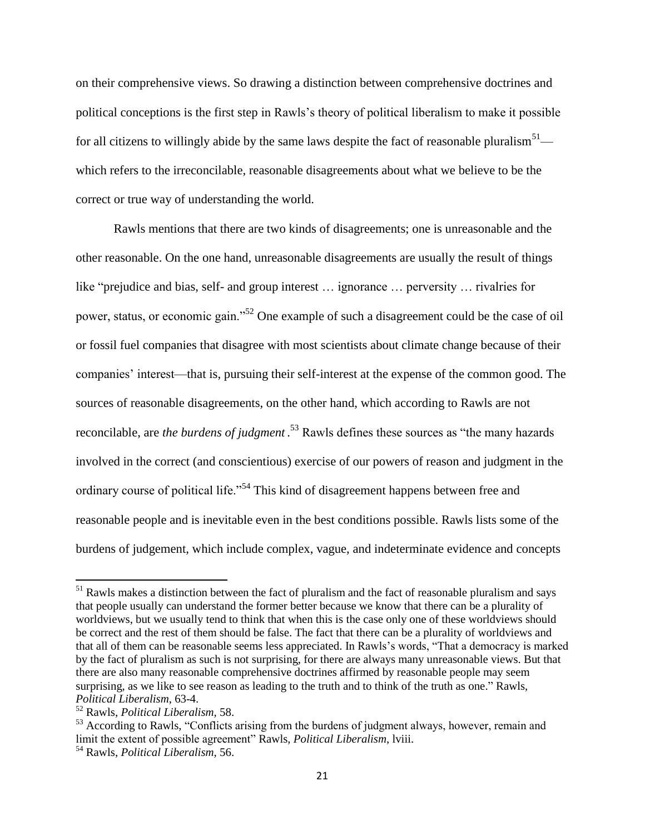on their comprehensive views. So drawing a distinction between comprehensive doctrines and political conceptions is the first step in Rawls's theory of political liberalism to make it possible for all citizens to willingly abide by the same laws despite the fact of reasonable pluralism<sup>51</sup> which refers to the irreconcilable, reasonable disagreements about what we believe to be the correct or true way of understanding the world.

Rawls mentions that there are two kinds of disagreements; one is unreasonable and the other reasonable. On the one hand, unreasonable disagreements are usually the result of things like "prejudice and bias, self- and group interest … ignorance … perversity … rivalries for power, status, or economic gain."<sup>52</sup> One example of such a disagreement could be the case of oil or fossil fuel companies that disagree with most scientists about climate change because of their companies' interest—that is, pursuing their self-interest at the expense of the common good. The sources of reasonable disagreements, on the other hand, which according to Rawls are not reconcilable, are *the burdens of judgment* . <sup>53</sup> Rawls defines these sources as "the many hazards involved in the correct (and conscientious) exercise of our powers of reason and judgment in the ordinary course of political life."<sup>54</sup> This kind of disagreement happens between free and reasonable people and is inevitable even in the best conditions possible. Rawls lists some of the burdens of judgement, which include complex, vague, and indeterminate evidence and concepts

<sup>&</sup>lt;sup>51</sup> Rawls makes a distinction between the fact of pluralism and the fact of reasonable pluralism and says that people usually can understand the former better because we know that there can be a plurality of worldviews, but we usually tend to think that when this is the case only one of these worldviews should be correct and the rest of them should be false. The fact that there can be a plurality of worldviews and that all of them can be reasonable seems less appreciated. In Rawls's words, "That a democracy is marked by the fact of pluralism as such is not surprising, for there are always many unreasonable views. But that there are also many reasonable comprehensive doctrines affirmed by reasonable people may seem surprising, as we like to see reason as leading to the truth and to think of the truth as one." Rawls, *Political Liberalism*, 63-4.

<sup>52</sup> Rawls, *Political Liberalism*, 58.

<sup>&</sup>lt;sup>53</sup> According to Rawls, "Conflicts arising from the burdens of judgment always, however, remain and limit the extent of possible agreement" Rawls, *Political Liberalism*, lviii.

<sup>54</sup> Rawls, *Political Liberalism*, 56.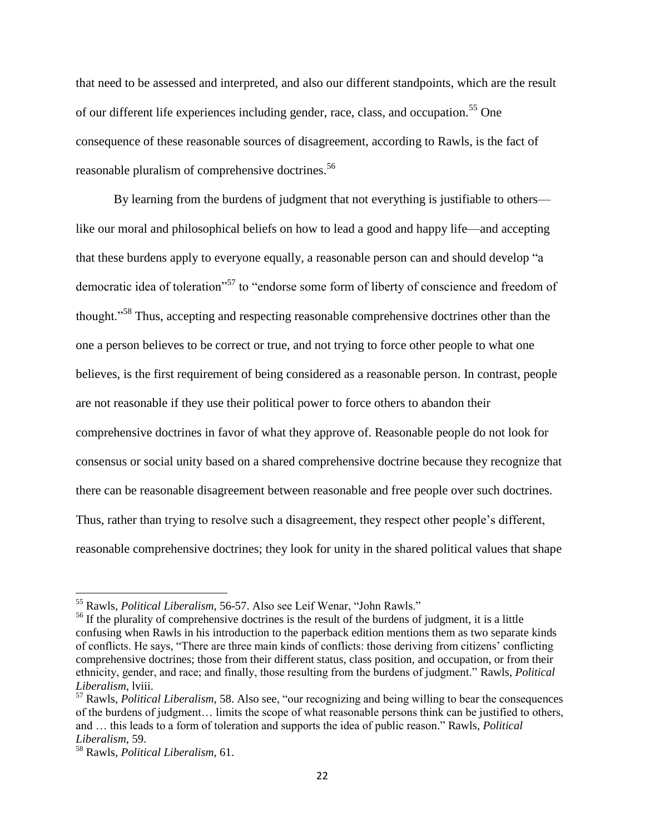that need to be assessed and interpreted, and also our different standpoints, which are the result of our different life experiences including gender, race, class, and occupation.<sup>55</sup> One consequence of these reasonable sources of disagreement, according to Rawls, is the fact of reasonable pluralism of comprehensive doctrines.<sup>56</sup>

By learning from the burdens of judgment that not everything is justifiable to others like our moral and philosophical beliefs on how to lead a good and happy life—and accepting that these burdens apply to everyone equally, a reasonable person can and should develop "a democratic idea of toleration"<sup>57</sup> to "endorse some form of liberty of conscience and freedom of thought."<sup>58</sup> Thus, accepting and respecting reasonable comprehensive doctrines other than the one a person believes to be correct or true, and not trying to force other people to what one believes, is the first requirement of being considered as a reasonable person. In contrast, people are not reasonable if they use their political power to force others to abandon their comprehensive doctrines in favor of what they approve of. Reasonable people do not look for consensus or social unity based on a shared comprehensive doctrine because they recognize that there can be reasonable disagreement between reasonable and free people over such doctrines. Thus, rather than trying to resolve such a disagreement, they respect other people's different, reasonable comprehensive doctrines; they look for unity in the shared political values that shape

l

<sup>55</sup> Rawls, *Political Liberalism*, 56-57. Also see Leif Wenar, "John Rawls."

<sup>&</sup>lt;sup>56</sup> If the plurality of comprehensive doctrines is the result of the burdens of judgment, it is a little confusing when Rawls in his introduction to the paperback edition mentions them as two separate kinds of conflicts. He says, "There are three main kinds of conflicts: those deriving from citizens' conflicting comprehensive doctrines; those from their different status, class position, and occupation, or from their ethnicity, gender, and race; and finally, those resulting from the burdens of judgment." Rawls, *Political Liberalism*, lviii.

<sup>57</sup> Rawls, *Political Liberalism*, 58. Also see, "our recognizing and being willing to bear the consequences of the burdens of judgment… limits the scope of what reasonable persons think can be justified to others, and … this leads to a form of toleration and supports the idea of public reason." Rawls, *Political Liberalism*, 59.

<sup>58</sup> Rawls, *Political Liberalism*, 61.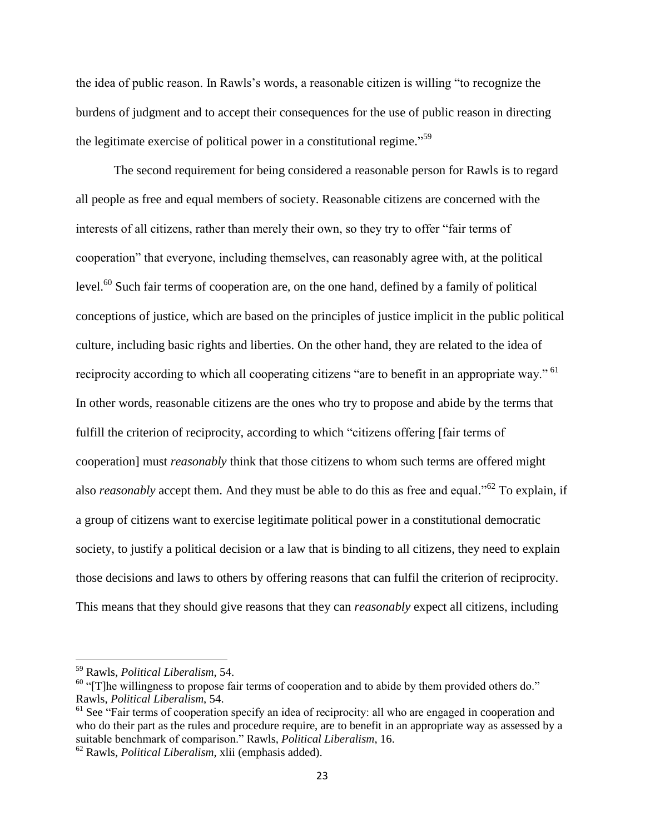the idea of public reason. In Rawls's words, a reasonable citizen is willing "to recognize the burdens of judgment and to accept their consequences for the use of public reason in directing the legitimate exercise of political power in a constitutional regime."<sup>59</sup>

The second requirement for being considered a reasonable person for Rawls is to regard all people as free and equal members of society. Reasonable citizens are concerned with the interests of all citizens, rather than merely their own, so they try to offer "fair terms of cooperation" that everyone, including themselves, can reasonably agree with, at the political level.<sup>60</sup> Such fair terms of cooperation are, on the one hand, defined by a family of political conceptions of justice, which are based on the principles of justice implicit in the public political culture, including basic rights and liberties. On the other hand, they are related to the idea of reciprocity according to which all cooperating citizens "are to benefit in an appropriate way." <sup>61</sup> In other words, reasonable citizens are the ones who try to propose and abide by the terms that fulfill the criterion of reciprocity, according to which "citizens offering [fair terms of cooperation] must *reasonably* think that those citizens to whom such terms are offered might also *reasonably* accept them. And they must be able to do this as free and equal."<sup>62</sup> To explain, if a group of citizens want to exercise legitimate political power in a constitutional democratic society, to justify a political decision or a law that is binding to all citizens, they need to explain those decisions and laws to others by offering reasons that can fulfil the criterion of reciprocity. This means that they should give reasons that they can *reasonably* expect all citizens, including

<sup>59</sup> Rawls, *Political Liberalism*, 54.

 $60$  "[T]he willingness to propose fair terms of cooperation and to abide by them provided others do." Rawls, *Political Liberalism*, 54.

<sup>&</sup>lt;sup>61</sup> See "Fair terms of cooperation specify an idea of reciprocity: all who are engaged in cooperation and who do their part as the rules and procedure require, are to benefit in an appropriate way as assessed by a suitable benchmark of comparison." Rawls, *Political Liberalism*, 16.

<sup>62</sup> Rawls, *Political Liberalism*, xlii (emphasis added).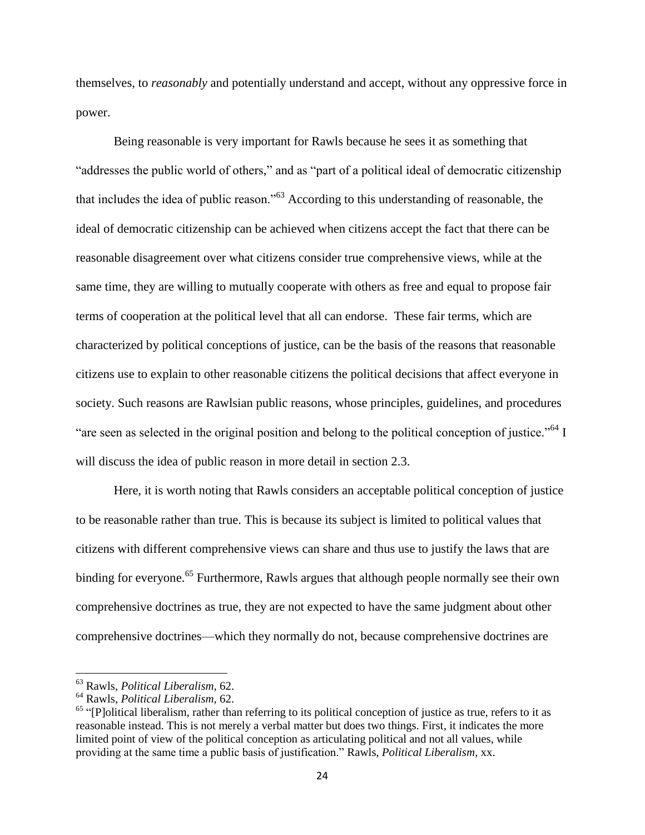themselves, to *reasonably* and potentially understand and accept, without any oppressive force in power.

Being reasonable is very important for Rawls because he sees it as something that "addresses the public world of others," and as "part of a political ideal of democratic citizenship that includes the idea of public reason."<sup>63</sup> According to this understanding of reasonable, the ideal of democratic citizenship can be achieved when citizens accept the fact that there can be reasonable disagreement over what citizens consider true comprehensive views, while at the same time, they are willing to mutually cooperate with others as free and equal to propose fair terms of cooperation at the political level that all can endorse. These fair terms, which are characterized by political conceptions of justice, can be the basis of the reasons that reasonable citizens use to explain to other reasonable citizens the political decisions that affect everyone in society. Such reasons are Rawlsian public reasons, whose principles, guidelines, and procedures "are seen as selected in the original position and belong to the political conception of justice."<sup>64</sup> I will discuss the idea of public reason in more detail in section 2.3.

Here, it is worth noting that Rawls considers an acceptable political conception of justice to be reasonable rather than true. This is because its subject is limited to political values that citizens with different comprehensive views can share and thus use to justify the laws that are binding for everyone.<sup>65</sup> Furthermore, Rawls argues that although people normally see their own comprehensive doctrines as true, they are not expected to have the same judgment about other comprehensive doctrines—which they normally do not, because comprehensive doctrines are

<sup>63</sup> Rawls, *Political Liberalism*, 62.

<sup>64</sup> Rawls, *Political Liberalism*, 62.

 $<sup>65</sup>$  "[P]olitical liberalism, rather than referring to its political conception of justice as true, refers to it as</sup> reasonable instead. This is not merely a verbal matter but does two things. First, it indicates the more limited point of view of the political conception as articulating political and not all values, while providing at the same time a public basis of justification." Rawls, *Political Liberalism*, xx.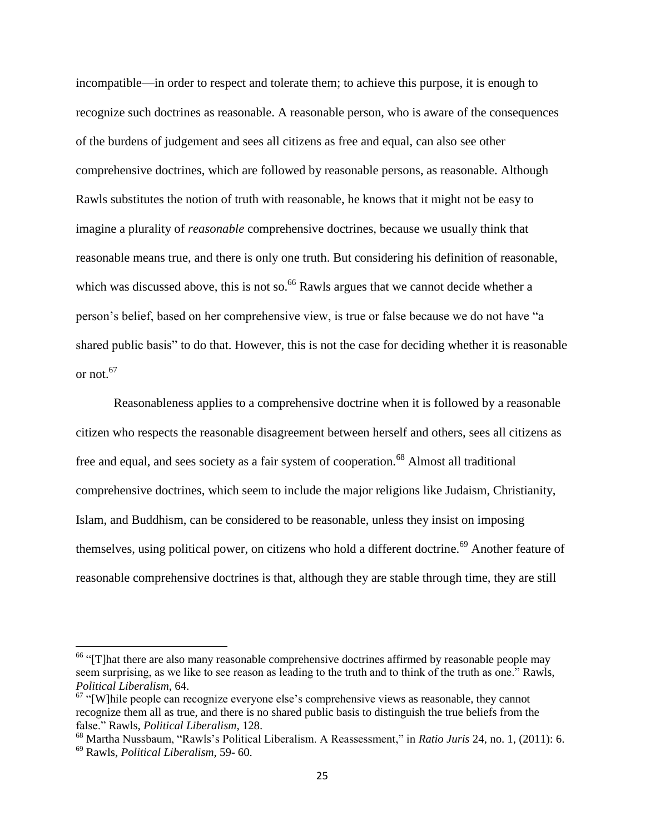incompatible—in order to respect and tolerate them; to achieve this purpose, it is enough to recognize such doctrines as reasonable. A reasonable person, who is aware of the consequences of the burdens of judgement and sees all citizens as free and equal, can also see other comprehensive doctrines, which are followed by reasonable persons, as reasonable. Although Rawls substitutes the notion of truth with reasonable, he knows that it might not be easy to imagine a plurality of *reasonable* comprehensive doctrines, because we usually think that reasonable means true, and there is only one truth. But considering his definition of reasonable, which was discussed above, this is not so.<sup>66</sup> Rawls argues that we cannot decide whether a person's belief, based on her comprehensive view, is true or false because we do not have "a shared public basis" to do that. However, this is not the case for deciding whether it is reasonable or not $67$ 

Reasonableness applies to a comprehensive doctrine when it is followed by a reasonable citizen who respects the reasonable disagreement between herself and others, sees all citizens as free and equal, and sees society as a fair system of cooperation.<sup>68</sup> Almost all traditional comprehensive doctrines, which seem to include the major religions like Judaism, Christianity, Islam, and Buddhism, can be considered to be reasonable, unless they insist on imposing themselves, using political power, on citizens who hold a different doctrine.<sup>69</sup> Another feature of reasonable comprehensive doctrines is that, although they are stable through time, they are still

 $66$  "[T]hat there are also many reasonable comprehensive doctrines affirmed by reasonable people may seem surprising, as we like to see reason as leading to the truth and to think of the truth as one." Rawls, *Political Liberalism*, 64.

 $67$  "[W]hile people can recognize everyone else's comprehensive views as reasonable, they cannot recognize them all as true, and there is no shared public basis to distinguish the true beliefs from the false." Rawls, *Political Liberalism*, 128.

<sup>68</sup> Martha Nussbaum, "Rawls's Political Liberalism. A Reassessment," in *Ratio Juris* 24, no. 1, (2011): 6. <sup>69</sup> Rawls, *Political Liberalism*, 59- 60.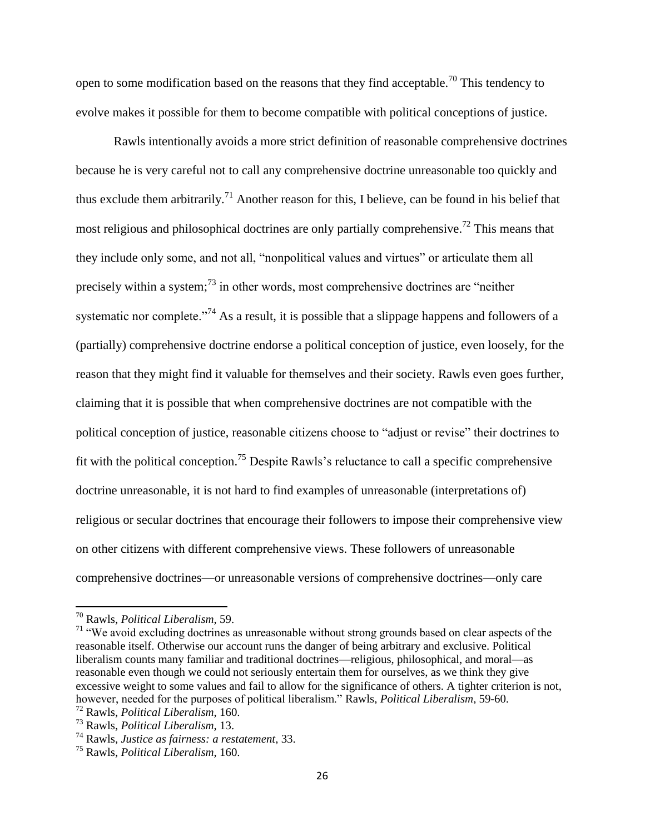open to some modification based on the reasons that they find acceptable.<sup>70</sup> This tendency to evolve makes it possible for them to become compatible with political conceptions of justice.

Rawls intentionally avoids a more strict definition of reasonable comprehensive doctrines because he is very careful not to call any comprehensive doctrine unreasonable too quickly and thus exclude them arbitrarily.<sup>71</sup> Another reason for this, I believe, can be found in his belief that most religious and philosophical doctrines are only partially comprehensive.<sup>72</sup> This means that they include only some, and not all, "nonpolitical values and virtues" or articulate them all precisely within a system; $^{73}$  in other words, most comprehensive doctrines are "neither" systematic nor complete."<sup>74</sup> As a result, it is possible that a slippage happens and followers of a (partially) comprehensive doctrine endorse a political conception of justice, even loosely, for the reason that they might find it valuable for themselves and their society. Rawls even goes further, claiming that it is possible that when comprehensive doctrines are not compatible with the political conception of justice, reasonable citizens choose to "adjust or revise" their doctrines to fit with the political conception.<sup>75</sup> Despite Rawls's reluctance to call a specific comprehensive doctrine unreasonable, it is not hard to find examples of unreasonable (interpretations of) religious or secular doctrines that encourage their followers to impose their comprehensive view on other citizens with different comprehensive views. These followers of unreasonable comprehensive doctrines—or unreasonable versions of comprehensive doctrines—only care

l

<sup>70</sup> Rawls, *Political Liberalism*, 59.

<sup>&</sup>lt;sup>71</sup> "We avoid excluding doctrines as unreasonable without strong grounds based on clear aspects of the reasonable itself. Otherwise our account runs the danger of being arbitrary and exclusive. Political liberalism counts many familiar and traditional doctrines—religious, philosophical, and moral—as reasonable even though we could not seriously entertain them for ourselves, as we think they give excessive weight to some values and fail to allow for the significance of others. A tighter criterion is not, however, needed for the purposes of political liberalism." Rawls, *Political Liberalism*, 59-60.

<sup>72</sup> Rawls, *Political Liberalism*, 160. <sup>73</sup> Rawls, *Political Liberalism*, 13.

<sup>74</sup> Rawls, *Justice as fairness: a restatement*, 33.

<sup>75</sup> Rawls, *Political Liberalism*, 160.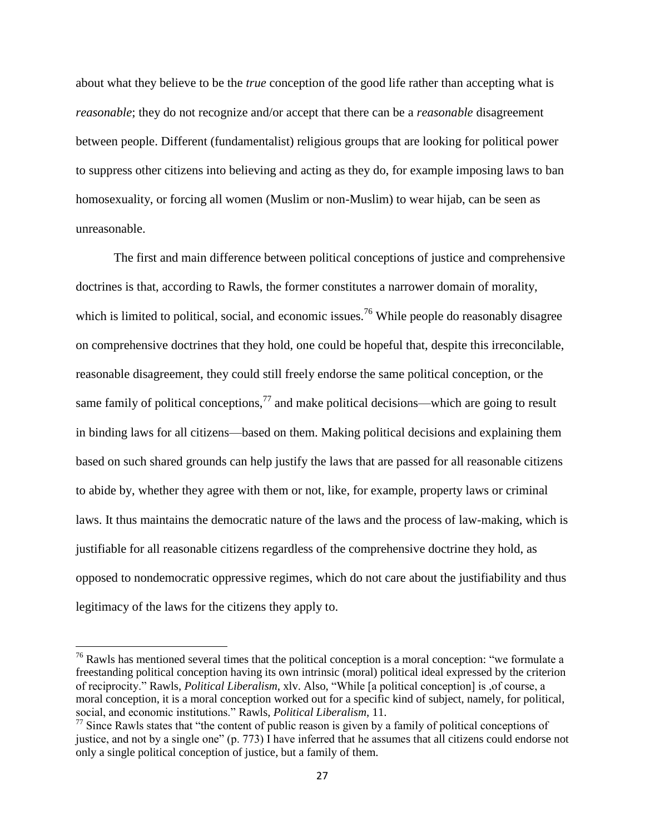about what they believe to be the *true* conception of the good life rather than accepting what is *reasonable*; they do not recognize and/or accept that there can be a *reasonable* disagreement between people. Different (fundamentalist) religious groups that are looking for political power to suppress other citizens into believing and acting as they do, for example imposing laws to ban homosexuality, or forcing all women (Muslim or non-Muslim) to wear hijab, can be seen as unreasonable.

The first and main difference between political conceptions of justice and comprehensive doctrines is that, according to Rawls, the former constitutes a narrower domain of morality, which is limited to political, social, and economic issues.<sup>76</sup> While people do reasonably disagree on comprehensive doctrines that they hold, one could be hopeful that, despite this irreconcilable, reasonable disagreement, they could still freely endorse the same political conception, or the same family of political conceptions,  $^{77}$  and make political decisions—which are going to result in binding laws for all citizens—based on them. Making political decisions and explaining them based on such shared grounds can help justify the laws that are passed for all reasonable citizens to abide by, whether they agree with them or not, like, for example, property laws or criminal laws. It thus maintains the democratic nature of the laws and the process of law-making, which is justifiable for all reasonable citizens regardless of the comprehensive doctrine they hold, as opposed to nondemocratic oppressive regimes, which do not care about the justifiability and thus legitimacy of the laws for the citizens they apply to.

 $76$  Rawls has mentioned several times that the political conception is a moral conception: "we formulate a freestanding political conception having its own intrinsic (moral) political ideal expressed by the criterion of reciprocity." Rawls, *Political Liberalism*, xlv. Also, "While [a political conception] is ,of course, a moral conception, it is a moral conception worked out for a specific kind of subject, namely, for political, social, and economic institutions." Rawls, *Political Liberalism*, 11.

 $77$  Since Rawls states that "the content of public reason is given by a family of political conceptions of justice, and not by a single one" (p. 773) I have inferred that he assumes that all citizens could endorse not only a single political conception of justice, but a family of them.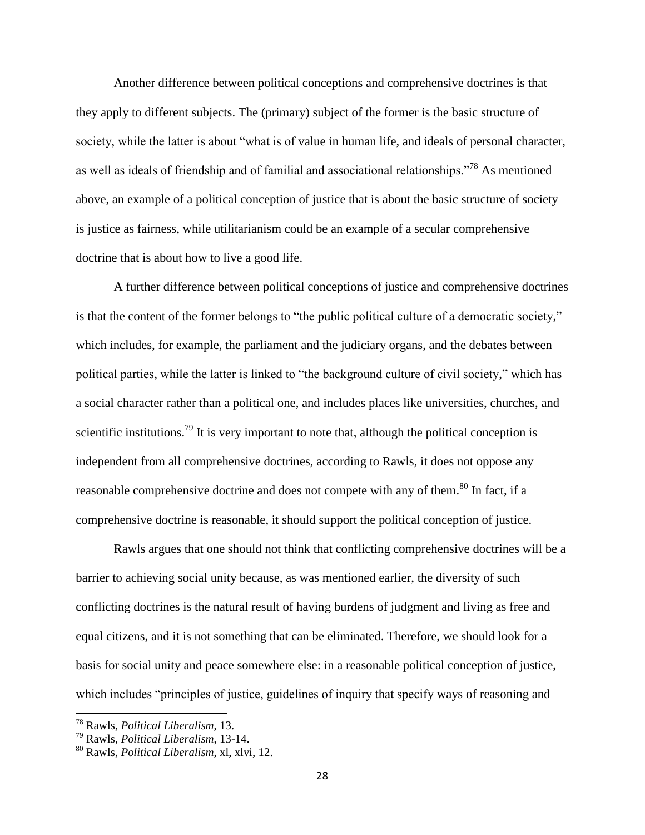Another difference between political conceptions and comprehensive doctrines is that they apply to different subjects. The (primary) subject of the former is the basic structure of society, while the latter is about "what is of value in human life, and ideals of personal character, as well as ideals of friendship and of familial and associational relationships."<sup>78</sup> As mentioned above, an example of a political conception of justice that is about the basic structure of society is justice as fairness, while utilitarianism could be an example of a secular comprehensive doctrine that is about how to live a good life.

A further difference between political conceptions of justice and comprehensive doctrines is that the content of the former belongs to "the public political culture of a democratic society," which includes, for example, the parliament and the judiciary organs, and the debates between political parties, while the latter is linked to "the background culture of civil society," which has a social character rather than a political one, and includes places like universities, churches, and scientific institutions.<sup>79</sup> It is very important to note that, although the political conception is independent from all comprehensive doctrines, according to Rawls, it does not oppose any reasonable comprehensive doctrine and does not compete with any of them.<sup>80</sup> In fact, if a comprehensive doctrine is reasonable, it should support the political conception of justice.

Rawls argues that one should not think that conflicting comprehensive doctrines will be a barrier to achieving social unity because, as was mentioned earlier, the diversity of such conflicting doctrines is the natural result of having burdens of judgment and living as free and equal citizens, and it is not something that can be eliminated. Therefore, we should look for a basis for social unity and peace somewhere else: in a reasonable political conception of justice, which includes "principles of justice, guidelines of inquiry that specify ways of reasoning and

<sup>78</sup> Rawls, *Political Liberalism*, 13.

<sup>79</sup> Rawls, *Political Liberalism*, 13-14.

<sup>80</sup> Rawls, *Political Liberalism*, xl, xlvi, 12.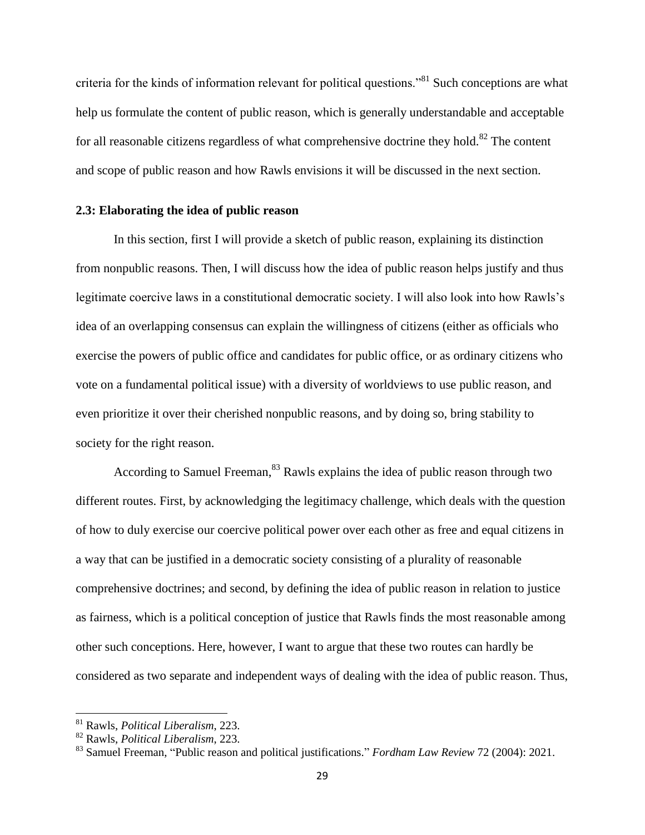criteria for the kinds of information relevant for political questions."<sup>81</sup> Such conceptions are what help us formulate the content of public reason, which is generally understandable and acceptable for all reasonable citizens regardless of what comprehensive doctrine they hold.<sup>82</sup> The content and scope of public reason and how Rawls envisions it will be discussed in the next section.

### <span id="page-33-0"></span>**2.3: Elaborating the idea of public reason**

In this section, first I will provide a sketch of public reason, explaining its distinction from nonpublic reasons. Then, I will discuss how the idea of public reason helps justify and thus legitimate coercive laws in a constitutional democratic society. I will also look into how Rawls's idea of an overlapping consensus can explain the willingness of citizens (either as officials who exercise the powers of public office and candidates for public office, or as ordinary citizens who vote on a fundamental political issue) with a diversity of worldviews to use public reason, and even prioritize it over their cherished nonpublic reasons, and by doing so, bring stability to society for the right reason.

According to Samuel Freeman, <sup>83</sup> Rawls explains the idea of public reason through two different routes. First, by acknowledging the legitimacy challenge, which deals with the question of how to duly exercise our coercive political power over each other as free and equal citizens in a way that can be justified in a democratic society consisting of a plurality of reasonable comprehensive doctrines; and second, by defining the idea of public reason in relation to justice as fairness, which is a political conception of justice that Rawls finds the most reasonable among other such conceptions. Here, however, I want to argue that these two routes can hardly be considered as two separate and independent ways of dealing with the idea of public reason. Thus,

<sup>81</sup> Rawls, *Political Liberalism*, 223.

<sup>82</sup> Rawls, *Political Liberalism*, 223.

<sup>83</sup> Samuel Freeman, "Public reason and political justifications." *Fordham Law Review* 72 (2004): 2021.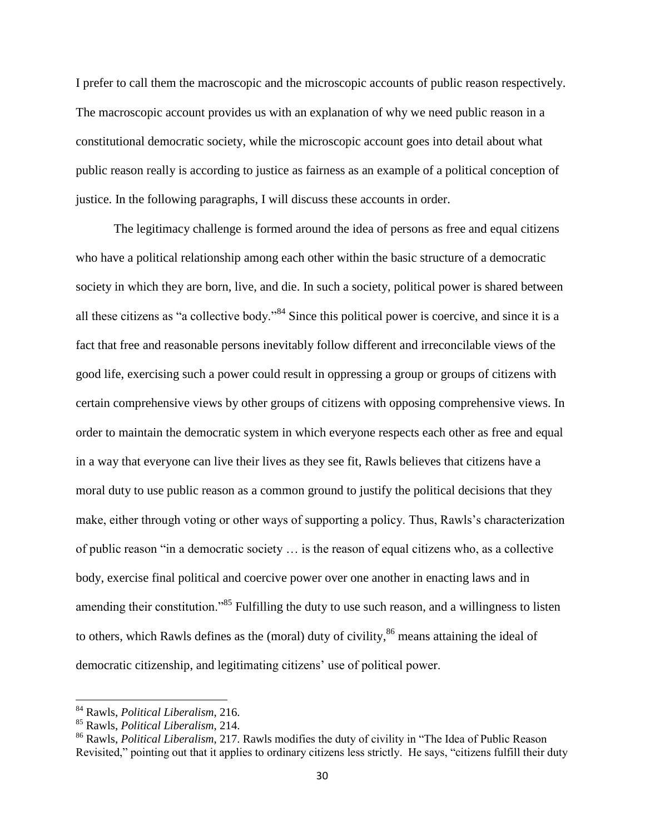I prefer to call them the macroscopic and the microscopic accounts of public reason respectively. The macroscopic account provides us with an explanation of why we need public reason in a constitutional democratic society, while the microscopic account goes into detail about what public reason really is according to justice as fairness as an example of a political conception of justice. In the following paragraphs, I will discuss these accounts in order.

The legitimacy challenge is formed around the idea of persons as free and equal citizens who have a political relationship among each other within the basic structure of a democratic society in which they are born, live, and die. In such a society, political power is shared between all these citizens as "a collective body."<sup>84</sup> Since this political power is coercive, and since it is a fact that free and reasonable persons inevitably follow different and irreconcilable views of the good life, exercising such a power could result in oppressing a group or groups of citizens with certain comprehensive views by other groups of citizens with opposing comprehensive views. In order to maintain the democratic system in which everyone respects each other as free and equal in a way that everyone can live their lives as they see fit, Rawls believes that citizens have a moral duty to use public reason as a common ground to justify the political decisions that they make, either through voting or other ways of supporting a policy. Thus, Rawls's characterization of public reason "in a democratic society … is the reason of equal citizens who, as a collective body, exercise final political and coercive power over one another in enacting laws and in amending their constitution.<sup>85</sup> Fulfilling the duty to use such reason, and a willingness to listen to others, which Rawls defines as the (moral) duty of civility,  $86$  means attaining the ideal of democratic citizenship, and legitimating citizens' use of political power.

l

<sup>84</sup> Rawls, *Political Liberalism*, 216.

<sup>85</sup> Rawls, *Political Liberalism*, 214.

<sup>86</sup> Rawls, *Political Liberalism*, 217. Rawls modifies the duty of civility in "The Idea of Public Reason Revisited," pointing out that it applies to ordinary citizens less strictly. He says, "citizens fulfill their duty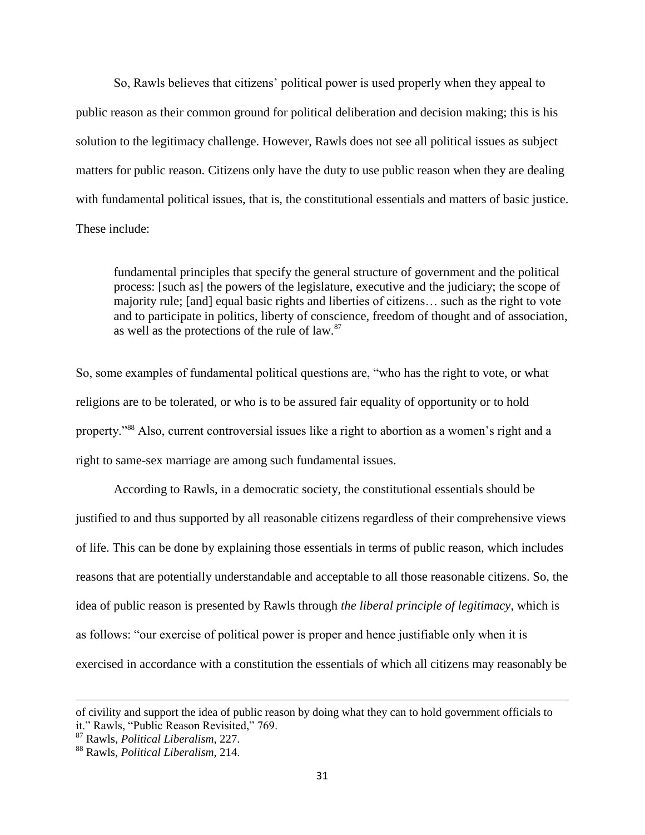So, Rawls believes that citizens' political power is used properly when they appeal to public reason as their common ground for political deliberation and decision making; this is his solution to the legitimacy challenge. However, Rawls does not see all political issues as subject matters for public reason. Citizens only have the duty to use public reason when they are dealing with fundamental political issues, that is, the constitutional essentials and matters of basic justice. These include:

fundamental principles that specify the general structure of government and the political process: [such as] the powers of the legislature, executive and the judiciary; the scope of majority rule; [and] equal basic rights and liberties of citizens… such as the right to vote and to participate in politics, liberty of conscience, freedom of thought and of association, as well as the protections of the rule of law.<sup>87</sup>

So, some examples of fundamental political questions are, "who has the right to vote, or what religions are to be tolerated, or who is to be assured fair equality of opportunity or to hold property."<sup>88</sup> Also, current controversial issues like a right to abortion as a women's right and a right to same-sex marriage are among such fundamental issues.

According to Rawls, in a democratic society, the constitutional essentials should be justified to and thus supported by all reasonable citizens regardless of their comprehensive views of life. This can be done by explaining those essentials in terms of public reason, which includes reasons that are potentially understandable and acceptable to all those reasonable citizens. So, the idea of public reason is presented by Rawls through *the liberal principle of legitimacy*, which is as follows: "our exercise of political power is proper and hence justifiable only when it is exercised in accordance with a constitution the essentials of which all citizens may reasonably be

l

of civility and support the idea of public reason by doing what they can to hold government officials to it." Rawls, "Public Reason Revisited," 769.

<sup>87</sup> Rawls, *Political Liberalism*, 227.

<sup>88</sup> Rawls, *Political Liberalism*, 214.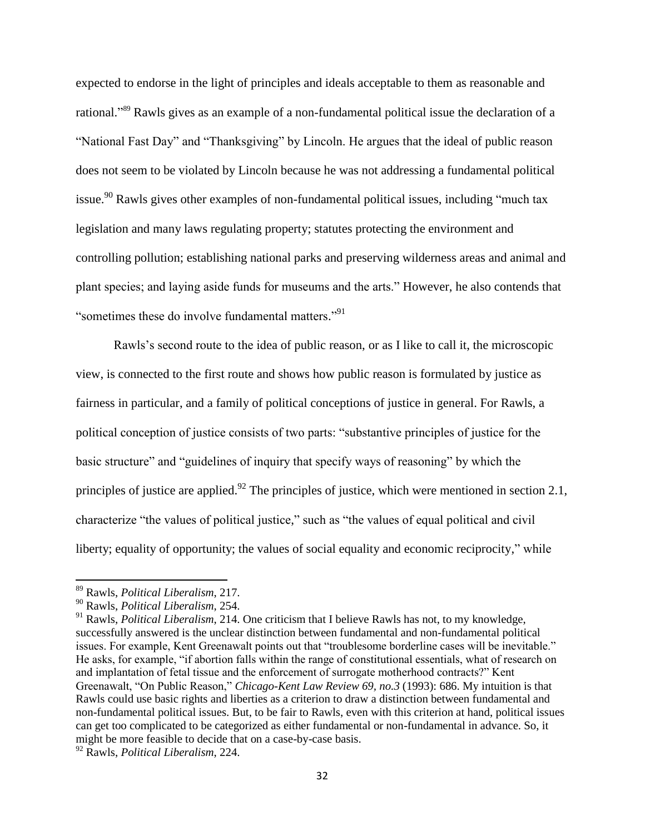expected to endorse in the light of principles and ideals acceptable to them as reasonable and rational." <sup>89</sup> Rawls gives as an example of a non-fundamental political issue the declaration of a "National Fast Day" and "Thanksgiving" by Lincoln. He argues that the ideal of public reason does not seem to be violated by Lincoln because he was not addressing a fundamental political issue.<sup>90</sup> Rawls gives other examples of non-fundamental political issues, including "much tax legislation and many laws regulating property; statutes protecting the environment and controlling pollution; establishing national parks and preserving wilderness areas and animal and plant species; and laying aside funds for museums and the arts." However, he also contends that "sometimes these do involve fundamental matters."<sup>91</sup>

Rawls's second route to the idea of public reason, or as I like to call it, the microscopic view, is connected to the first route and shows how public reason is formulated by justice as fairness in particular, and a family of political conceptions of justice in general. For Rawls, a political conception of justice consists of two parts: "substantive principles of justice for the basic structure" and "guidelines of inquiry that specify ways of reasoning" by which the principles of justice are applied.<sup>92</sup> The principles of justice, which were mentioned in section 2.1, characterize "the values of political justice," such as "the values of equal political and civil liberty; equality of opportunity; the values of social equality and economic reciprocity," while

<sup>89</sup> Rawls, *Political Liberalism*, 217.

<sup>90</sup> Rawls, *Political Liberalism*, 254.

<sup>&</sup>lt;sup>91</sup> Rawls, *Political Liberalism*, 214. One criticism that I believe Rawls has not, to my knowledge, successfully answered is the unclear distinction between fundamental and non-fundamental political issues. For example, Kent Greenawalt points out that "troublesome borderline cases will be inevitable." He asks, for example, "if abortion falls within the range of constitutional essentials, what of research on and implantation of fetal tissue and the enforcement of surrogate motherhood contracts?" Kent Greenawalt, "On Public Reason," *Chicago-Kent Law Review 69, no.3* (1993): 686. My intuition is that Rawls could use basic rights and liberties as a criterion to draw a distinction between fundamental and non-fundamental political issues. But, to be fair to Rawls, even with this criterion at hand, political issues can get too complicated to be categorized as either fundamental or non-fundamental in advance. So, it might be more feasible to decide that on a case-by-case basis.

<sup>92</sup> Rawls, *Political Liberalism*, 224.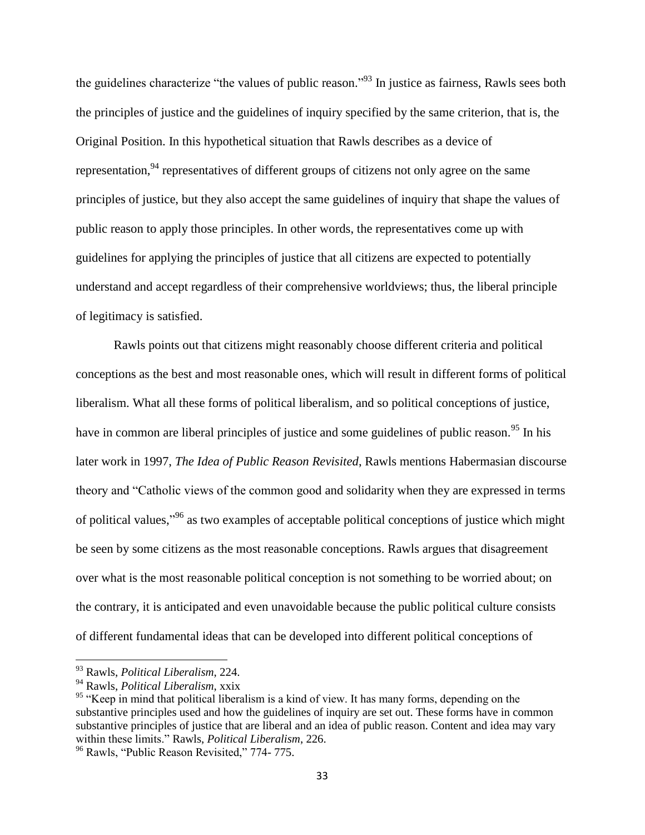the guidelines characterize "the values of public reason."<sup>93</sup> In justice as fairness, Rawls sees both the principles of justice and the guidelines of inquiry specified by the same criterion, that is, the Original Position. In this hypothetical situation that Rawls describes as a device of representation,  $94$  representatives of different groups of citizens not only agree on the same principles of justice, but they also accept the same guidelines of inquiry that shape the values of public reason to apply those principles. In other words, the representatives come up with guidelines for applying the principles of justice that all citizens are expected to potentially understand and accept regardless of their comprehensive worldviews; thus, the liberal principle of legitimacy is satisfied.

Rawls points out that citizens might reasonably choose different criteria and political conceptions as the best and most reasonable ones, which will result in different forms of political liberalism. What all these forms of political liberalism, and so political conceptions of justice, have in common are liberal principles of justice and some guidelines of public reason.<sup>95</sup> In his later work in 1997, *The Idea of Public Reason Revisited*, Rawls mentions Habermasian discourse theory and "Catholic views of the common good and solidarity when they are expressed in terms of political values,"<sup>96</sup> as two examples of acceptable political conceptions of justice which might be seen by some citizens as the most reasonable conceptions. Rawls argues that disagreement over what is the most reasonable political conception is not something to be worried about; on the contrary, it is anticipated and even unavoidable because the public political culture consists of different fundamental ideas that can be developed into different political conceptions of

<sup>93</sup> Rawls, *Political Liberalism*, 224.

<sup>94</sup> Rawls, *Political Liberalism*, xxix

<sup>&</sup>lt;sup>95</sup> "Keep in mind that political liberalism is a kind of view. It has many forms, depending on the substantive principles used and how the guidelines of inquiry are set out. These forms have in common substantive principles of justice that are liberal and an idea of public reason. Content and idea may vary within these limits." Rawls, *Political Liberalism*, 226.

<sup>&</sup>lt;sup>96</sup> Rawls, "Public Reason Revisited," 774- 775.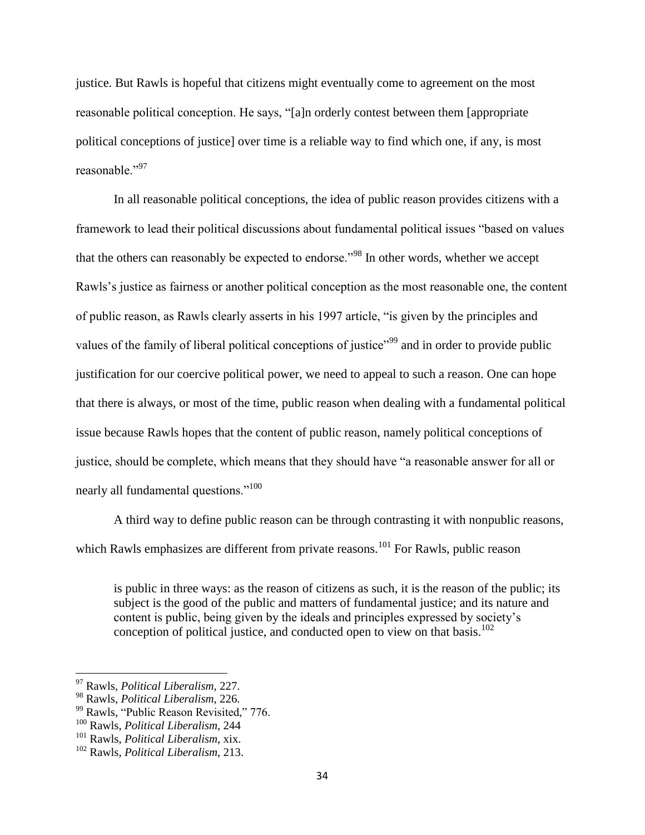justice. But Rawls is hopeful that citizens might eventually come to agreement on the most reasonable political conception. He says, "[a]n orderly contest between them [appropriate political conceptions of justice] over time is a reliable way to find which one, if any, is most reasonable<sup>"97</sup>

In all reasonable political conceptions, the idea of public reason provides citizens with a framework to lead their political discussions about fundamental political issues "based on values that the others can reasonably be expected to endorse."<sup>98</sup> In other words, whether we accept Rawls's justice as fairness or another political conception as the most reasonable one, the content of public reason, as Rawls clearly asserts in his 1997 article, "is given by the principles and values of the family of liberal political conceptions of justice"<sup>99</sup> and in order to provide public justification for our coercive political power, we need to appeal to such a reason. One can hope that there is always, or most of the time, public reason when dealing with a fundamental political issue because Rawls hopes that the content of public reason, namely political conceptions of justice, should be complete, which means that they should have "a reasonable answer for all or nearly all fundamental questions."<sup>100</sup>

A third way to define public reason can be through contrasting it with nonpublic reasons, which Rawls emphasizes are different from private reasons.<sup>101</sup> For Rawls, public reason

is public in three ways: as the reason of citizens as such, it is the reason of the public; its subject is the good of the public and matters of fundamental justice; and its nature and content is public, being given by the ideals and principles expressed by society's conception of political justice, and conducted open to view on that basis.<sup>102</sup>

<sup>97</sup> Rawls, *Political Liberalism*, 227.

<sup>98</sup> Rawls, *Political Liberalism*, 226.

<sup>&</sup>lt;sup>99</sup> Rawls, "Public Reason Revisited," 776.

<sup>100</sup> Rawls, *Political Liberalism*, 244

<sup>101</sup> Rawls, *Political Liberalism*, xix.

<sup>102</sup> Rawls, *Political Liberalism*, 213.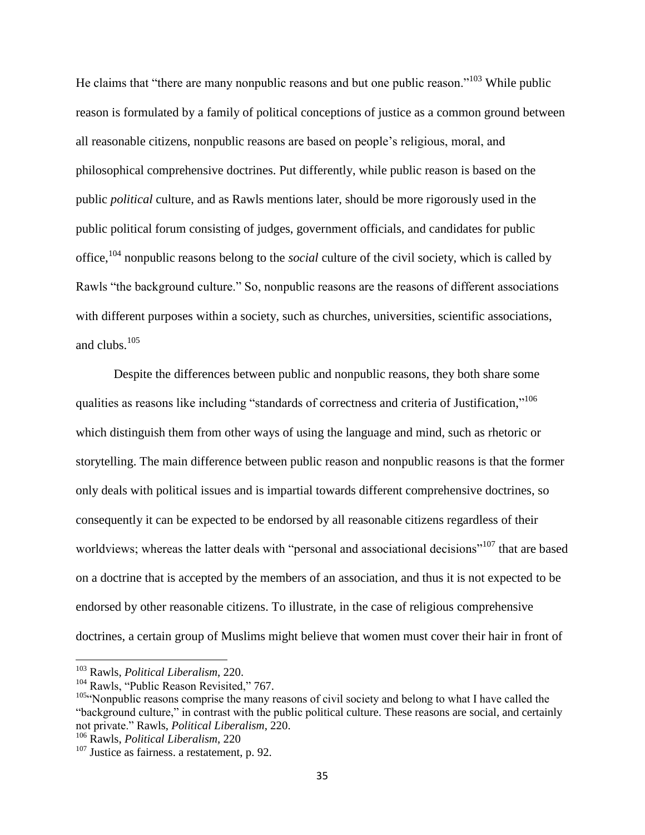He claims that "there are many nonpublic reasons and but one public reason."<sup>103</sup> While public reason is formulated by a family of political conceptions of justice as a common ground between all reasonable citizens, nonpublic reasons are based on people's religious, moral, and philosophical comprehensive doctrines. Put differently, while public reason is based on the public *political* culture, and as Rawls mentions later, should be more rigorously used in the public political forum consisting of judges, government officials, and candidates for public office,<sup>104</sup> nonpublic reasons belong to the *social* culture of the civil society, which is called by Rawls "the background culture." So, nonpublic reasons are the reasons of different associations with different purposes within a society, such as churches, universities, scientific associations, and clubs.<sup>105</sup>

Despite the differences between public and nonpublic reasons, they both share some qualities as reasons like including "standards of correctness and criteria of Justification,"<sup>106</sup> which distinguish them from other ways of using the language and mind, such as rhetoric or storytelling. The main difference between public reason and nonpublic reasons is that the former only deals with political issues and is impartial towards different comprehensive doctrines, so consequently it can be expected to be endorsed by all reasonable citizens regardless of their worldviews; whereas the latter deals with "personal and associational decisions"<sup>107</sup> that are based on a doctrine that is accepted by the members of an association, and thus it is not expected to be endorsed by other reasonable citizens. To illustrate, in the case of religious comprehensive doctrines, a certain group of Muslims might believe that women must cover their hair in front of

<sup>103</sup> Rawls, *Political Liberalism*, 220.

<sup>&</sup>lt;sup>104</sup> Rawls, "Public Reason Revisited," 767.

<sup>&</sup>lt;sup>105"</sup>Nonpublic reasons comprise the many reasons of civil society and belong to what I have called the "background culture," in contrast with the public political culture. These reasons are social, and certainly not private." Rawls, *Political Liberalism*, 220.

<sup>106</sup> Rawls, *Political Liberalism*, 220

<sup>&</sup>lt;sup>107</sup> Justice as fairness. a restatement, p. 92.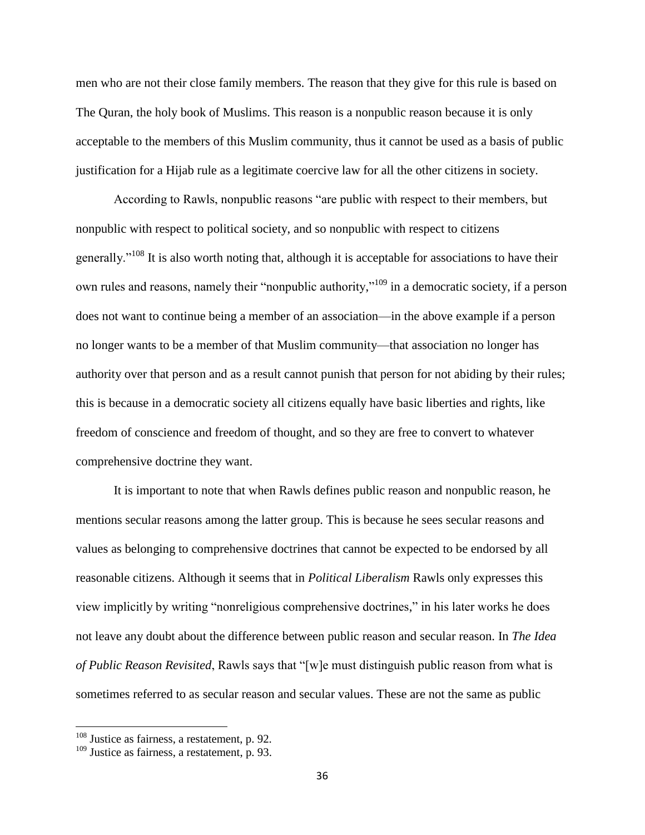men who are not their close family members. The reason that they give for this rule is based on The Quran, the holy book of Muslims. This reason is a nonpublic reason because it is only acceptable to the members of this Muslim community, thus it cannot be used as a basis of public justification for a Hijab rule as a legitimate coercive law for all the other citizens in society.

According to Rawls, nonpublic reasons "are public with respect to their members, but nonpublic with respect to political society, and so nonpublic with respect to citizens generally."<sup>108</sup> It is also worth noting that, although it is acceptable for associations to have their own rules and reasons, namely their "nonpublic authority,"<sup>109</sup> in a democratic society, if a person does not want to continue being a member of an association—in the above example if a person no longer wants to be a member of that Muslim community—that association no longer has authority over that person and as a result cannot punish that person for not abiding by their rules; this is because in a democratic society all citizens equally have basic liberties and rights, like freedom of conscience and freedom of thought, and so they are free to convert to whatever comprehensive doctrine they want.

It is important to note that when Rawls defines public reason and nonpublic reason, he mentions secular reasons among the latter group. This is because he sees secular reasons and values as belonging to comprehensive doctrines that cannot be expected to be endorsed by all reasonable citizens. Although it seems that in *Political Liberalism* Rawls only expresses this view implicitly by writing "nonreligious comprehensive doctrines," in his later works he does not leave any doubt about the difference between public reason and secular reason. In *The Idea of Public Reason Revisited*, Rawls says that "[w]e must distinguish public reason from what is sometimes referred to as secular reason and secular values. These are not the same as public

 $108$  Justice as fairness, a restatement, p. 92.

<sup>&</sup>lt;sup>109</sup> Justice as fairness, a restatement, p. 93.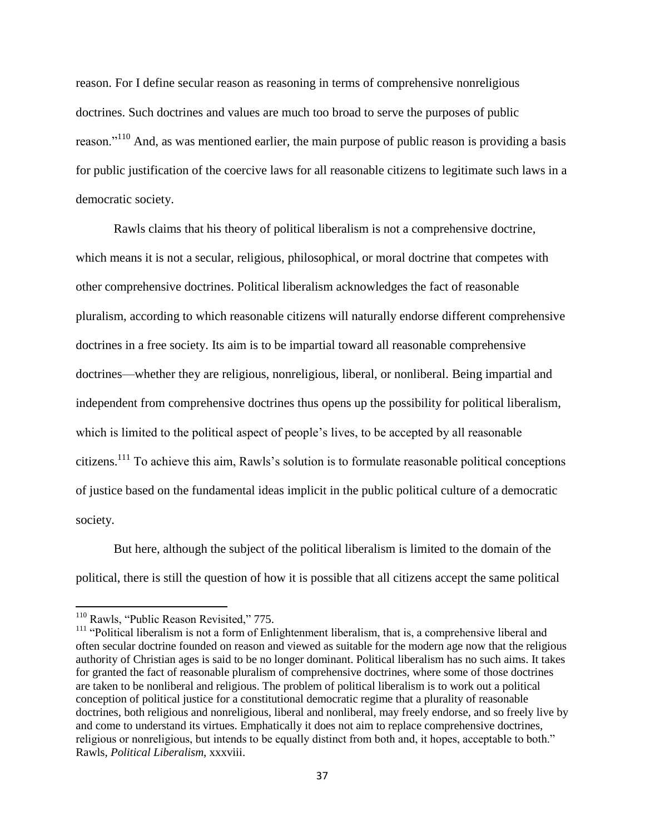reason. For I define secular reason as reasoning in terms of comprehensive nonreligious doctrines. Such doctrines and values are much too broad to serve the purposes of public reason."<sup>110</sup> And, as was mentioned earlier, the main purpose of public reason is providing a basis for public justification of the coercive laws for all reasonable citizens to legitimate such laws in a democratic society.

Rawls claims that his theory of political liberalism is not a comprehensive doctrine, which means it is not a secular, religious, philosophical, or moral doctrine that competes with other comprehensive doctrines. Political liberalism acknowledges the fact of reasonable pluralism, according to which reasonable citizens will naturally endorse different comprehensive doctrines in a free society. Its aim is to be impartial toward all reasonable comprehensive doctrines—whether they are religious, nonreligious, liberal, or nonliberal. Being impartial and independent from comprehensive doctrines thus opens up the possibility for political liberalism, which is limited to the political aspect of people's lives, to be accepted by all reasonable citizens.<sup>111</sup> To achieve this aim, Rawls's solution is to formulate reasonable political conceptions of justice based on the fundamental ideas implicit in the public political culture of a democratic society.

But here, although the subject of the political liberalism is limited to the domain of the political, there is still the question of how it is possible that all citizens accept the same political

l

<sup>&</sup>lt;sup>110</sup> Rawls, "Public Reason Revisited," 775.

 $111$  "Political liberalism is not a form of Enlightenment liberalism, that is, a comprehensive liberal and often secular doctrine founded on reason and viewed as suitable for the modern age now that the religious authority of Christian ages is said to be no longer dominant. Political liberalism has no such aims. It takes for granted the fact of reasonable pluralism of comprehensive doctrines, where some of those doctrines are taken to be nonliberal and religious. The problem of political liberalism is to work out a political conception of political justice for a constitutional democratic regime that a plurality of reasonable doctrines, both religious and nonreligious, liberal and nonliberal, may freely endorse, and so freely live by and come to understand its virtues. Emphatically it does not aim to replace comprehensive doctrines, religious or nonreligious, but intends to be equally distinct from both and, it hopes, acceptable to both." Rawls, *Political Liberalism*, xxxviii.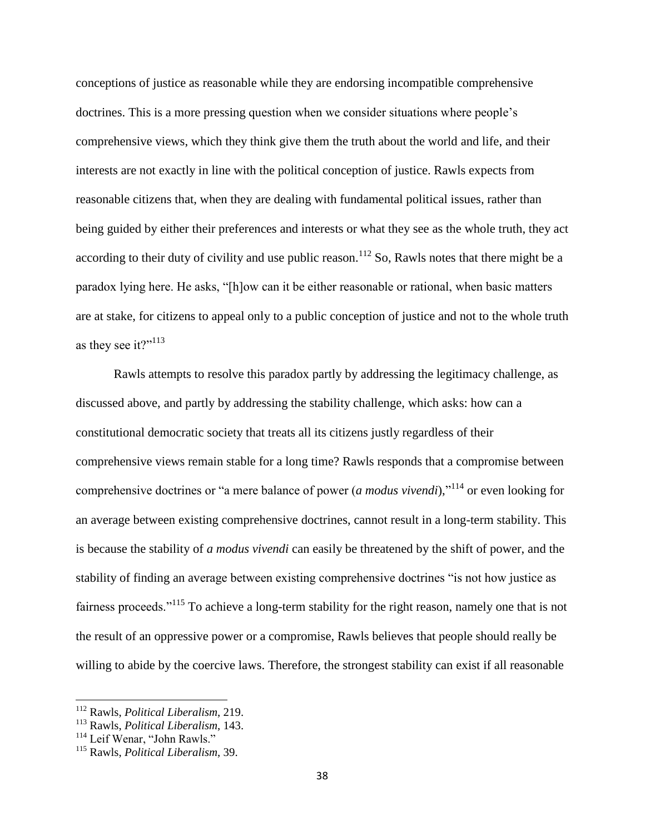conceptions of justice as reasonable while they are endorsing incompatible comprehensive doctrines. This is a more pressing question when we consider situations where people's comprehensive views, which they think give them the truth about the world and life, and their interests are not exactly in line with the political conception of justice. Rawls expects from reasonable citizens that, when they are dealing with fundamental political issues, rather than being guided by either their preferences and interests or what they see as the whole truth, they act according to their duty of civility and use public reason.<sup>112</sup> So, Rawls notes that there might be a paradox lying here. He asks, "[h]ow can it be either reasonable or rational, when basic matters are at stake, for citizens to appeal only to a public conception of justice and not to the whole truth as they see it?"<sup>113</sup>

Rawls attempts to resolve this paradox partly by addressing the legitimacy challenge, as discussed above, and partly by addressing the stability challenge, which asks: how can a constitutional democratic society that treats all its citizens justly regardless of their comprehensive views remain stable for a long time? Rawls responds that a compromise between comprehensive doctrines or "a mere balance of power (*a modus vivendi*)," <sup>114</sup> or even looking for an average between existing comprehensive doctrines, cannot result in a long-term stability. This is because the stability of *a modus vivendi* can easily be threatened by the shift of power, and the stability of finding an average between existing comprehensive doctrines "is not how justice as fairness proceeds."<sup>115</sup> To achieve a long-term stability for the right reason, namely one that is not the result of an oppressive power or a compromise, Rawls believes that people should really be willing to abide by the coercive laws. Therefore, the strongest stability can exist if all reasonable

l

<sup>112</sup> Rawls, *Political Liberalism*, 219.

<sup>113</sup> Rawls, *Political Liberalism*, 143.

<sup>&</sup>lt;sup>114</sup> Leif Wenar, "John Rawls."

<sup>115</sup> Rawls, *Political Liberalism*, 39.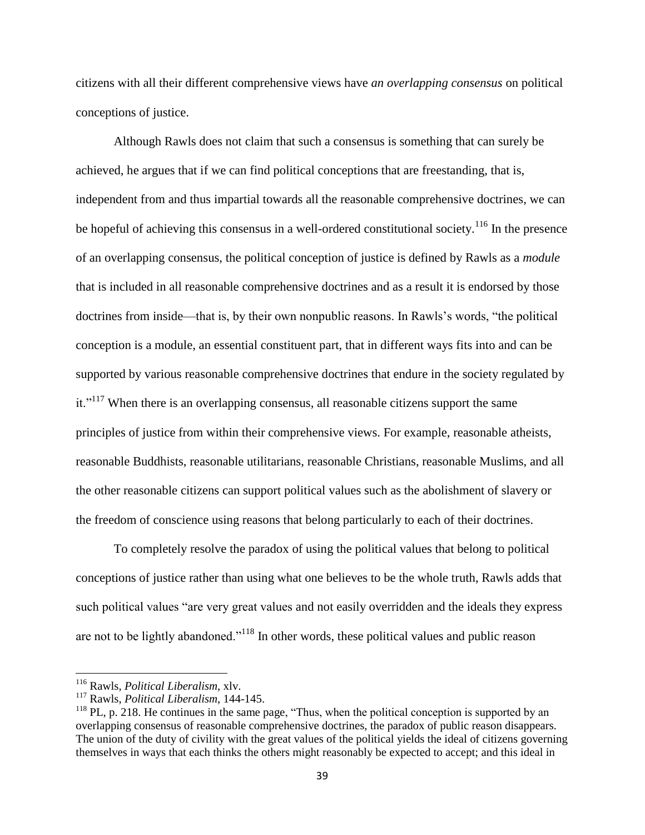citizens with all their different comprehensive views have *an overlapping consensus* on political conceptions of justice.

Although Rawls does not claim that such a consensus is something that can surely be achieved, he argues that if we can find political conceptions that are freestanding, that is, independent from and thus impartial towards all the reasonable comprehensive doctrines, we can be hopeful of achieving this consensus in a well-ordered constitutional society.<sup>116</sup> In the presence of an overlapping consensus, the political conception of justice is defined by Rawls as a *module* that is included in all reasonable comprehensive doctrines and as a result it is endorsed by those doctrines from inside—that is, by their own nonpublic reasons. In Rawls's words, "the political conception is a module, an essential constituent part, that in different ways fits into and can be supported by various reasonable comprehensive doctrines that endure in the society regulated by  $it.^{117}$  When there is an overlapping consensus, all reasonable citizens support the same principles of justice from within their comprehensive views. For example, reasonable atheists, reasonable Buddhists, reasonable utilitarians, reasonable Christians, reasonable Muslims, and all the other reasonable citizens can support political values such as the abolishment of slavery or the freedom of conscience using reasons that belong particularly to each of their doctrines.

To completely resolve the paradox of using the political values that belong to political conceptions of justice rather than using what one believes to be the whole truth, Rawls adds that such political values "are very great values and not easily overridden and the ideals they express are not to be lightly abandoned."<sup>118</sup> In other words, these political values and public reason

<sup>116</sup> Rawls, *Political Liberalism*, xlv.

<sup>117</sup> Rawls, *Political Liberalism*, 144-145.

<sup>&</sup>lt;sup>118</sup> PL, p. 218. He continues in the same page, "Thus, when the political conception is supported by an overlapping consensus of reasonable comprehensive doctrines, the paradox of public reason disappears. The union of the duty of civility with the great values of the political yields the ideal of citizens governing themselves in ways that each thinks the others might reasonably be expected to accept; and this ideal in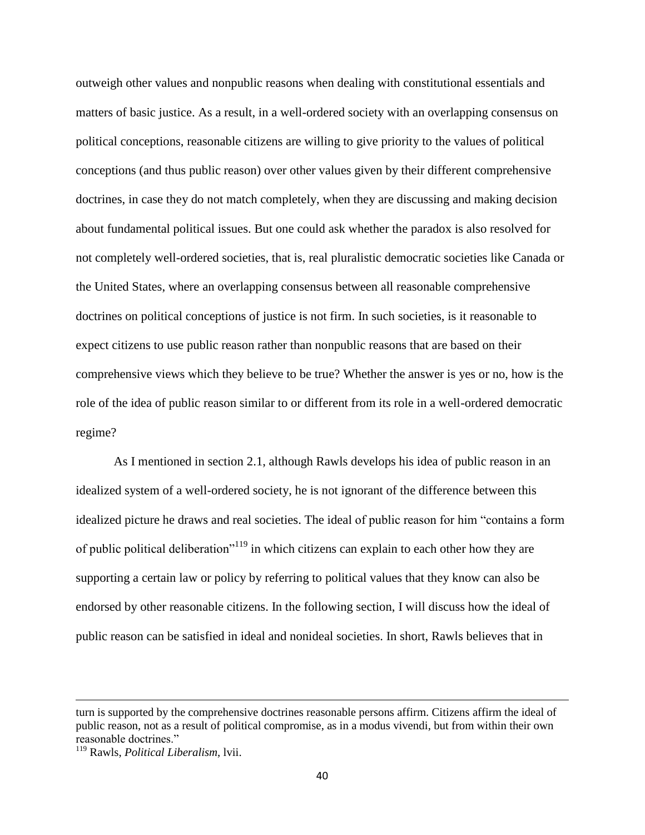outweigh other values and nonpublic reasons when dealing with constitutional essentials and matters of basic justice. As a result, in a well-ordered society with an overlapping consensus on political conceptions, reasonable citizens are willing to give priority to the values of political conceptions (and thus public reason) over other values given by their different comprehensive doctrines, in case they do not match completely, when they are discussing and making decision about fundamental political issues. But one could ask whether the paradox is also resolved for not completely well-ordered societies, that is, real pluralistic democratic societies like Canada or the United States, where an overlapping consensus between all reasonable comprehensive doctrines on political conceptions of justice is not firm. In such societies, is it reasonable to expect citizens to use public reason rather than nonpublic reasons that are based on their comprehensive views which they believe to be true? Whether the answer is yes or no, how is the role of the idea of public reason similar to or different from its role in a well-ordered democratic regime?

As I mentioned in section 2.1, although Rawls develops his idea of public reason in an idealized system of a well-ordered society, he is not ignorant of the difference between this idealized picture he draws and real societies. The ideal of public reason for him "contains a form of public political deliberation<sup>"119</sup> in which citizens can explain to each other how they are supporting a certain law or policy by referring to political values that they know can also be endorsed by other reasonable citizens. In the following section, I will discuss how the ideal of public reason can be satisfied in ideal and nonideal societies. In short, Rawls believes that in

l

turn is supported by the comprehensive doctrines reasonable persons affirm. Citizens affirm the ideal of public reason, not as a result of political compromise, as in a modus vivendi, but from within their own reasonable doctrines."

<sup>119</sup> Rawls, *Political Liberalism*, lvii.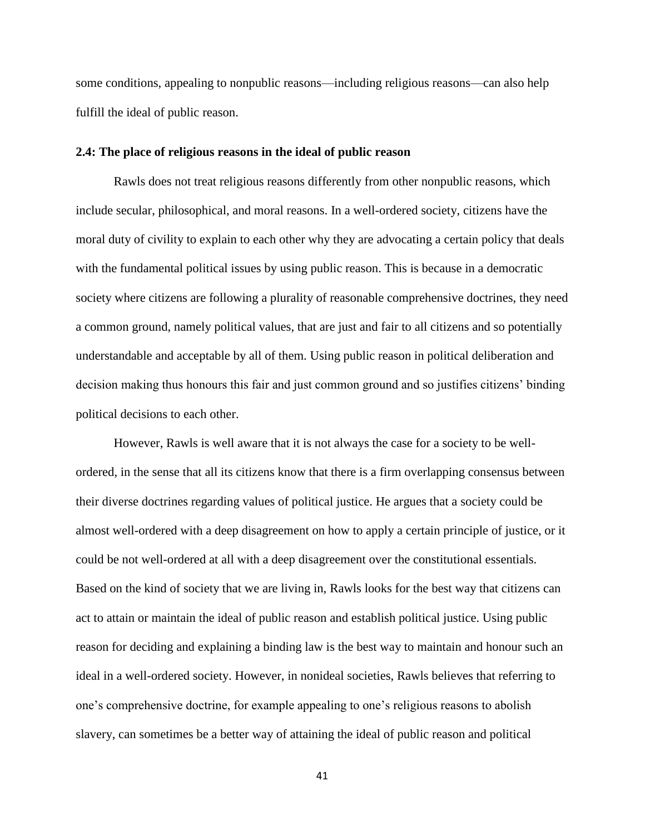some conditions, appealing to nonpublic reasons—including religious reasons—can also help fulfill the ideal of public reason.

## **2.4: The place of religious reasons in the ideal of public reason**

Rawls does not treat religious reasons differently from other nonpublic reasons, which include secular, philosophical, and moral reasons. In a well-ordered society, citizens have the moral duty of civility to explain to each other why they are advocating a certain policy that deals with the fundamental political issues by using public reason. This is because in a democratic society where citizens are following a plurality of reasonable comprehensive doctrines, they need a common ground, namely political values, that are just and fair to all citizens and so potentially understandable and acceptable by all of them. Using public reason in political deliberation and decision making thus honours this fair and just common ground and so justifies citizens' binding political decisions to each other.

However, Rawls is well aware that it is not always the case for a society to be wellordered, in the sense that all its citizens know that there is a firm overlapping consensus between their diverse doctrines regarding values of political justice. He argues that a society could be almost well-ordered with a deep disagreement on how to apply a certain principle of justice, or it could be not well-ordered at all with a deep disagreement over the constitutional essentials. Based on the kind of society that we are living in, Rawls looks for the best way that citizens can act to attain or maintain the ideal of public reason and establish political justice. Using public reason for deciding and explaining a binding law is the best way to maintain and honour such an ideal in a well-ordered society. However, in nonideal societies, Rawls believes that referring to one's comprehensive doctrine, for example appealing to one's religious reasons to abolish slavery, can sometimes be a better way of attaining the ideal of public reason and political

41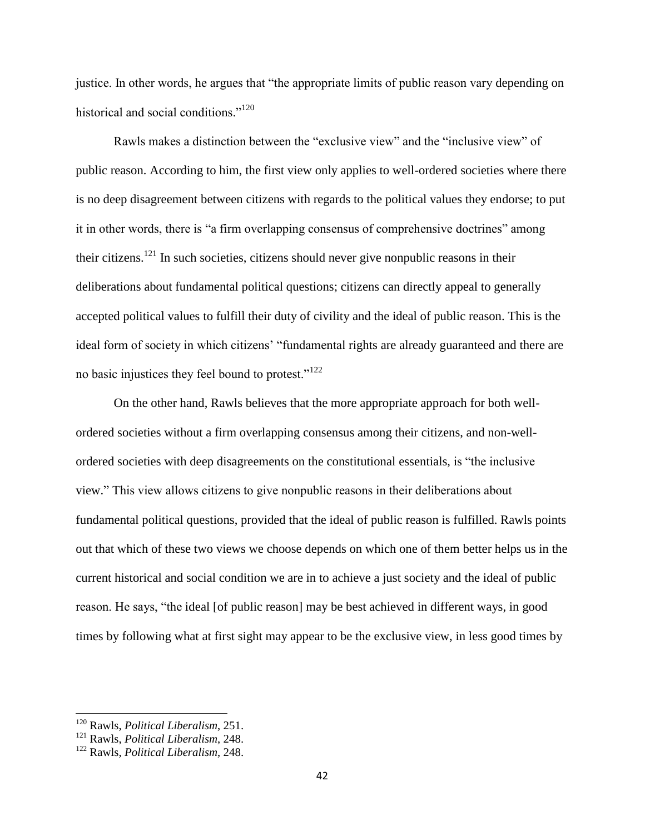justice. In other words, he argues that "the appropriate limits of public reason vary depending on historical and social conditions."<sup>120</sup>

Rawls makes a distinction between the "exclusive view" and the "inclusive view" of public reason. According to him, the first view only applies to well-ordered societies where there is no deep disagreement between citizens with regards to the political values they endorse; to put it in other words, there is "a firm overlapping consensus of comprehensive doctrines" among their citizens.<sup>121</sup> In such societies, citizens should never give nonpublic reasons in their deliberations about fundamental political questions; citizens can directly appeal to generally accepted political values to fulfill their duty of civility and the ideal of public reason. This is the ideal form of society in which citizens' "fundamental rights are already guaranteed and there are no basic injustices they feel bound to protest."<sup>122</sup>

On the other hand, Rawls believes that the more appropriate approach for both wellordered societies without a firm overlapping consensus among their citizens, and non-wellordered societies with deep disagreements on the constitutional essentials, is "the inclusive view." This view allows citizens to give nonpublic reasons in their deliberations about fundamental political questions, provided that the ideal of public reason is fulfilled. Rawls points out that which of these two views we choose depends on which one of them better helps us in the current historical and social condition we are in to achieve a just society and the ideal of public reason. He says, "the ideal [of public reason] may be best achieved in different ways, in good times by following what at first sight may appear to be the exclusive view, in less good times by

<sup>120</sup> Rawls, *Political Liberalism*, 251.

<sup>121</sup> Rawls, *Political Liberalism*, 248.

<sup>122</sup> Rawls, *Political Liberalism*, 248.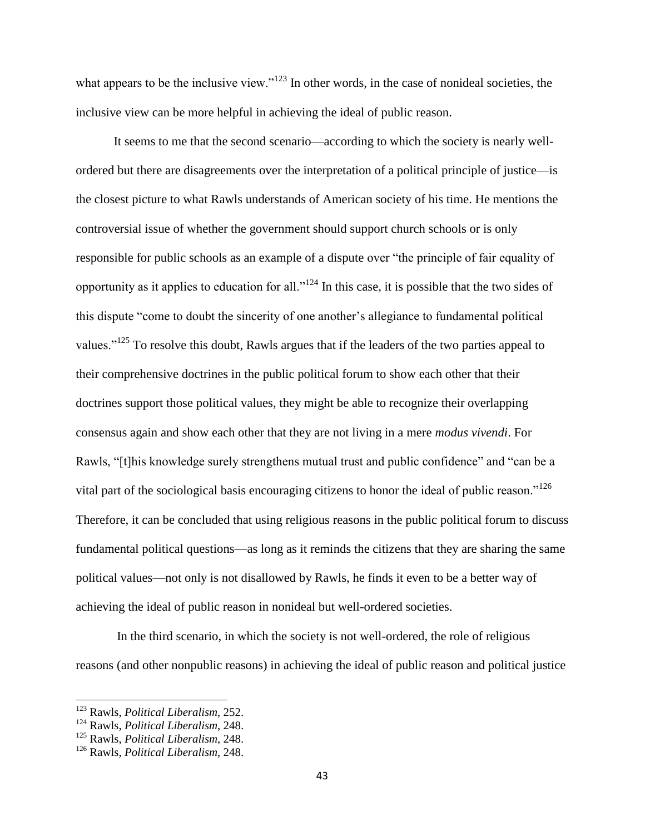what appears to be the inclusive view."<sup>123</sup> In other words, in the case of nonideal societies, the inclusive view can be more helpful in achieving the ideal of public reason.

It seems to me that the second scenario—according to which the society is nearly wellordered but there are disagreements over the interpretation of a political principle of justice—is the closest picture to what Rawls understands of American society of his time. He mentions the controversial issue of whether the government should support church schools or is only responsible for public schools as an example of a dispute over "the principle of fair equality of opportunity as it applies to education for all." $124$  In this case, it is possible that the two sides of this dispute "come to doubt the sincerity of one another's allegiance to fundamental political values."<sup>125</sup> To resolve this doubt, Rawls argues that if the leaders of the two parties appeal to their comprehensive doctrines in the public political forum to show each other that their doctrines support those political values, they might be able to recognize their overlapping consensus again and show each other that they are not living in a mere *modus vivendi*. For Rawls, "[t]his knowledge surely strengthens mutual trust and public confidence" and "can be a vital part of the sociological basis encouraging citizens to honor the ideal of public reason."<sup>126</sup> Therefore, it can be concluded that using religious reasons in the public political forum to discuss fundamental political questions—as long as it reminds the citizens that they are sharing the same political values—not only is not disallowed by Rawls, he finds it even to be a better way of achieving the ideal of public reason in nonideal but well-ordered societies.

In the third scenario, in which the society is not well-ordered, the role of religious reasons (and other nonpublic reasons) in achieving the ideal of public reason and political justice

l

<sup>123</sup> Rawls, *Political Liberalism*, 252.

<sup>124</sup> Rawls, *Political Liberalism*, 248.

<sup>125</sup> Rawls, *Political Liberalism*, 248.

<sup>126</sup> Rawls, *Political Liberalism*, 248.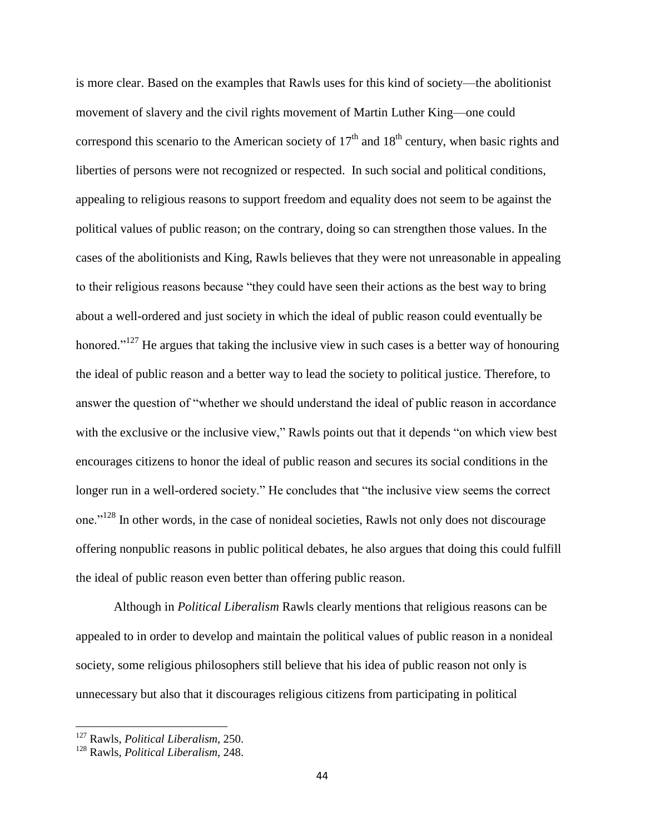is more clear. Based on the examples that Rawls uses for this kind of society—the abolitionist movement of slavery and the civil rights movement of Martin Luther King—one could correspond this scenario to the American society of  $17<sup>th</sup>$  and  $18<sup>th</sup>$  century, when basic rights and liberties of persons were not recognized or respected. In such social and political conditions, appealing to religious reasons to support freedom and equality does not seem to be against the political values of public reason; on the contrary, doing so can strengthen those values. In the cases of the abolitionists and King, Rawls believes that they were not unreasonable in appealing to their religious reasons because "they could have seen their actions as the best way to bring about a well-ordered and just society in which the ideal of public reason could eventually be honored."<sup>127</sup> He argues that taking the inclusive view in such cases is a better way of honouring the ideal of public reason and a better way to lead the society to political justice. Therefore, to answer the question of "whether we should understand the ideal of public reason in accordance with the exclusive or the inclusive view," Rawls points out that it depends "on which view best" encourages citizens to honor the ideal of public reason and secures its social conditions in the longer run in a well-ordered society." He concludes that "the inclusive view seems the correct one."<sup>128</sup> In other words, in the case of nonideal societies, Rawls not only does not discourage offering nonpublic reasons in public political debates, he also argues that doing this could fulfill the ideal of public reason even better than offering public reason.

Although in *Political Liberalism* Rawls clearly mentions that religious reasons can be appealed to in order to develop and maintain the political values of public reason in a nonideal society, some religious philosophers still believe that his idea of public reason not only is unnecessary but also that it discourages religious citizens from participating in political

<sup>127</sup> Rawls, *Political Liberalism*, 250.

<sup>128</sup> Rawls, *Political Liberalism*, 248.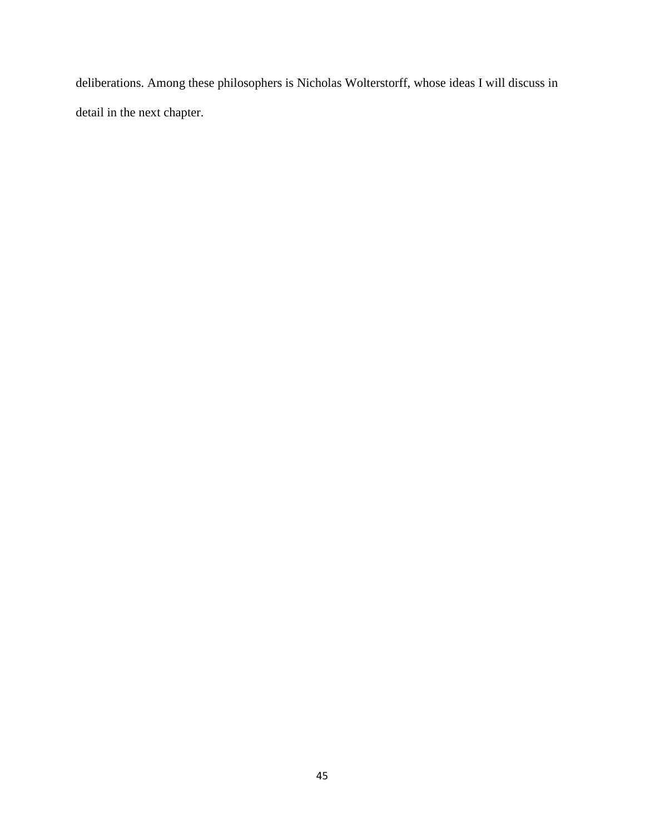deliberations. Among these philosophers is Nicholas Wolterstorff, whose ideas I will discuss in detail in the next chapter.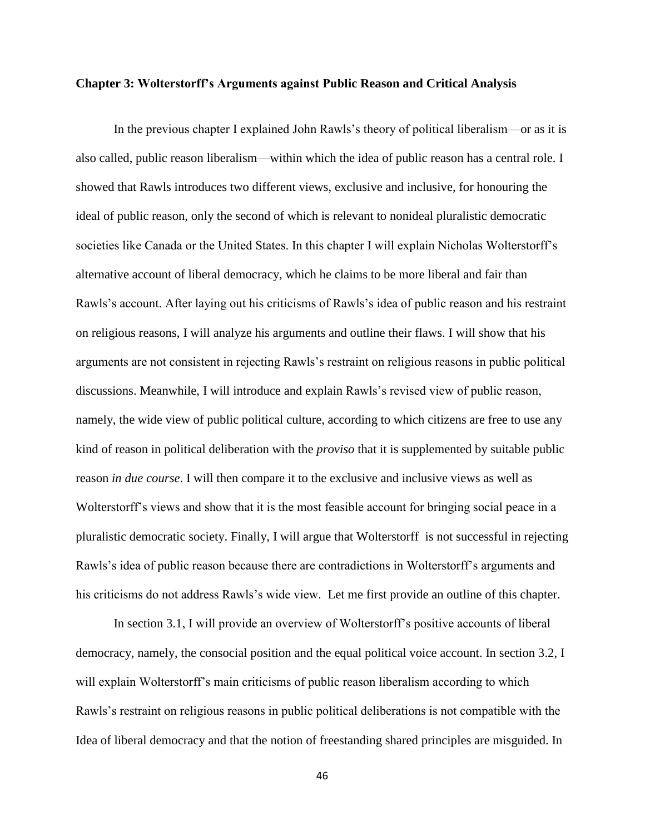### **Chapter 3: Wolterstorff's Arguments against Public Reason and Critical Analysis**

In the previous chapter I explained John Rawls's theory of political liberalism—or as it is also called, public reason liberalism—within which the idea of public reason has a central role. I showed that Rawls introduces two different views, exclusive and inclusive, for honouring the ideal of public reason, only the second of which is relevant to nonideal pluralistic democratic societies like Canada or the United States. In this chapter I will explain Nicholas Wolterstorff's alternative account of liberal democracy, which he claims to be more liberal and fair than Rawls's account. After laying out his criticisms of Rawls's idea of public reason and his restraint on religious reasons, I will analyze his arguments and outline their flaws. I will show that his arguments are not consistent in rejecting Rawls's restraint on religious reasons in public political discussions. Meanwhile, I will introduce and explain Rawls's revised view of public reason, namely, the wide view of public political culture, according to which citizens are free to use any kind of reason in political deliberation with the *proviso* that it is supplemented by suitable public reason *in due course*. I will then compare it to the exclusive and inclusive views as well as Wolterstorff's views and show that it is the most feasible account for bringing social peace in a pluralistic democratic society. Finally, I will argue that Wolterstorff is not successful in rejecting Rawls's idea of public reason because there are contradictions in Wolterstorff's arguments and his criticisms do not address Rawls's wide view. Let me first provide an outline of this chapter.

In section 3.1, I will provide an overview of Wolterstorff's positive accounts of liberal democracy, namely, the consocial position and the equal political voice account. In section 3.2, I will explain Wolterstorff's main criticisms of public reason liberalism according to which Rawls's restraint on religious reasons in public political deliberations is not compatible with the Idea of liberal democracy and that the notion of freestanding shared principles are misguided. In

46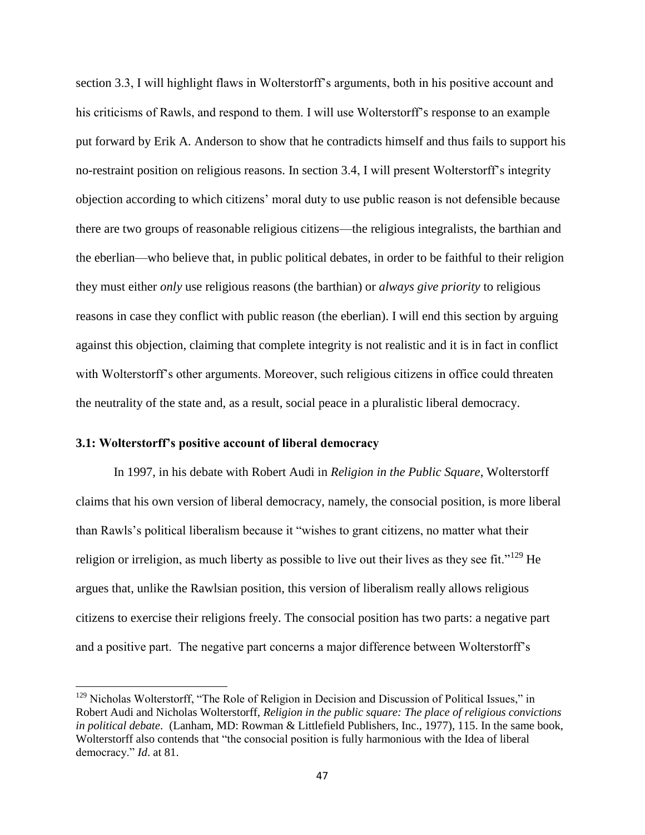section 3.3, I will highlight flaws in Wolterstorff's arguments, both in his positive account and his criticisms of Rawls, and respond to them. I will use Wolterstorff's response to an example put forward by Erik A. Anderson to show that he contradicts himself and thus fails to support his no-restraint position on religious reasons. In section 3.4, I will present Wolterstorff's integrity objection according to which citizens' moral duty to use public reason is not defensible because there are two groups of reasonable religious citizens—the religious integralists, the barthian and the eberlian—who believe that, in public political debates, in order to be faithful to their religion they must either *only* use religious reasons (the barthian) or *always give priority* to religious reasons in case they conflict with public reason (the eberlian). I will end this section by arguing against this objection, claiming that complete integrity is not realistic and it is in fact in conflict with Wolterstorff's other arguments. Moreover, such religious citizens in office could threaten the neutrality of the state and, as a result, social peace in a pluralistic liberal democracy.

## **3.1: Wolterstorff's positive account of liberal democracy**

 $\overline{\phantom{a}}$ 

In 1997, in his debate with Robert Audi in *Religion in the Public Square*, Wolterstorff claims that his own version of liberal democracy, namely, the consocial position, is more liberal than Rawls's political liberalism because it "wishes to grant citizens, no matter what their religion or irreligion, as much liberty as possible to live out their lives as they see fit."<sup>129</sup> He argues that, unlike the Rawlsian position, this version of liberalism really allows religious citizens to exercise their religions freely. The consocial position has two parts: a negative part and a positive part. The negative part concerns a major difference between Wolterstorff's

<sup>&</sup>lt;sup>129</sup> Nicholas Wolterstorff, "The Role of Religion in Decision and Discussion of Political Issues," in Robert Audi and Nicholas Wolterstorff, *Religion in the public square: The place of religious convictions in political debate*. (Lanham, MD: Rowman & Littlefield Publishers, Inc., 1977), 115. In the same book, Wolterstorff also contends that "the consocial position is fully harmonious with the Idea of liberal democracy." *Id*. at 81.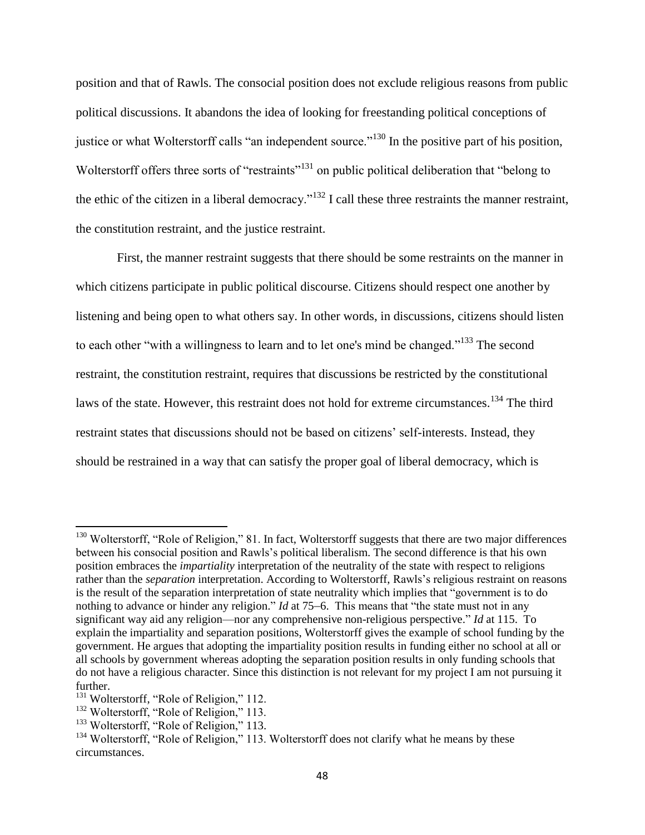position and that of Rawls. The consocial position does not exclude religious reasons from public political discussions. It abandons the idea of looking for freestanding political conceptions of justice or what Wolterstorff calls "an independent source."<sup>130</sup> In the positive part of his position, Wolterstorff offers three sorts of "restraints"<sup>131</sup> on public political deliberation that "belong to the ethic of the citizen in a liberal democracy."<sup>132</sup> I call these three restraints the manner restraint, the constitution restraint, and the justice restraint.

First, the manner restraint suggests that there should be some restraints on the manner in which citizens participate in public political discourse. Citizens should respect one another by listening and being open to what others say. In other words, in discussions, citizens should listen to each other "with a willingness to learn and to let one's mind be changed."<sup>133</sup> The second restraint, the constitution restraint, requires that discussions be restricted by the constitutional laws of the state. However, this restraint does not hold for extreme circumstances.<sup>134</sup> The third restraint states that discussions should not be based on citizens' self-interests. Instead, they should be restrained in a way that can satisfy the proper goal of liberal democracy, which is

<sup>&</sup>lt;sup>130</sup> Wolterstorff, "Role of Religion," 81. In fact, Wolterstorff suggests that there are two major differences between his consocial position and Rawls's political liberalism. The second difference is that his own position embraces the *impartiality* interpretation of the neutrality of the state with respect to religions rather than the *separation* interpretation. According to Wolterstorff, Rawls's religious restraint on reasons is the result of the separation interpretation of state neutrality which implies that "government is to do nothing to advance or hinder any religion." *Id* at 75–6. This means that "the state must not in any significant way aid any religion—nor any comprehensive non-religious perspective." *Id* at 115. To explain the impartiality and separation positions, Wolterstorff gives the example of school funding by the government. He argues that adopting the impartiality position results in funding either no school at all or all schools by government whereas adopting the separation position results in only funding schools that do not have a religious character. Since this distinction is not relevant for my project I am not pursuing it further.

<sup>&</sup>lt;sup>131</sup> Wolterstorff, "Role of Religion," 112.

<sup>&</sup>lt;sup>132</sup> Wolterstorff, "Role of Religion," 113.

<sup>&</sup>lt;sup>133</sup> Wolterstorff, "Role of Religion," 113.

<sup>&</sup>lt;sup>134</sup> Wolterstorff, "Role of Religion," 113. Wolterstorff does not clarify what he means by these circumstances.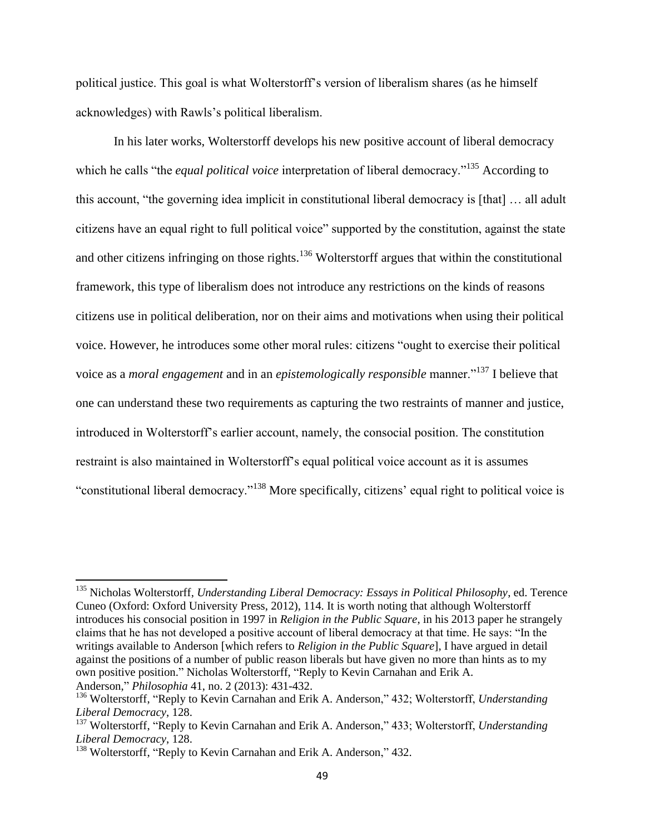political justice. This goal is what Wolterstorff's version of liberalism shares (as he himself acknowledges) with Rawls's political liberalism.

In his later works, Wolterstorff develops his new positive account of liberal democracy which he calls "the *equal political voice* interpretation of liberal democracy."<sup>135</sup> According to this account, "the governing idea implicit in constitutional liberal democracy is [that] … all adult citizens have an equal right to full political voice" supported by the constitution, against the state and other citizens infringing on those rights.<sup>136</sup> Wolterstorff argues that within the constitutional framework, this type of liberalism does not introduce any restrictions on the kinds of reasons citizens use in political deliberation, nor on their aims and motivations when using their political voice. However, he introduces some other moral rules: citizens "ought to exercise their political voice as a *moral engagement* and in an *epistemologically responsible* manner."<sup>137</sup> I believe that one can understand these two requirements as capturing the two restraints of manner and justice, introduced in Wolterstorff's earlier account, namely, the consocial position. The constitution restraint is also maintained in Wolterstorff's equal political voice account as it is assumes "constitutional liberal democracy."<sup>138</sup> More specifically, citizens' equal right to political voice is

<sup>135</sup> Nicholas Wolterstorff, *Understanding Liberal Democracy: Essays in Political Philosophy*, ed. Terence Cuneo (Oxford: Oxford University Press, 2012), 114. It is worth noting that although Wolterstorff introduces his consocial position in 1997 in *Religion in the Public Square*, in his 2013 paper he strangely claims that he has not developed a positive account of liberal democracy at that time. He says: "In the writings available to Anderson [which refers to *Religion in the Public Square*], I have argued in detail against the positions of a number of public reason liberals but have given no more than hints as to my own positive position." Nicholas Wolterstorff, "Reply to Kevin Carnahan and Erik A. Anderson," *Philosophia* 41, no. 2 (2013): 431-432.

<sup>136</sup> Wolterstorff, "Reply to Kevin Carnahan and Erik A. Anderson," 432; Wolterstorff, *Understanding Liberal Democracy*, 128.

<sup>137</sup> Wolterstorff, "Reply to Kevin Carnahan and Erik A. Anderson," 433; Wolterstorff, *Understanding Liberal Democracy*, 128.

<sup>&</sup>lt;sup>138</sup> Wolterstorff, "Reply to Kevin Carnahan and Erik A. Anderson," 432.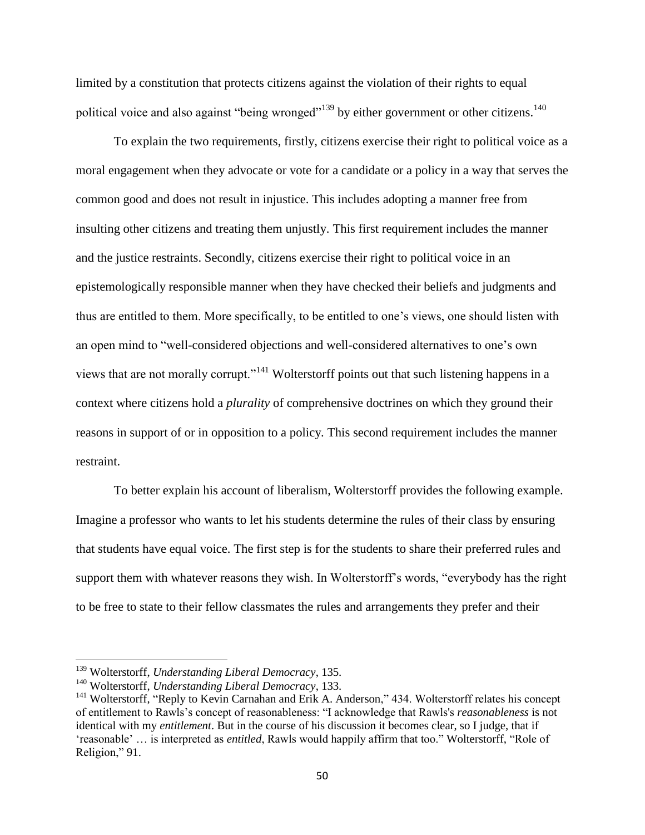limited by a constitution that protects citizens against the violation of their rights to equal political voice and also against "being wronged"<sup>139</sup> by either government or other citizens.<sup>140</sup>

To explain the two requirements, firstly, citizens exercise their right to political voice as a moral engagement when they advocate or vote for a candidate or a policy in a way that serves the common good and does not result in injustice. This includes adopting a manner free from insulting other citizens and treating them unjustly. This first requirement includes the manner and the justice restraints. Secondly, citizens exercise their right to political voice in an epistemologically responsible manner when they have checked their beliefs and judgments and thus are entitled to them. More specifically, to be entitled to one's views, one should listen with an open mind to "well-considered objections and well-considered alternatives to one's own views that are not morally corrupt."<sup>141</sup> Wolterstorff points out that such listening happens in a context where citizens hold a *plurality* of comprehensive doctrines on which they ground their reasons in support of or in opposition to a policy. This second requirement includes the manner restraint.

To better explain his account of liberalism, Wolterstorff provides the following example. Imagine a professor who wants to let his students determine the rules of their class by ensuring that students have equal voice. The first step is for the students to share their preferred rules and support them with whatever reasons they wish. In Wolterstorff's words, "everybody has the right to be free to state to their fellow classmates the rules and arrangements they prefer and their

<sup>139</sup> Wolterstorff, *Understanding Liberal Democracy*, 135.

<sup>140</sup> Wolterstorff, *Understanding Liberal Democracy*, 133.

<sup>&</sup>lt;sup>141</sup> Wolterstorff, "Reply to Kevin Carnahan and Erik A. Anderson," 434. Wolterstorff relates his concept of entitlement to Rawls's concept of reasonableness: "I acknowledge that Rawls's *reasonableness* is not identical with my *entitlement*. But in the course of his discussion it becomes clear, so I judge, that if 'reasonable' … is interpreted as *entitled*, Rawls would happily affirm that too." Wolterstorff, "Role of Religion," 91.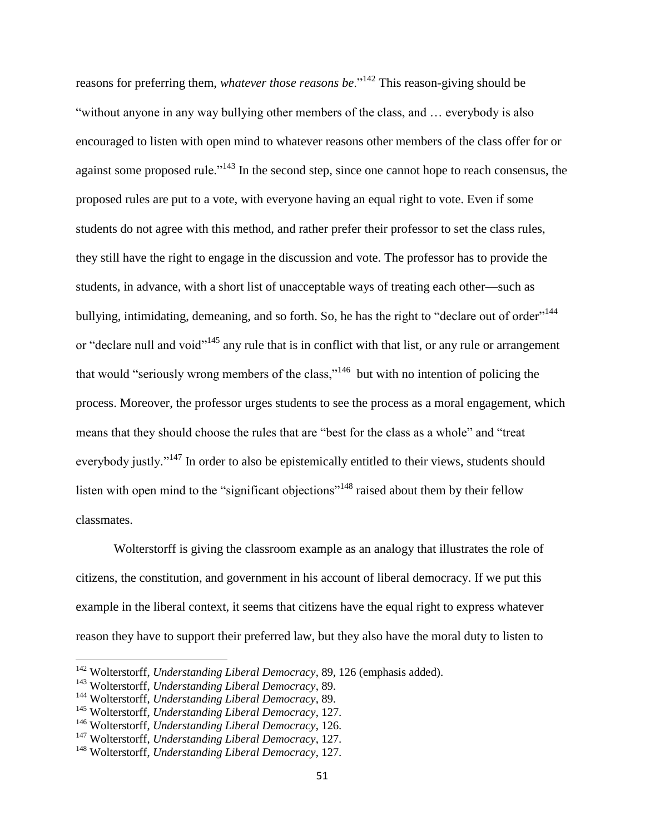reasons for preferring them, *whatever those reasons be*."<sup>142</sup> This reason-giving should be "without anyone in any way bullying other members of the class, and … everybody is also encouraged to listen with open mind to whatever reasons other members of the class offer for or against some proposed rule."<sup>143</sup> In the second step, since one cannot hope to reach consensus, the proposed rules are put to a vote, with everyone having an equal right to vote. Even if some students do not agree with this method, and rather prefer their professor to set the class rules, they still have the right to engage in the discussion and vote. The professor has to provide the students, in advance, with a short list of unacceptable ways of treating each other—such as bullying, intimidating, demeaning, and so forth. So, he has the right to "declare out of order"<sup>144</sup> or "declare null and void"<sup>145</sup> any rule that is in conflict with that list, or any rule or arrangement that would "seriously wrong members of the class,"<sup>146</sup> but with no intention of policing the process. Moreover, the professor urges students to see the process as a moral engagement, which means that they should choose the rules that are "best for the class as a whole" and "treat everybody justly."<sup>147</sup> In order to also be epistemically entitled to their views, students should listen with open mind to the "significant objections"<sup>148</sup> raised about them by their fellow classmates.

Wolterstorff is giving the classroom example as an analogy that illustrates the role of citizens, the constitution, and government in his account of liberal democracy. If we put this example in the liberal context, it seems that citizens have the equal right to express whatever reason they have to support their preferred law, but they also have the moral duty to listen to

<sup>&</sup>lt;sup>142</sup> Wolterstorff, *Understanding Liberal Democracy*, 89, 126 (emphasis added).

<sup>143</sup> Wolterstorff, *Understanding Liberal Democracy*, 89.

<sup>144</sup> Wolterstorff, *Understanding Liberal Democracy*, 89.

<sup>145</sup> Wolterstorff, *Understanding Liberal Democracy*, 127.

<sup>146</sup> Wolterstorff, *Understanding Liberal Democracy*, 126.

<sup>147</sup> Wolterstorff, *Understanding Liberal Democracy*, 127.

<sup>148</sup> Wolterstorff, *Understanding Liberal Democracy*, 127.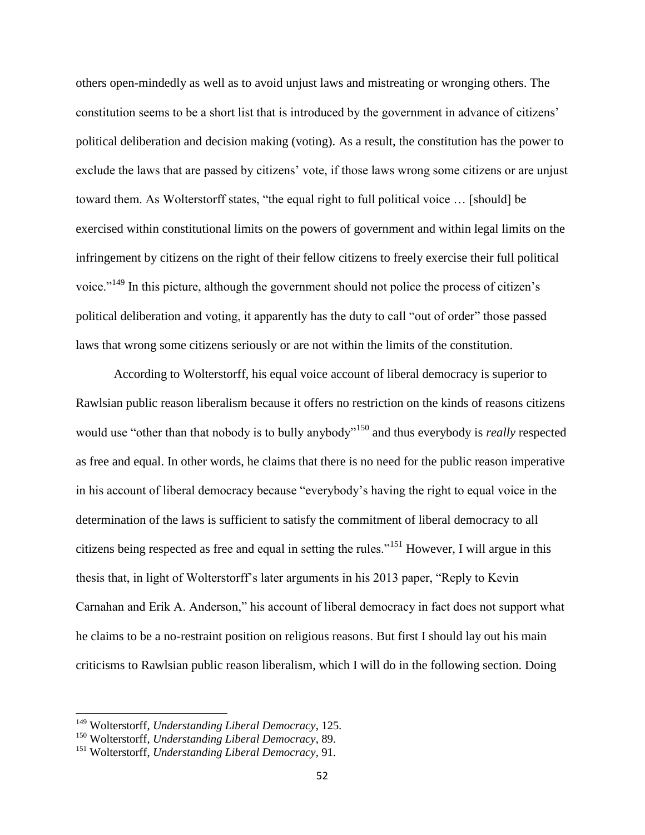others open-mindedly as well as to avoid unjust laws and mistreating or wronging others. The constitution seems to be a short list that is introduced by the government in advance of citizens' political deliberation and decision making (voting). As a result, the constitution has the power to exclude the laws that are passed by citizens' vote, if those laws wrong some citizens or are unjust toward them. As Wolterstorff states, "the equal right to full political voice … [should] be exercised within constitutional limits on the powers of government and within legal limits on the infringement by citizens on the right of their fellow citizens to freely exercise their full political voice."<sup>149</sup> In this picture, although the government should not police the process of citizen's political deliberation and voting, it apparently has the duty to call "out of order" those passed laws that wrong some citizens seriously or are not within the limits of the constitution.

According to Wolterstorff, his equal voice account of liberal democracy is superior to Rawlsian public reason liberalism because it offers no restriction on the kinds of reasons citizens would use "other than that nobody is to bully anybody"<sup>150</sup> and thus everybody is *really* respected as free and equal. In other words, he claims that there is no need for the public reason imperative in his account of liberal democracy because "everybody's having the right to equal voice in the determination of the laws is sufficient to satisfy the commitment of liberal democracy to all citizens being respected as free and equal in setting the rules."<sup>151</sup> However, I will argue in this thesis that, in light of Wolterstorff's later arguments in his 2013 paper, "Reply to Kevin Carnahan and Erik A. Anderson," his account of liberal democracy in fact does not support what he claims to be a no-restraint position on religious reasons. But first I should lay out his main criticisms to Rawlsian public reason liberalism, which I will do in the following section. Doing

<sup>149</sup> Wolterstorff, *Understanding Liberal Democracy*, 125.

<sup>150</sup> Wolterstorff, *Understanding Liberal Democracy*, 89.

<sup>151</sup> Wolterstorff, *Understanding Liberal Democracy*, 91.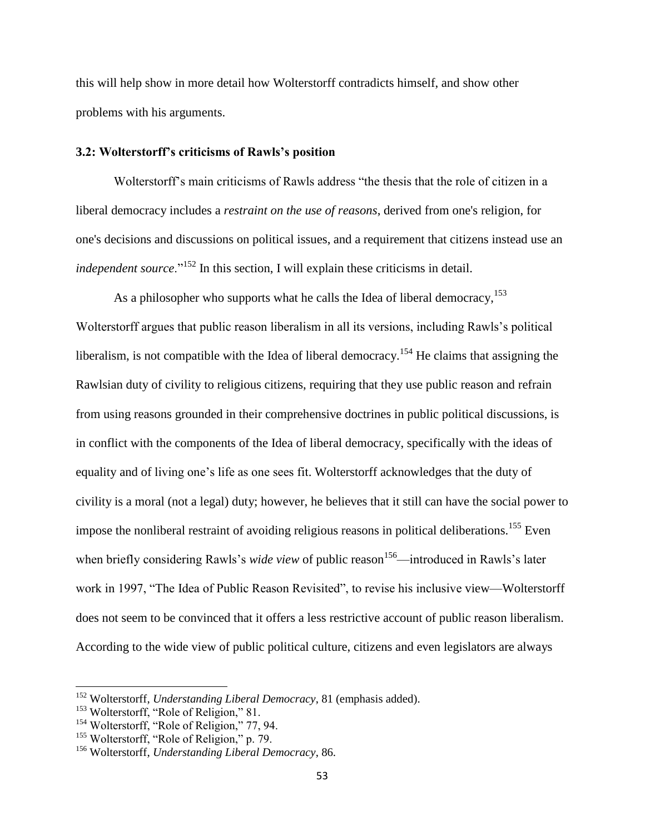this will help show in more detail how Wolterstorff contradicts himself, and show other problems with his arguments.

## **3.2: Wolterstorff's criticisms of Rawls's position**

Wolterstorff's main criticisms of Rawls address "the thesis that the role of citizen in a liberal democracy includes a *restraint on the use of reasons*, derived from one's religion, for one's decisions and discussions on political issues, and a requirement that citizens instead use an *independent source*."<sup>152</sup> In this section, I will explain these criticisms in detail.

As a philosopher who supports what he calls the Idea of liberal democracy,  $153$ Wolterstorff argues that public reason liberalism in all its versions, including Rawls's political liberalism, is not compatible with the Idea of liberal democracy.<sup>154</sup> He claims that assigning the Rawlsian duty of civility to religious citizens, requiring that they use public reason and refrain from using reasons grounded in their comprehensive doctrines in public political discussions, is in conflict with the components of the Idea of liberal democracy, specifically with the ideas of equality and of living one's life as one sees fit. Wolterstorff acknowledges that the duty of civility is a moral (not a legal) duty; however, he believes that it still can have the social power to impose the nonliberal restraint of avoiding religious reasons in political deliberations.<sup>155</sup> Even when briefly considering Rawls's *wide view* of public reason<sup>156</sup>—introduced in Rawls's later work in 1997, "The Idea of Public Reason Revisited", to revise his inclusive view—Wolterstorff does not seem to be convinced that it offers a less restrictive account of public reason liberalism. According to the wide view of public political culture, citizens and even legislators are always

<sup>152</sup> Wolterstorff, *Understanding Liberal Democracy*, 81 (emphasis added).

<sup>&</sup>lt;sup>153</sup> Wolterstorff, "Role of Religion," 81.

<sup>&</sup>lt;sup>154</sup> Wolterstorff, "Role of Religion," 77, 94.

<sup>&</sup>lt;sup>155</sup> Wolterstorff, "Role of Religion," p. 79.

<sup>156</sup> Wolterstorff, *Understanding Liberal Democracy*, 86.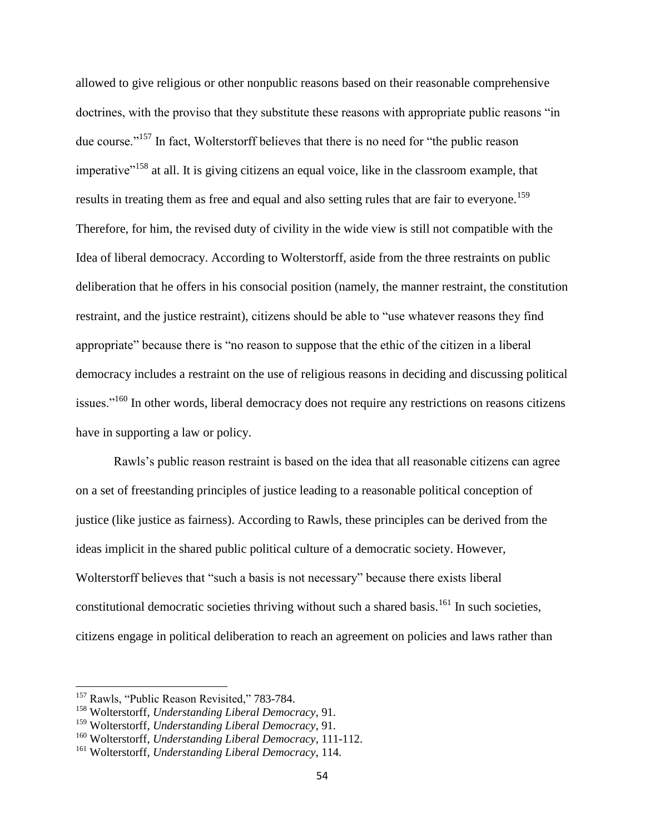allowed to give religious or other nonpublic reasons based on their reasonable comprehensive doctrines, with the proviso that they substitute these reasons with appropriate public reasons "in due course."<sup>157</sup> In fact, Wolterstorff believes that there is no need for "the public reason imperative<sup>"158</sup> at all. It is giving citizens an equal voice, like in the classroom example, that results in treating them as free and equal and also setting rules that are fair to everyone.<sup>159</sup> Therefore, for him, the revised duty of civility in the wide view is still not compatible with the Idea of liberal democracy. According to Wolterstorff, aside from the three restraints on public deliberation that he offers in his consocial position (namely, the manner restraint, the constitution restraint, and the justice restraint), citizens should be able to "use whatever reasons they find appropriate" because there is "no reason to suppose that the ethic of the citizen in a liberal democracy includes a restraint on the use of religious reasons in deciding and discussing political issues.<sup>"160</sup> In other words, liberal democracy does not require any restrictions on reasons citizens have in supporting a law or policy.

Rawls's public reason restraint is based on the idea that all reasonable citizens can agree on a set of freestanding principles of justice leading to a reasonable political conception of justice (like justice as fairness). According to Rawls, these principles can be derived from the ideas implicit in the shared public political culture of a democratic society. However, Wolterstorff believes that "such a basis is not necessary" because there exists liberal constitutional democratic societies thriving without such a shared basis.<sup>161</sup> In such societies, citizens engage in political deliberation to reach an agreement on policies and laws rather than

<sup>&</sup>lt;sup>157</sup> Rawls, "Public Reason Revisited," 783-784.

<sup>158</sup> Wolterstorff, *Understanding Liberal Democracy*, 91.

<sup>159</sup> Wolterstorff, *Understanding Liberal Democracy*, 91.

<sup>160</sup> Wolterstorff, *Understanding Liberal Democracy*, 111-112.

<sup>161</sup> Wolterstorff, *Understanding Liberal Democracy*, 114.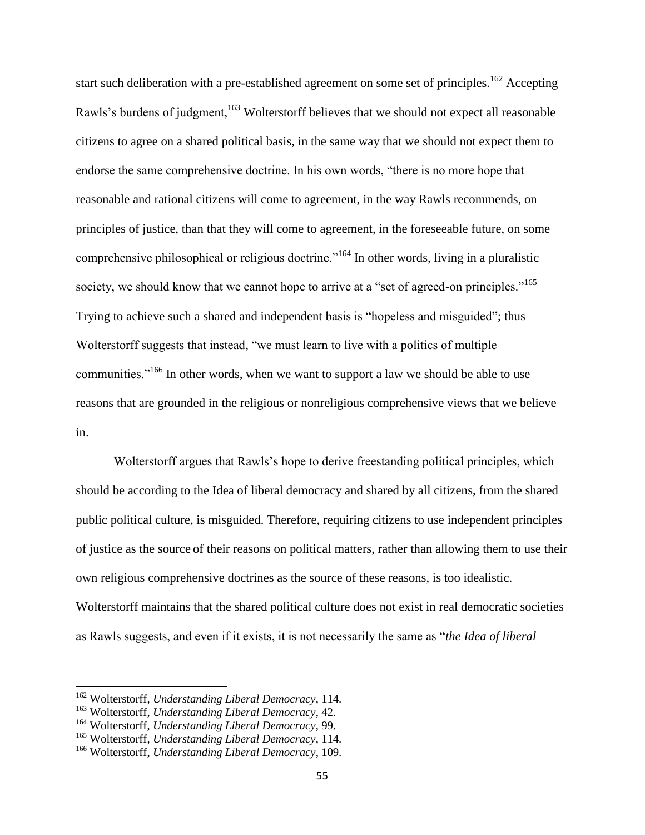start such deliberation with a pre-established agreement on some set of principles.<sup>162</sup> Accepting Rawls's burdens of judgment,<sup>163</sup> Wolterstorff believes that we should not expect all reasonable citizens to agree on a shared political basis, in the same way that we should not expect them to endorse the same comprehensive doctrine. In his own words, "there is no more hope that reasonable and rational citizens will come to agreement, in the way Rawls recommends, on principles of justice, than that they will come to agreement, in the foreseeable future, on some comprehensive philosophical or religious doctrine."<sup>164</sup> In other words, living in a pluralistic society, we should know that we cannot hope to arrive at a "set of agreed-on principles."<sup>165</sup> Trying to achieve such a shared and independent basis is "hopeless and misguided"; thus Wolterstorff suggests that instead, "we must learn to live with a politics of multiple communities."<sup>166</sup> In other words, when we want to support a law we should be able to use reasons that are grounded in the religious or nonreligious comprehensive views that we believe in.

Wolterstorff argues that Rawls's hope to derive freestanding political principles, which should be according to the Idea of liberal democracy and shared by all citizens, from the shared public political culture, is misguided. Therefore, requiring citizens to use independent principles of justice as the source of their reasons on political matters, rather than allowing them to use their own religious comprehensive doctrines as the source of these reasons, is too idealistic. Wolterstorff maintains that the shared political culture does not exist in real democratic societies as Rawls suggests, and even if it exists, it is not necessarily the same as "*the Idea of liberal* 

<sup>162</sup> Wolterstorff, *Understanding Liberal Democracy*, 114.

<sup>163</sup> Wolterstorff, *Understanding Liberal Democracy*, 42.

<sup>164</sup> Wolterstorff, *Understanding Liberal Democracy*, 99.

<sup>165</sup> Wolterstorff, *Understanding Liberal Democracy*, 114.

<sup>166</sup> Wolterstorff, *Understanding Liberal Democracy*, 109.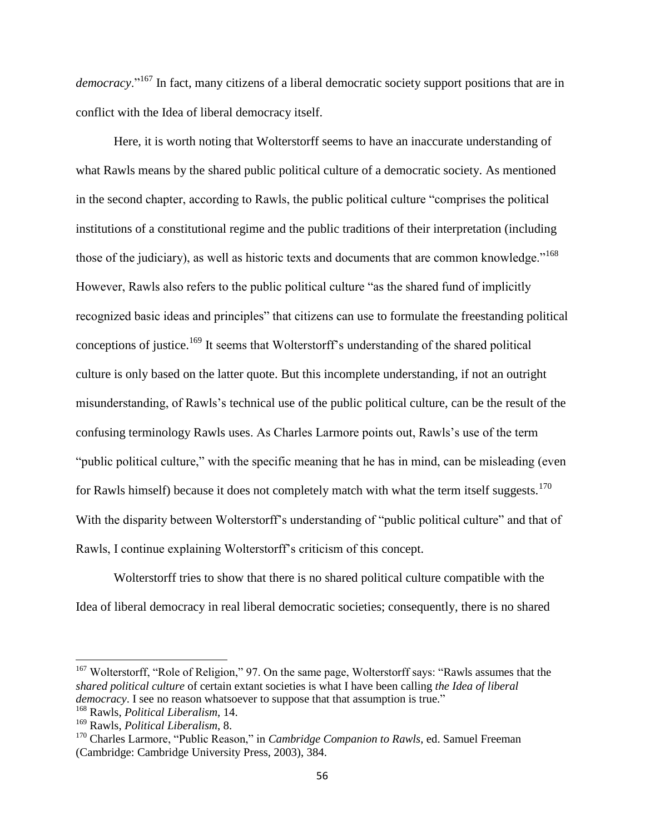*democracy*."<sup>167</sup> In fact, many citizens of a liberal democratic society support positions that are in conflict with the Idea of liberal democracy itself.

Here, it is worth noting that Wolterstorff seems to have an inaccurate understanding of what Rawls means by the shared public political culture of a democratic society. As mentioned in the second chapter, according to Rawls, the public political culture "comprises the political institutions of a constitutional regime and the public traditions of their interpretation (including those of the judiciary), as well as historic texts and documents that are common knowledge."<sup>168</sup> However, Rawls also refers to the public political culture "as the shared fund of implicitly recognized basic ideas and principles" that citizens can use to formulate the freestanding political conceptions of justice.<sup>169</sup> It seems that Wolterstorff's understanding of the shared political culture is only based on the latter quote. But this incomplete understanding, if not an outright misunderstanding, of Rawls's technical use of the public political culture, can be the result of the confusing terminology Rawls uses. As Charles Larmore points out, Rawls's use of the term "public political culture," with the specific meaning that he has in mind, can be misleading (even for Rawls himself) because it does not completely match with what the term itself suggests.<sup>170</sup> With the disparity between Wolterstorff's understanding of "public political culture" and that of Rawls, I continue explaining Wolterstorff's criticism of this concept.

Wolterstorff tries to show that there is no shared political culture compatible with the Idea of liberal democracy in real liberal democratic societies; consequently, there is no shared

 $167$  Wolterstorff, "Role of Religion," 97. On the same page, Wolterstorff says: "Rawls assumes that the *shared political culture* of certain extant societies is what I have been calling *the Idea of liberal democracy*. I see no reason whatsoever to suppose that that assumption is true."

<sup>168</sup> Rawls, *Political Liberalism*, 14.

<sup>169</sup> Rawls, *Political Liberalism*, 8.

<sup>170</sup> Charles Larmore, "Public Reason," in *Cambridge Companion to Rawls*, ed. Samuel Freeman (Cambridge: Cambridge University Press, 2003), 384.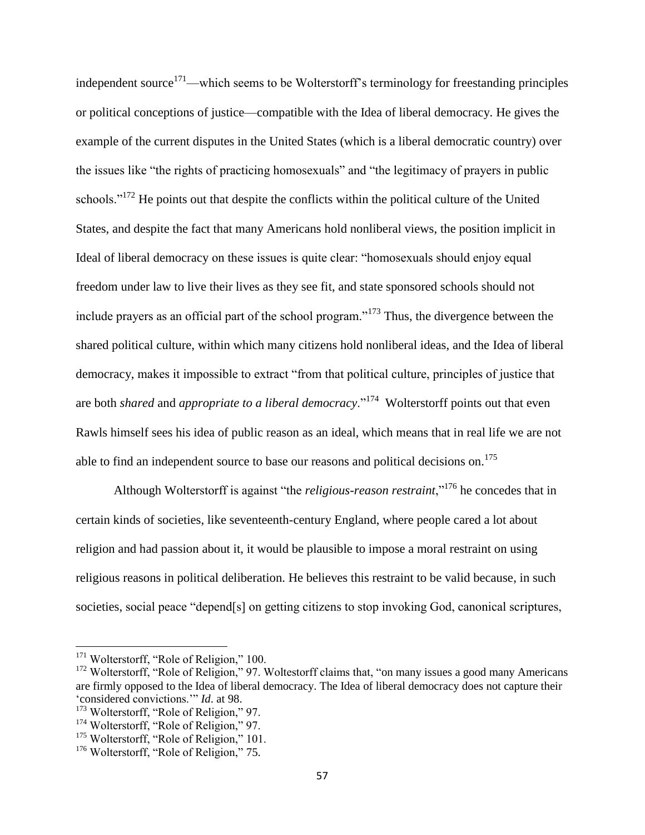independent source<sup>171</sup>—which seems to be Wolterstorff's terminology for freestanding principles or political conceptions of justice—compatible with the Idea of liberal democracy. He gives the example of the current disputes in the United States (which is a liberal democratic country) over the issues like "the rights of practicing homosexuals" and "the legitimacy of prayers in public schools."<sup>172</sup> He points out that despite the conflicts within the political culture of the United States, and despite the fact that many Americans hold nonliberal views, the position implicit in Ideal of liberal democracy on these issues is quite clear: "homosexuals should enjoy equal freedom under law to live their lives as they see fit, and state sponsored schools should not include prayers as an official part of the school program."<sup>173</sup> Thus, the divergence between the shared political culture, within which many citizens hold nonliberal ideas, and the Idea of liberal democracy, makes it impossible to extract "from that political culture, principles of justice that are both *shared* and *appropriate to a liberal democracy*."<sup>174</sup> Wolterstorff points out that even Rawls himself sees his idea of public reason as an ideal, which means that in real life we are not able to find an independent source to base our reasons and political decisions on.<sup>175</sup>

Although Wolterstorff is against "the *religious-reason restraint*,"<sup>176</sup> he concedes that in certain kinds of societies, like seventeenth-century England, where people cared a lot about religion and had passion about it, it would be plausible to impose a moral restraint on using religious reasons in political deliberation. He believes this restraint to be valid because, in such societies, social peace "depend[s] on getting citizens to stop invoking God, canonical scriptures,

<sup>&</sup>lt;sup>171</sup> Wolterstorff, "Role of Religion," 100.

 $172$  Wolterstorff, "Role of Religion," 97. Woltestorff claims that, "on many issues a good many Americans" are firmly opposed to the Idea of liberal democracy. The Idea of liberal democracy does not capture their 'considered convictions.'" *Id*. at 98.

<sup>&</sup>lt;sup>173</sup> Wolterstorff, "Role of Religion," 97.

<sup>&</sup>lt;sup>174</sup> Wolterstorff, "Role of Religion," 97.

<sup>&</sup>lt;sup>175</sup> Wolterstorff, "Role of Religion," 101.

<sup>&</sup>lt;sup>176</sup> Wolterstorff, "Role of Religion," 75.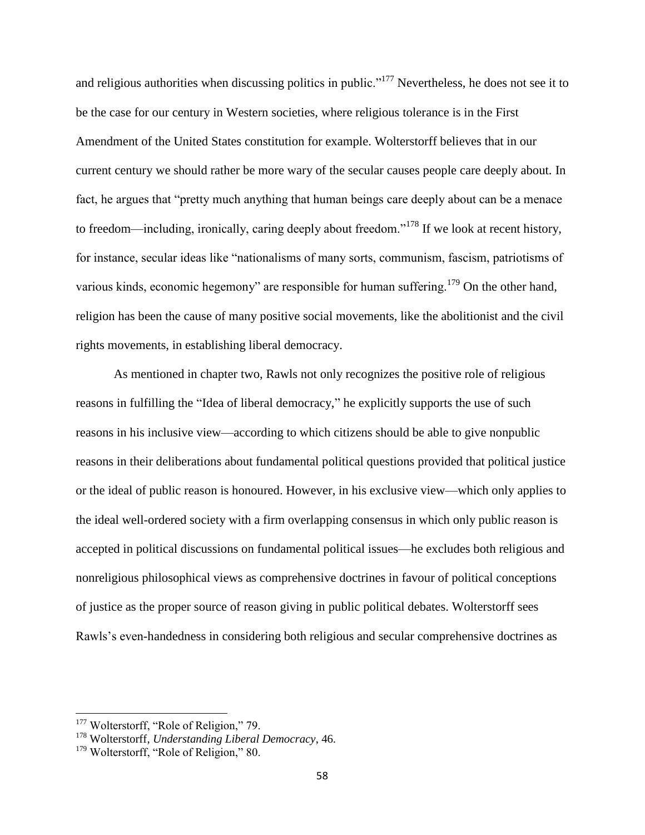and religious authorities when discussing politics in public."<sup>177</sup> Nevertheless, he does not see it to be the case for our century in Western societies, where religious tolerance is in the First Amendment of the United States constitution for example. Wolterstorff believes that in our current century we should rather be more wary of the secular causes people care deeply about. In fact, he argues that "pretty much anything that human beings care deeply about can be a menace to freedom—including, ironically, caring deeply about freedom."<sup>178</sup> If we look at recent history, for instance, secular ideas like "nationalisms of many sorts, communism, fascism, patriotisms of various kinds, economic hegemony" are responsible for human suffering.<sup>179</sup> On the other hand, religion has been the cause of many positive social movements, like the abolitionist and the civil rights movements, in establishing liberal democracy.

As mentioned in chapter two, Rawls not only recognizes the positive role of religious reasons in fulfilling the "Idea of liberal democracy," he explicitly supports the use of such reasons in his inclusive view—according to which citizens should be able to give nonpublic reasons in their deliberations about fundamental political questions provided that political justice or the ideal of public reason is honoured. However, in his exclusive view—which only applies to the ideal well-ordered society with a firm overlapping consensus in which only public reason is accepted in political discussions on fundamental political issues—he excludes both religious and nonreligious philosophical views as comprehensive doctrines in favour of political conceptions of justice as the proper source of reason giving in public political debates. Wolterstorff sees Rawls's even-handedness in considering both religious and secular comprehensive doctrines as

<sup>&</sup>lt;sup>177</sup> Wolterstorff, "Role of Religion," 79.

<sup>178</sup> Wolterstorff, *Understanding Liberal Democracy*, 46.

<sup>&</sup>lt;sup>179</sup> Wolterstorff, "Role of Religion," 80.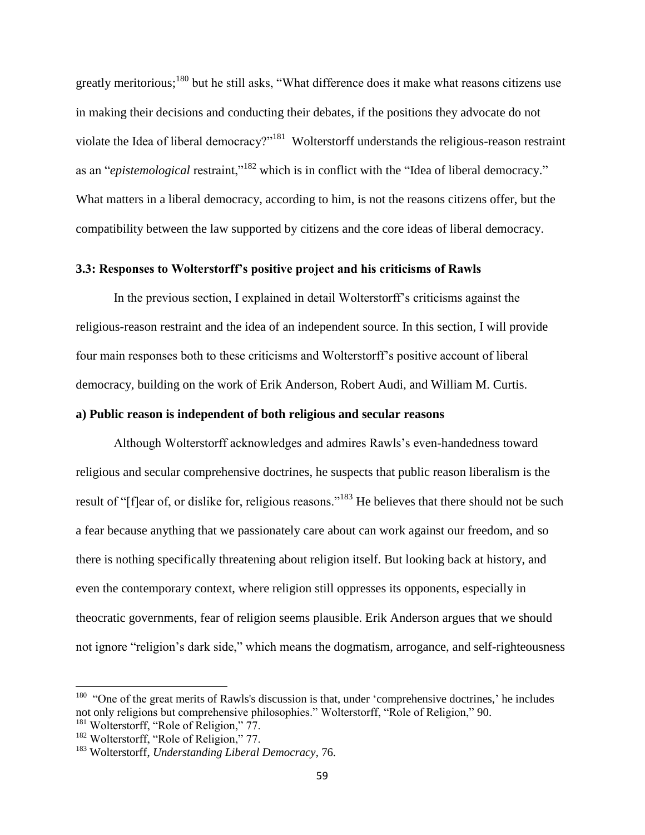greatly meritorious;<sup>180</sup> but he still asks, "What difference does it make what reasons citizens use in making their decisions and conducting their debates, if the positions they advocate do not violate the Idea of liberal democracy?"<sup>181</sup> Wolterstorff understands the religious-reason restraint as an "*epistemological* restraint,"<sup>182</sup> which is in conflict with the "Idea of liberal democracy." What matters in a liberal democracy, according to him, is not the reasons citizens offer, but the compatibility between the law supported by citizens and the core ideas of liberal democracy.

# **3.3: Responses to Wolterstorff's positive project and his criticisms of Rawls**

In the previous section, I explained in detail Wolterstorff's criticisms against the religious-reason restraint and the idea of an independent source. In this section, I will provide four main responses both to these criticisms and Wolterstorff's positive account of liberal democracy, building on the work of Erik Anderson, Robert Audi, and William M. Curtis. **a) Public reason is independent of both religious and secular reasons**

Although Wolterstorff acknowledges and admires Rawls's even-handedness toward religious and secular comprehensive doctrines, he suspects that public reason liberalism is the result of "[f]ear of, or dislike for, religious reasons."<sup>183</sup> He believes that there should not be such a fear because anything that we passionately care about can work against our freedom, and so there is nothing specifically threatening about religion itself. But looking back at history, and even the contemporary context, where religion still oppresses its opponents, especially in theocratic governments, fear of religion seems plausible. Erik Anderson argues that we should not ignore "religion's dark side," which means the dogmatism, arrogance, and self-righteousness

 $180$  "One of the great merits of Rawls's discussion is that, under 'comprehensive doctrines,' he includes not only religions but comprehensive philosophies." Wolterstorff, "Role of Religion," 90. <sup>181</sup> Wolterstorff, "Role of Religion," 77.

<sup>&</sup>lt;sup>182</sup> Wolterstorff, "Role of Religion," 77.

<sup>183</sup> Wolterstorff, *Understanding Liberal Democracy*, 76.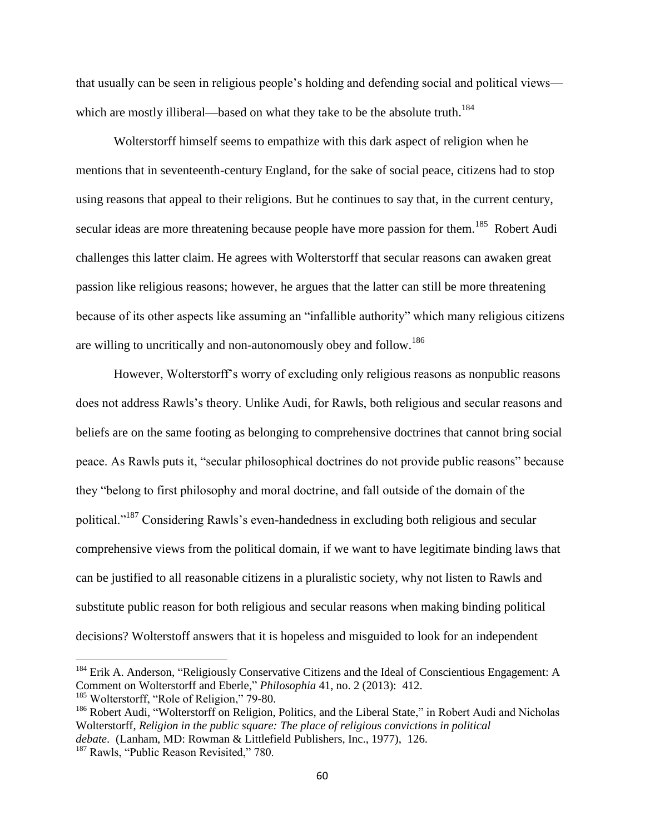that usually can be seen in religious people's holding and defending social and political views which are mostly illiberal—based on what they take to be the absolute truth.<sup>184</sup>

Wolterstorff himself seems to empathize with this dark aspect of religion when he mentions that in seventeenth-century England, for the sake of social peace, citizens had to stop using reasons that appeal to their religions. But he continues to say that, in the current century, secular ideas are more threatening because people have more passion for them.<sup>185</sup> Robert Audi challenges this latter claim. He agrees with Wolterstorff that secular reasons can awaken great passion like religious reasons; however, he argues that the latter can still be more threatening because of its other aspects like assuming an "infallible authority" which many religious citizens are willing to uncritically and non-autonomously obey and follow.<sup>186</sup>

However, Wolterstorff's worry of excluding only religious reasons as nonpublic reasons does not address Rawls's theory. Unlike Audi, for Rawls, both religious and secular reasons and beliefs are on the same footing as belonging to comprehensive doctrines that cannot bring social peace. As Rawls puts it, "secular philosophical doctrines do not provide public reasons" because they "belong to first philosophy and moral doctrine, and fall outside of the domain of the political."<sup>187</sup> Considering Rawls's even-handedness in excluding both religious and secular comprehensive views from the political domain, if we want to have legitimate binding laws that can be justified to all reasonable citizens in a pluralistic society, why not listen to Rawls and substitute public reason for both religious and secular reasons when making binding political decisions? Wolterstoff answers that it is hopeless and misguided to look for an independent

<sup>&</sup>lt;sup>184</sup> Erik A. Anderson, "Religiously Conservative Citizens and the Ideal of Conscientious Engagement: A Comment on Wolterstorff and Eberle," *Philosophia* 41, no. 2 (2013): 412.

<sup>&</sup>lt;sup>185</sup> Wolterstorff, "Role of Religion," 79-80.

<sup>&</sup>lt;sup>186</sup> Robert Audi, "Wolterstorff on Religion, Politics, and the Liberal State," in Robert Audi and Nicholas Wolterstorff, *Religion in the public square: The place of religious convictions in political debate*. (Lanham, MD: Rowman & Littlefield Publishers, Inc., 1977), 126.

<sup>&</sup>lt;sup>187</sup> Rawls, "Public Reason Revisited," 780.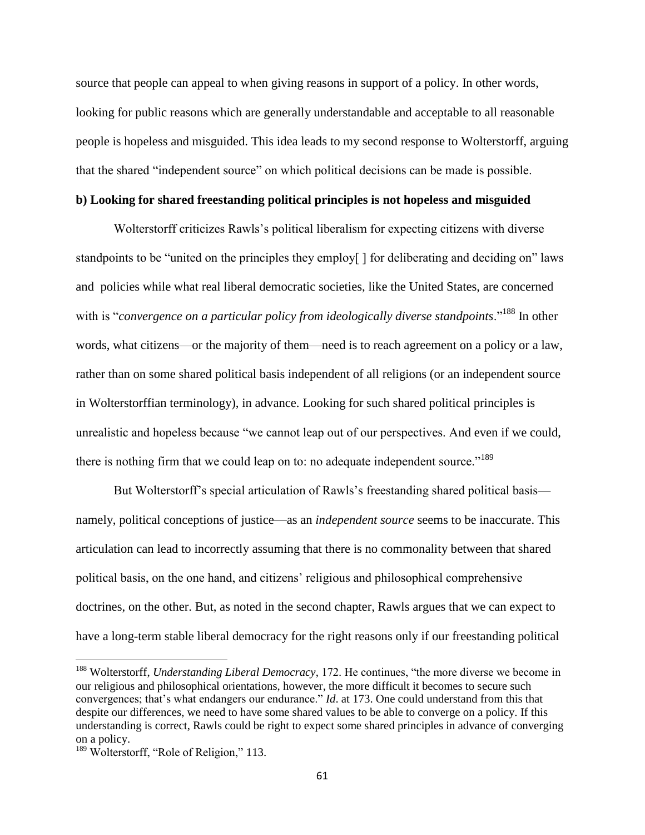source that people can appeal to when giving reasons in support of a policy. In other words, looking for public reasons which are generally understandable and acceptable to all reasonable people is hopeless and misguided. This idea leads to my second response to Wolterstorff, arguing that the shared "independent source" on which political decisions can be made is possible.

# **b) Looking for shared freestanding political principles is not hopeless and misguided**

Wolterstorff criticizes Rawls's political liberalism for expecting citizens with diverse standpoints to be "united on the principles they employ[ ] for deliberating and deciding on" laws and policies while what real liberal democratic societies, like the United States, are concerned with is "*convergence on a particular policy from ideologically diverse standpoints*."<sup>188</sup> In other words, what citizens—or the majority of them—need is to reach agreement on a policy or a law, rather than on some shared political basis independent of all religions (or an independent source in Wolterstorffian terminology), in advance. Looking for such shared political principles is unrealistic and hopeless because "we cannot leap out of our perspectives. And even if we could, there is nothing firm that we could leap on to: no adequate independent source."<sup>189</sup>

But Wolterstorff's special articulation of Rawls's freestanding shared political basis namely, political conceptions of justice—as an *independent source* seems to be inaccurate. This articulation can lead to incorrectly assuming that there is no commonality between that shared political basis, on the one hand, and citizens' religious and philosophical comprehensive doctrines, on the other. But, as noted in the second chapter, Rawls argues that we can expect to have a long-term stable liberal democracy for the right reasons only if our freestanding political

<sup>188</sup> Wolterstorff, *Understanding Liberal Democracy*, 172. He continues, "the more diverse we become in our religious and philosophical orientations, however, the more difficult it becomes to secure such convergences; that's what endangers our endurance." *Id*. at 173. One could understand from this that despite our differences, we need to have some shared values to be able to converge on a policy. If this understanding is correct, Rawls could be right to expect some shared principles in advance of converging on a policy.

<sup>&</sup>lt;sup>189</sup> Wolterstorff, "Role of Religion," 113.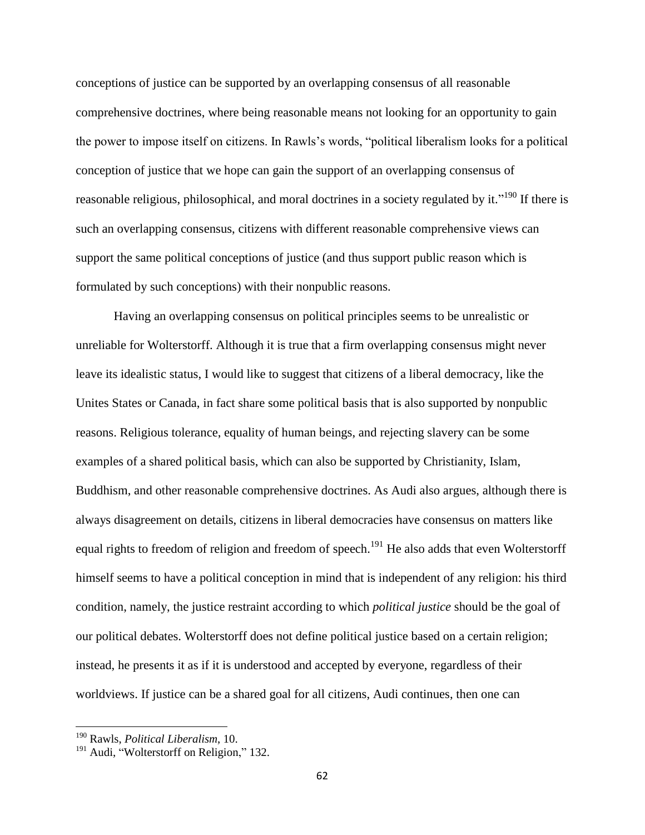conceptions of justice can be supported by an overlapping consensus of all reasonable comprehensive doctrines, where being reasonable means not looking for an opportunity to gain the power to impose itself on citizens. In Rawls's words, "political liberalism looks for a political conception of justice that we hope can gain the support of an overlapping consensus of reasonable religious, philosophical, and moral doctrines in a society regulated by it."<sup>190</sup> If there is such an overlapping consensus, citizens with different reasonable comprehensive views can support the same political conceptions of justice (and thus support public reason which is formulated by such conceptions) with their nonpublic reasons.

Having an overlapping consensus on political principles seems to be unrealistic or unreliable for Wolterstorff. Although it is true that a firm overlapping consensus might never leave its idealistic status, I would like to suggest that citizens of a liberal democracy, like the Unites States or Canada, in fact share some political basis that is also supported by nonpublic reasons. Religious tolerance, equality of human beings, and rejecting slavery can be some examples of a shared political basis, which can also be supported by Christianity, Islam, Buddhism, and other reasonable comprehensive doctrines. As Audi also argues, although there is always disagreement on details, citizens in liberal democracies have consensus on matters like equal rights to freedom of religion and freedom of speech.<sup>191</sup> He also adds that even Wolterstorff himself seems to have a political conception in mind that is independent of any religion: his third condition, namely, the justice restraint according to which *political justice* should be the goal of our political debates. Wolterstorff does not define political justice based on a certain religion; instead, he presents it as if it is understood and accepted by everyone, regardless of their worldviews. If justice can be a shared goal for all citizens, Audi continues, then one can

<sup>190</sup> Rawls, *Political Liberalism*, 10.

<sup>&</sup>lt;sup>191</sup> Audi, "Wolterstorff on Religion," 132.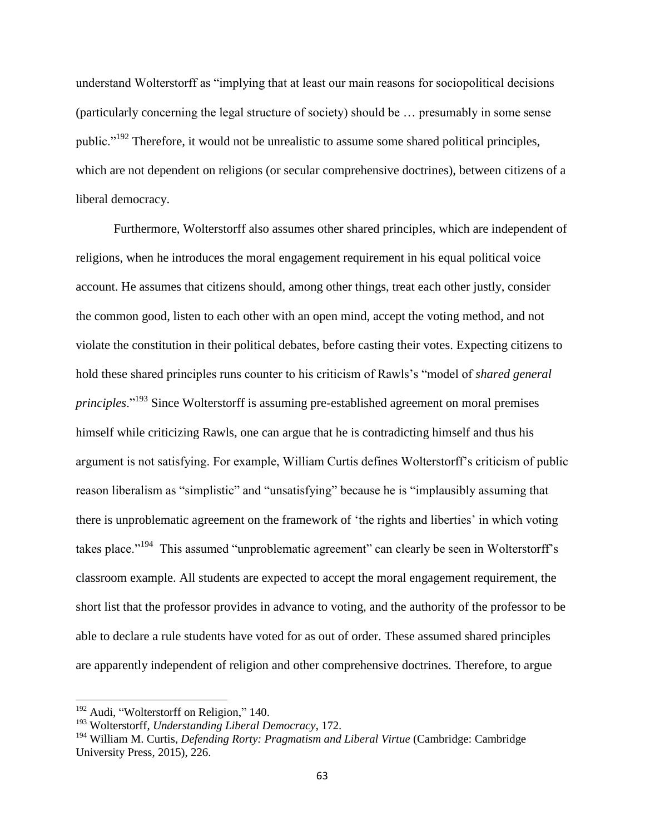understand Wolterstorff as "implying that at least our main reasons for sociopolitical decisions (particularly concerning the legal structure of society) should be … presumably in some sense public."<sup>192</sup> Therefore, it would not be unrealistic to assume some shared political principles, which are not dependent on religions (or secular comprehensive doctrines), between citizens of a liberal democracy.

Furthermore, Wolterstorff also assumes other shared principles, which are independent of religions, when he introduces the moral engagement requirement in his equal political voice account. He assumes that citizens should, among other things, treat each other justly, consider the common good, listen to each other with an open mind, accept the voting method, and not violate the constitution in their political debates, before casting their votes. Expecting citizens to hold these shared principles runs counter to his criticism of Rawls's "model of *shared general principles*."<sup>193</sup> Since Wolterstorff is assuming pre-established agreement on moral premises himself while criticizing Rawls, one can argue that he is contradicting himself and thus his argument is not satisfying. For example, William Curtis defines Wolterstorff's criticism of public reason liberalism as "simplistic" and "unsatisfying" because he is "implausibly assuming that there is unproblematic agreement on the framework of 'the rights and liberties' in which voting takes place."<sup>194</sup> This assumed "unproblematic agreement" can clearly be seen in Wolterstorff's classroom example. All students are expected to accept the moral engagement requirement, the short list that the professor provides in advance to voting, and the authority of the professor to be able to declare a rule students have voted for as out of order. These assumed shared principles are apparently independent of religion and other comprehensive doctrines. Therefore, to argue

l

<sup>&</sup>lt;sup>192</sup> Audi, "Wolterstorff on Religion," 140.

<sup>193</sup> Wolterstorff, *Understanding Liberal Democracy*, 172.

<sup>194</sup> William M. Curtis, *Defending Rorty: Pragmatism and Liberal Virtue* (Cambridge: Cambridge University Press, 2015), 226.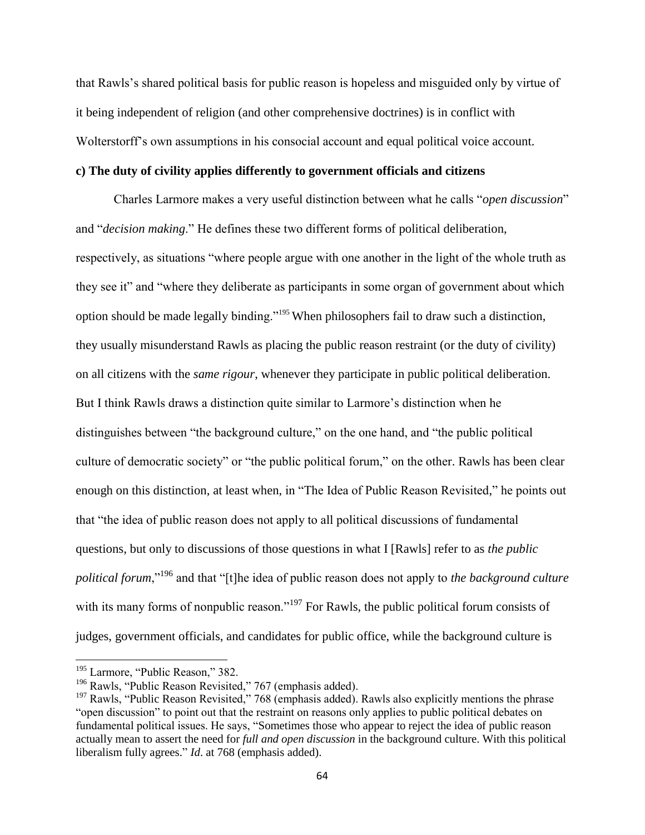that Rawls's shared political basis for public reason is hopeless and misguided only by virtue of it being independent of religion (and other comprehensive doctrines) is in conflict with Wolterstorff's own assumptions in his consocial account and equal political voice account.

## **c) The duty of civility applies differently to government officials and citizens**

Charles Larmore makes a very useful distinction between what he calls "*open discussion*" and "*decision making*." He defines these two different forms of political deliberation, respectively, as situations "where people argue with one another in the light of the whole truth as they see it" and "where they deliberate as participants in some organ of government about which option should be made legally binding."<sup>195</sup> When philosophers fail to draw such a distinction, they usually misunderstand Rawls as placing the public reason restraint (or the duty of civility) on all citizens with the *same rigour*, whenever they participate in public political deliberation. But I think Rawls draws a distinction quite similar to Larmore's distinction when he distinguishes between "the background culture," on the one hand, and "the public political culture of democratic society" or "the public political forum," on the other. Rawls has been clear enough on this distinction, at least when, in "The Idea of Public Reason Revisited," he points out that "the idea of public reason does not apply to all political discussions of fundamental questions, but only to discussions of those questions in what I [Rawls] refer to as *the public political forum*,"<sup>196</sup> and that "[t]he idea of public reason does not apply to *the background culture* with its many forms of nonpublic reason."<sup>197</sup> For Rawls, the public political forum consists of judges, government officials, and candidates for public office, while the background culture is

<sup>&</sup>lt;sup>195</sup> Larmore, "Public Reason," 382.

<sup>&</sup>lt;sup>196</sup> Rawls, "Public Reason Revisited," 767 (emphasis added).

 $197$  Rawls, "Public Reason Revisited," 768 (emphasis added). Rawls also explicitly mentions the phrase "open discussion" to point out that the restraint on reasons only applies to public political debates on fundamental political issues. He says, "Sometimes those who appear to reject the idea of public reason actually mean to assert the need for *full and open discussion* in the background culture. With this political liberalism fully agrees." *Id*. at 768 (emphasis added).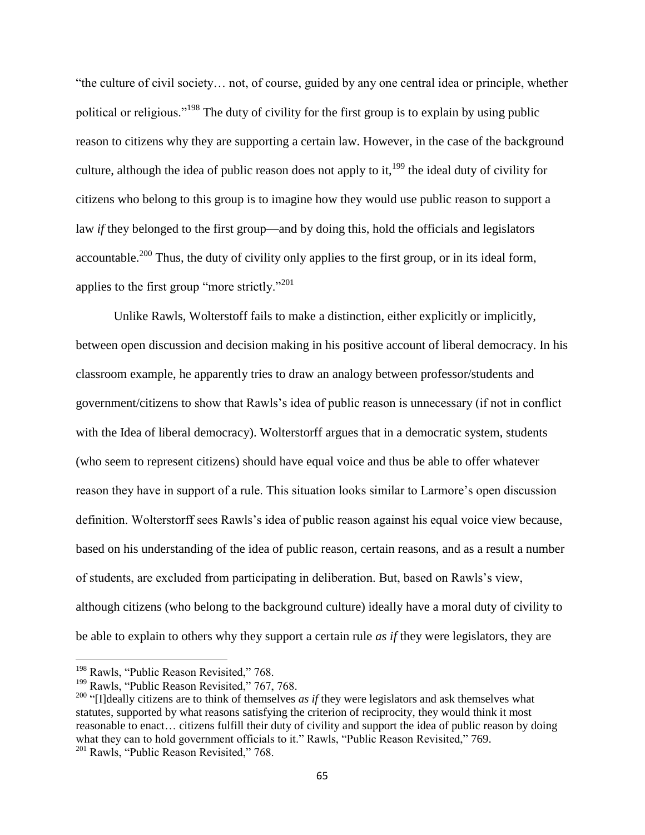"the culture of civil society… not, of course, guided by any one central idea or principle, whether political or religious."<sup>198</sup> The duty of civility for the first group is to explain by using public reason to citizens why they are supporting a certain law. However, in the case of the background culture, although the idea of public reason does not apply to it,<sup>199</sup> the ideal duty of civility for citizens who belong to this group is to imagine how they would use public reason to support a law *if* they belonged to the first group—and by doing this, hold the officials and legislators accountable.<sup>200</sup> Thus, the duty of civility only applies to the first group, or in its ideal form, applies to the first group "more strictly."<sup>201</sup>

Unlike Rawls, Wolterstoff fails to make a distinction, either explicitly or implicitly, between open discussion and decision making in his positive account of liberal democracy. In his classroom example, he apparently tries to draw an analogy between professor/students and government/citizens to show that Rawls's idea of public reason is unnecessary (if not in conflict with the Idea of liberal democracy). Wolterstorff argues that in a democratic system, students (who seem to represent citizens) should have equal voice and thus be able to offer whatever reason they have in support of a rule. This situation looks similar to Larmore's open discussion definition. Wolterstorff sees Rawls's idea of public reason against his equal voice view because, based on his understanding of the idea of public reason, certain reasons, and as a result a number of students, are excluded from participating in deliberation. But, based on Rawls's view, although citizens (who belong to the background culture) ideally have a moral duty of civility to be able to explain to others why they support a certain rule *as if* they were legislators, they are

<sup>&</sup>lt;sup>198</sup> Rawls, "Public Reason Revisited," 768.

<sup>&</sup>lt;sup>199</sup> Rawls, "Public Reason Revisited," 767, 768.

<sup>&</sup>lt;sup>200</sup> "[I]deally citizens are to think of themselves *as if* they were legislators and ask themselves what statutes, supported by what reasons satisfying the criterion of reciprocity, they would think it most reasonable to enact… citizens fulfill their duty of civility and support the idea of public reason by doing what they can to hold government officials to it." Rawls, "Public Reason Revisited," 769. <sup>201</sup> Rawls, "Public Reason Revisited," 768.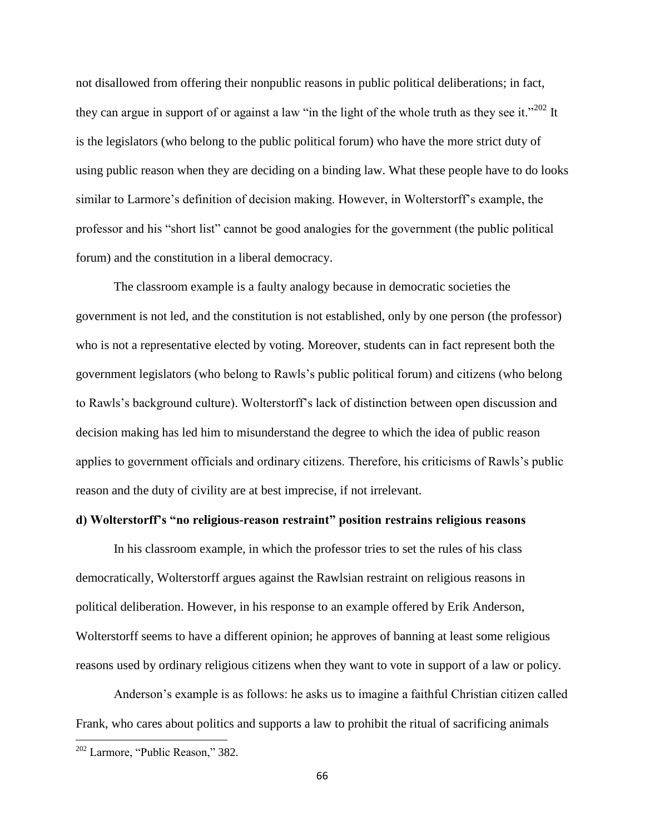not disallowed from offering their nonpublic reasons in public political deliberations; in fact, they can argue in support of or against a law "in the light of the whole truth as they see it."<sup>202</sup> It is the legislators (who belong to the public political forum) who have the more strict duty of using public reason when they are deciding on a binding law. What these people have to do looks similar to Larmore's definition of decision making. However, in Wolterstorff's example, the professor and his "short list" cannot be good analogies for the government (the public political forum) and the constitution in a liberal democracy.

The classroom example is a faulty analogy because in democratic societies the government is not led, and the constitution is not established, only by one person (the professor) who is not a representative elected by voting. Moreover, students can in fact represent both the government legislators (who belong to Rawls's public political forum) and citizens (who belong to Rawls's background culture). Wolterstorff's lack of distinction between open discussion and decision making has led him to misunderstand the degree to which the idea of public reason applies to government officials and ordinary citizens. Therefore, his criticisms of Rawls's public reason and the duty of civility are at best imprecise, if not irrelevant.

# **d) Wolterstorff's "no religious-reason restraint" position restrains religious reasons**

In his classroom example, in which the professor tries to set the rules of his class democratically, Wolterstorff argues against the Rawlsian restraint on religious reasons in political deliberation. However, in his response to an example offered by Erik Anderson, Wolterstorff seems to have a different opinion; he approves of banning at least some religious reasons used by ordinary religious citizens when they want to vote in support of a law or policy.

Anderson's example is as follows: he asks us to imagine a faithful Christian citizen called Frank, who cares about politics and supports a law to prohibit the ritual of sacrificing animals

<sup>&</sup>lt;sup>202</sup> Larmore, "Public Reason," 382.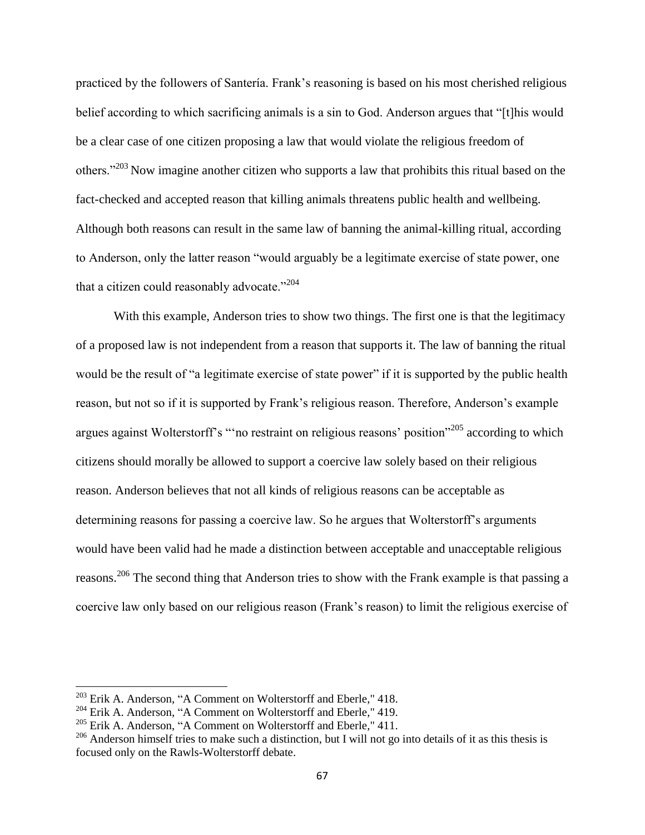practiced by the followers of Santería. Frank's reasoning is based on his most cherished religious belief according to which sacrificing animals is a sin to God. Anderson argues that "[t]his would be a clear case of one citizen proposing a law that would violate the religious freedom of others."<sup>203</sup> Now imagine another citizen who supports a law that prohibits this ritual based on the fact-checked and accepted reason that killing animals threatens public health and wellbeing. Although both reasons can result in the same law of banning the animal-killing ritual, according to Anderson, only the latter reason "would arguably be a legitimate exercise of state power, one that a citizen could reasonably advocate." $204$ 

With this example, Anderson tries to show two things. The first one is that the legitimacy of a proposed law is not independent from a reason that supports it. The law of banning the ritual would be the result of "a legitimate exercise of state power" if it is supported by the public health reason, but not so if it is supported by Frank's religious reason. Therefore, Anderson's example argues against Wolterstorff's "'no restraint on religious reasons' position"<sup>205</sup> according to which citizens should morally be allowed to support a coercive law solely based on their religious reason. Anderson believes that not all kinds of religious reasons can be acceptable as determining reasons for passing a coercive law. So he argues that Wolterstorff's arguments would have been valid had he made a distinction between acceptable and unacceptable religious reasons.<sup>206</sup> The second thing that Anderson tries to show with the Frank example is that passing a coercive law only based on our religious reason (Frank's reason) to limit the religious exercise of

<sup>&</sup>lt;sup>203</sup> Erik A. Anderson, "A Comment on Wolterstorff and Eberle," 418.

<sup>&</sup>lt;sup>204</sup> Erik A. Anderson, "A Comment on Wolterstorff and Eberle," 419.

 $205$  Erik A. Anderson, "A Comment on Wolterstorff and Eberle," 411.

 $206$  Anderson himself tries to make such a distinction, but I will not go into details of it as this thesis is focused only on the Rawls-Wolterstorff debate.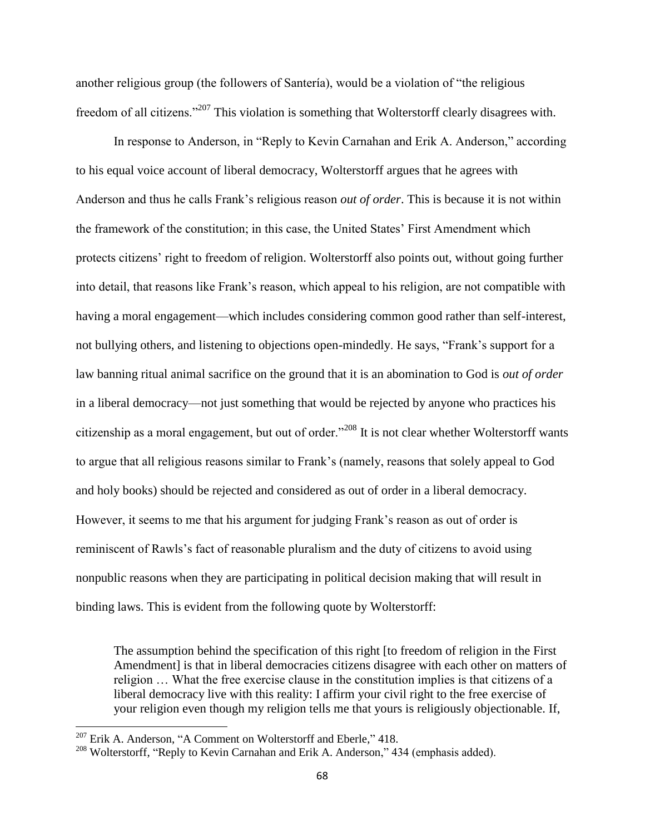another religious group (the followers of Santería), would be a violation of "the religious freedom of all citizens."<sup>207</sup> This violation is something that Wolterstorff clearly disagrees with.

In response to Anderson, in "Reply to Kevin Carnahan and Erik A. Anderson," according to his equal voice account of liberal democracy, Wolterstorff argues that he agrees with Anderson and thus he calls Frank's religious reason *out of order*. This is because it is not within the framework of the constitution; in this case, the United States' First Amendment which protects citizens' right to freedom of religion. Wolterstorff also points out, without going further into detail, that reasons like Frank's reason, which appeal to his religion, are not compatible with having a moral engagement—which includes considering common good rather than self-interest, not bullying others, and listening to objections open-mindedly. He says, "Frank's support for a law banning ritual animal sacrifice on the ground that it is an abomination to God is *out of order* in a liberal democracy—not just something that would be rejected by anyone who practices his citizenship as a moral engagement, but out of order."<sup>208</sup> It is not clear whether Wolterstorff wants to argue that all religious reasons similar to Frank's (namely, reasons that solely appeal to God and holy books) should be rejected and considered as out of order in a liberal democracy. However, it seems to me that his argument for judging Frank's reason as out of order is reminiscent of Rawls's fact of reasonable pluralism and the duty of citizens to avoid using nonpublic reasons when they are participating in political decision making that will result in binding laws. This is evident from the following quote by Wolterstorff:

The assumption behind the specification of this right [to freedom of religion in the First Amendment] is that in liberal democracies citizens disagree with each other on matters of religion … What the free exercise clause in the constitution implies is that citizens of a liberal democracy live with this reality: I affirm your civil right to the free exercise of your religion even though my religion tells me that yours is religiously objectionable. If,

 $^{207}$  Erik A. Anderson, "A Comment on Wolterstorff and Eberle," 418.

<sup>&</sup>lt;sup>208</sup> Wolterstorff, "Reply to Kevin Carnahan and Erik A. Anderson," 434 (emphasis added).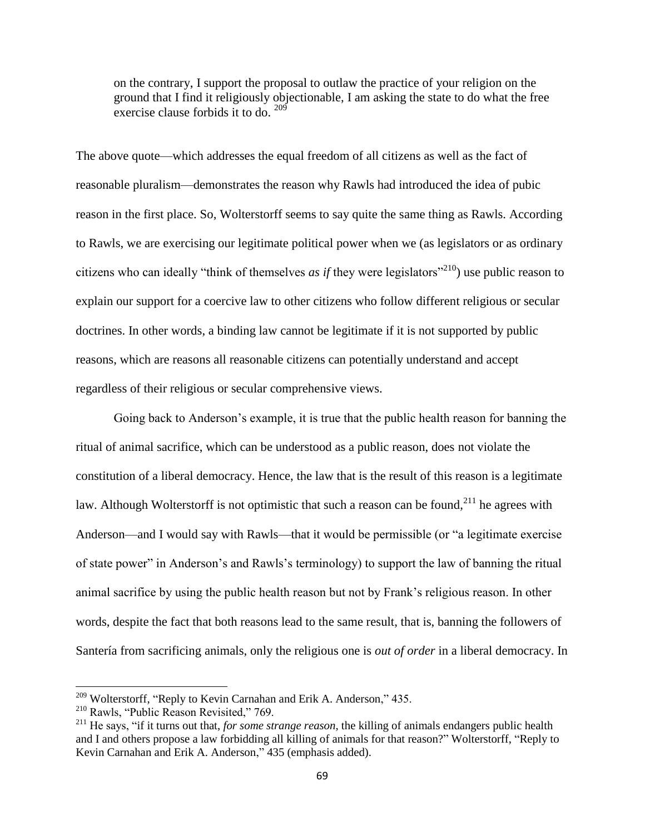on the contrary, I support the proposal to outlaw the practice of your religion on the ground that I find it religiously objectionable, I am asking the state to do what the free exercise clause forbids it to do.  $209'$ 

The above quote—which addresses the equal freedom of all citizens as well as the fact of reasonable pluralism—demonstrates the reason why Rawls had introduced the idea of pubic reason in the first place. So, Wolterstorff seems to say quite the same thing as Rawls. According to Rawls, we are exercising our legitimate political power when we (as legislators or as ordinary citizens who can ideally "think of themselves *as if* they were legislators"<sup>210</sup>) use public reason to explain our support for a coercive law to other citizens who follow different religious or secular doctrines. In other words, a binding law cannot be legitimate if it is not supported by public reasons, which are reasons all reasonable citizens can potentially understand and accept regardless of their religious or secular comprehensive views.

Going back to Anderson's example, it is true that the public health reason for banning the ritual of animal sacrifice, which can be understood as a public reason, does not violate the constitution of a liberal democracy. Hence, the law that is the result of this reason is a legitimate law. Although Wolterstorff is not optimistic that such a reason can be found,  $2^{11}$  he agrees with Anderson—and I would say with Rawls—that it would be permissible (or "a legitimate exercise of state power" in Anderson's and Rawls's terminology) to support the law of banning the ritual animal sacrifice by using the public health reason but not by Frank's religious reason. In other words, despite the fact that both reasons lead to the same result, that is, banning the followers of Santería from sacrificing animals, only the religious one is *out of order* in a liberal democracy. In

<sup>&</sup>lt;sup>209</sup> Wolterstorff, "Reply to Kevin Carnahan and Erik A. Anderson," 435.

<sup>&</sup>lt;sup>210</sup> Rawls, "Public Reason Revisited," 769.

<sup>211</sup> He says, "if it turns out that, *for some strange reason*, the killing of animals endangers public health and I and others propose a law forbidding all killing of animals for that reason?" Wolterstorff, "Reply to Kevin Carnahan and Erik A. Anderson," 435 (emphasis added).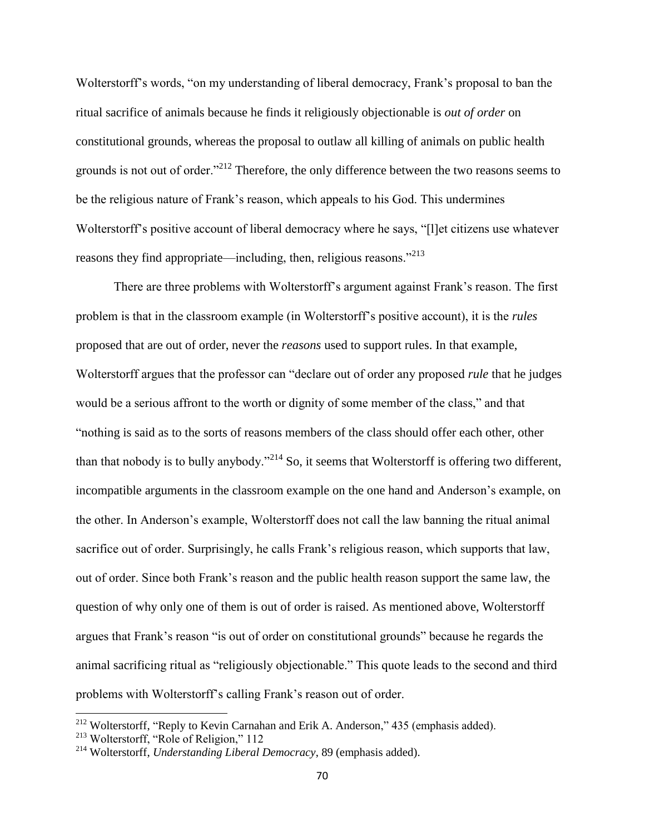Wolterstorff's words, "on my understanding of liberal democracy, Frank's proposal to ban the ritual sacrifice of animals because he finds it religiously objectionable is *out of order* on constitutional grounds, whereas the proposal to outlaw all killing of animals on public health grounds is not out of order."<sup>212</sup> Therefore, the only difference between the two reasons seems to be the religious nature of Frank's reason, which appeals to his God. This undermines Wolterstorff's positive account of liberal democracy where he says, "[l]et citizens use whatever reasons they find appropriate—including, then, religious reasons."<sup>213</sup>

There are three problems with Wolterstorff's argument against Frank's reason. The first problem is that in the classroom example (in Wolterstorff's positive account), it is the *rules* proposed that are out of order, never the *reasons* used to support rules. In that example, Wolterstorff argues that the professor can "declare out of order any proposed *rule* that he judges would be a serious affront to the worth or dignity of some member of the class," and that "nothing is said as to the sorts of reasons members of the class should offer each other, other than that nobody is to bully anybody."<sup>214</sup> So, it seems that Wolterstorff is offering two different, incompatible arguments in the classroom example on the one hand and Anderson's example, on the other. In Anderson's example, Wolterstorff does not call the law banning the ritual animal sacrifice out of order. Surprisingly, he calls Frank's religious reason, which supports that law, out of order. Since both Frank's reason and the public health reason support the same law, the question of why only one of them is out of order is raised. As mentioned above, Wolterstorff argues that Frank's reason "is out of order on constitutional grounds" because he regards the animal sacrificing ritual as "religiously objectionable." This quote leads to the second and third problems with Wolterstorff's calling Frank's reason out of order.

<sup>&</sup>lt;sup>212</sup> Wolterstorff, "Reply to Kevin Carnahan and Erik A. Anderson," 435 (emphasis added).

<sup>213</sup> Wolterstorff, "Role of Religion," 112

<sup>214</sup> Wolterstorff, *Understanding Liberal Democracy*, 89 (emphasis added).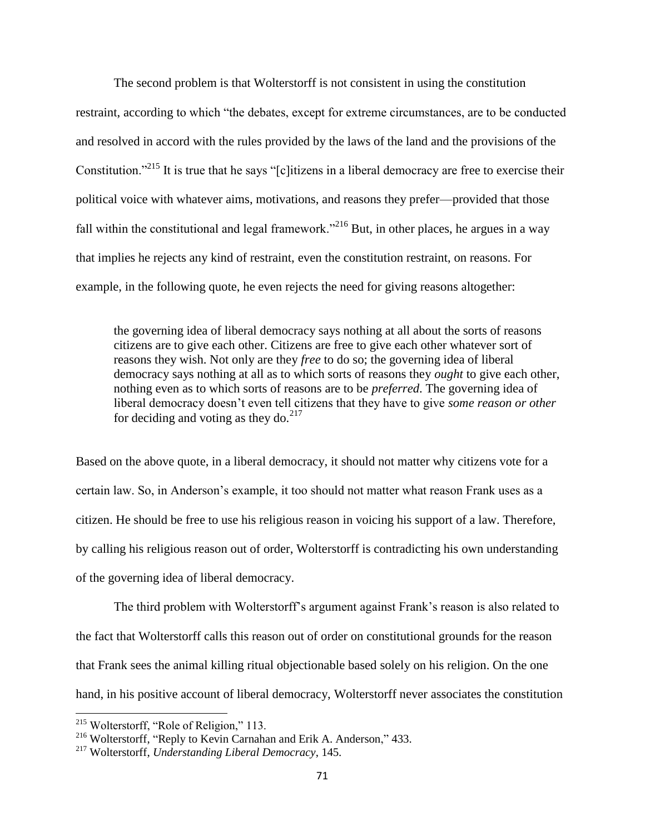The second problem is that Wolterstorff is not consistent in using the constitution restraint, according to which "the debates, except for extreme circumstances, are to be conducted and resolved in accord with the rules provided by the laws of the land and the provisions of the Constitution."<sup>215</sup> It is true that he says "[c]itizens in a liberal democracy are free to exercise their political voice with whatever aims, motivations, and reasons they prefer—provided that those fall within the constitutional and legal framework."<sup>216</sup> But, in other places, he argues in a way that implies he rejects any kind of restraint, even the constitution restraint, on reasons. For example, in the following quote, he even rejects the need for giving reasons altogether:

the governing idea of liberal democracy says nothing at all about the sorts of reasons citizens are to give each other. Citizens are free to give each other whatever sort of reasons they wish. Not only are they *free* to do so; the governing idea of liberal democracy says nothing at all as to which sorts of reasons they *ought* to give each other, nothing even as to which sorts of reasons are to be *preferred*. The governing idea of liberal democracy doesn't even tell citizens that they have to give *some reason or other* for deciding and voting as they do. $^{217}$ 

Based on the above quote, in a liberal democracy, it should not matter why citizens vote for a certain law. So, in Anderson's example, it too should not matter what reason Frank uses as a citizen. He should be free to use his religious reason in voicing his support of a law. Therefore, by calling his religious reason out of order, Wolterstorff is contradicting his own understanding of the governing idea of liberal democracy.

The third problem with Wolterstorff's argument against Frank's reason is also related to the fact that Wolterstorff calls this reason out of order on constitutional grounds for the reason that Frank sees the animal killing ritual objectionable based solely on his religion. On the one hand, in his positive account of liberal democracy, Wolterstorff never associates the constitution

<sup>&</sup>lt;sup>215</sup> Wolterstorff, "Role of Religion," 113.

<sup>216</sup> Wolterstorff, "Reply to Kevin Carnahan and Erik A. Anderson," 433.

<sup>217</sup> Wolterstorff, *Understanding Liberal Democracy*, 145.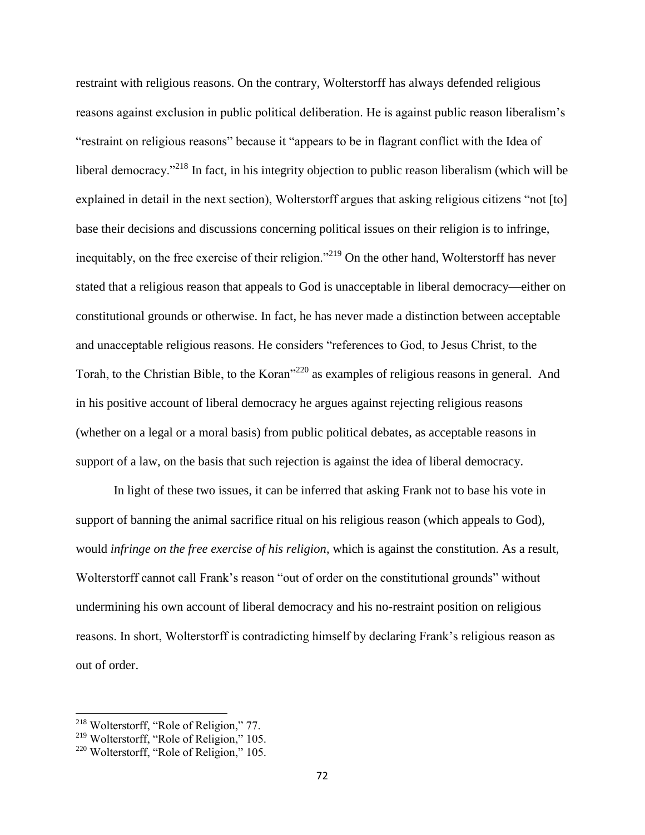restraint with religious reasons. On the contrary, Wolterstorff has always defended religious reasons against exclusion in public political deliberation. He is against public reason liberalism's "restraint on religious reasons" because it "appears to be in flagrant conflict with the Idea of liberal democracy."<sup>218</sup> In fact, in his integrity objection to public reason liberalism (which will be explained in detail in the next section), Wolterstorff argues that asking religious citizens "not [to] base their decisions and discussions concerning political issues on their religion is to infringe, inequitably, on the free exercise of their religion."<sup>219</sup> On the other hand, Wolterstorff has never stated that a religious reason that appeals to God is unacceptable in liberal democracy—either on constitutional grounds or otherwise. In fact, he has never made a distinction between acceptable and unacceptable religious reasons. He considers "references to God, to Jesus Christ, to the Torah, to the Christian Bible, to the Koran<sup>220</sup> as examples of religious reasons in general. And in his positive account of liberal democracy he argues against rejecting religious reasons (whether on a legal or a moral basis) from public political debates, as acceptable reasons in support of a law, on the basis that such rejection is against the idea of liberal democracy.

In light of these two issues, it can be inferred that asking Frank not to base his vote in support of banning the animal sacrifice ritual on his religious reason (which appeals to God), would *infringe on the free exercise of his religion*, which is against the constitution. As a result, Wolterstorff cannot call Frank's reason "out of order on the constitutional grounds" without undermining his own account of liberal democracy and his no-restraint position on religious reasons. In short, Wolterstorff is contradicting himself by declaring Frank's religious reason as out of order.

<sup>&</sup>lt;sup>218</sup> Wolterstorff, "Role of Religion," 77.

<sup>&</sup>lt;sup>219</sup> Wolterstorff, "Role of Religion," 105.

<sup>&</sup>lt;sup>220</sup> Wolterstorff, "Role of Religion," 105.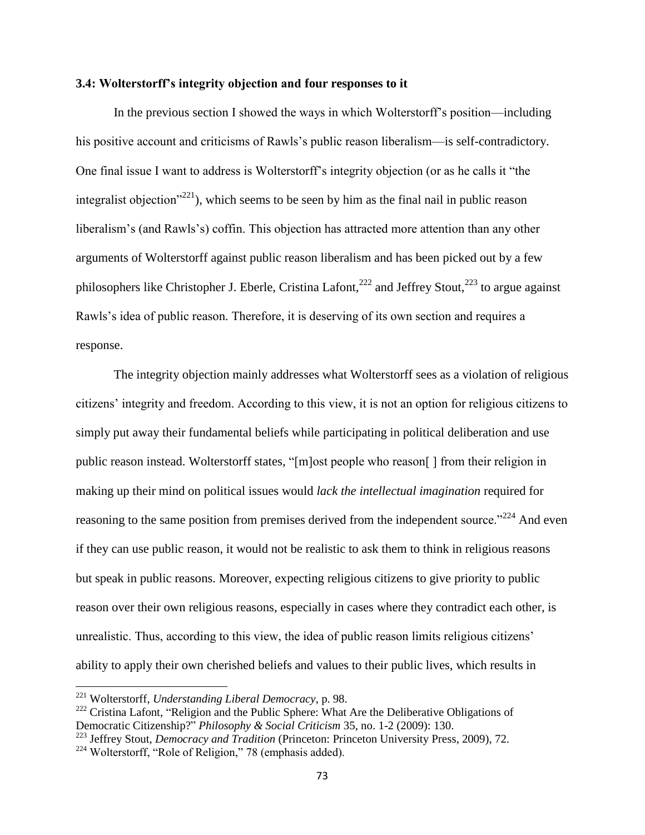### **3.4: Wolterstorff's integrity objection and four responses to it**

In the previous section I showed the ways in which Wolterstorff's position—including his positive account and criticisms of Rawls's public reason liberalism—is self-contradictory. One final issue I want to address is Wolterstorff's integrity objection (or as he calls it "the integralist objection<sup> $221$ </sup>), which seems to be seen by him as the final nail in public reason liberalism's (and Rawls's) coffin. This objection has attracted more attention than any other arguments of Wolterstorff against public reason liberalism and has been picked out by a few philosophers like Christopher J. Eberle, Cristina Lafont,  $222$  and Jeffrey Stout,  $223$  to argue against Rawls's idea of public reason. Therefore, it is deserving of its own section and requires a response.

The integrity objection mainly addresses what Wolterstorff sees as a violation of religious citizens' integrity and freedom. According to this view, it is not an option for religious citizens to simply put away their fundamental beliefs while participating in political deliberation and use public reason instead. Wolterstorff states, "[m]ost people who reason[ ] from their religion in making up their mind on political issues would *lack the intellectual imagination* required for reasoning to the same position from premises derived from the independent source.<sup>"224</sup> And even if they can use public reason, it would not be realistic to ask them to think in religious reasons but speak in public reasons. Moreover, expecting religious citizens to give priority to public reason over their own religious reasons, especially in cases where they contradict each other, is unrealistic. Thus, according to this view, the idea of public reason limits religious citizens' ability to apply their own cherished beliefs and values to their public lives, which results in

<sup>221</sup> Wolterstorff, *Understanding Liberal Democracy*, p. 98.

<sup>&</sup>lt;sup>222</sup> Cristina Lafont, "Religion and the Public Sphere: What Are the Deliberative Obligations of Democratic Citizenship?" *Philosophy & Social Criticism* 35, no. 1-2 (2009): 130.

<sup>223</sup> Jeffrey Stout, *Democracy and Tradition* (Princeton: Princeton University Press, 2009), 72.

<sup>224</sup> Wolterstorff, "Role of Religion," 78 (emphasis added).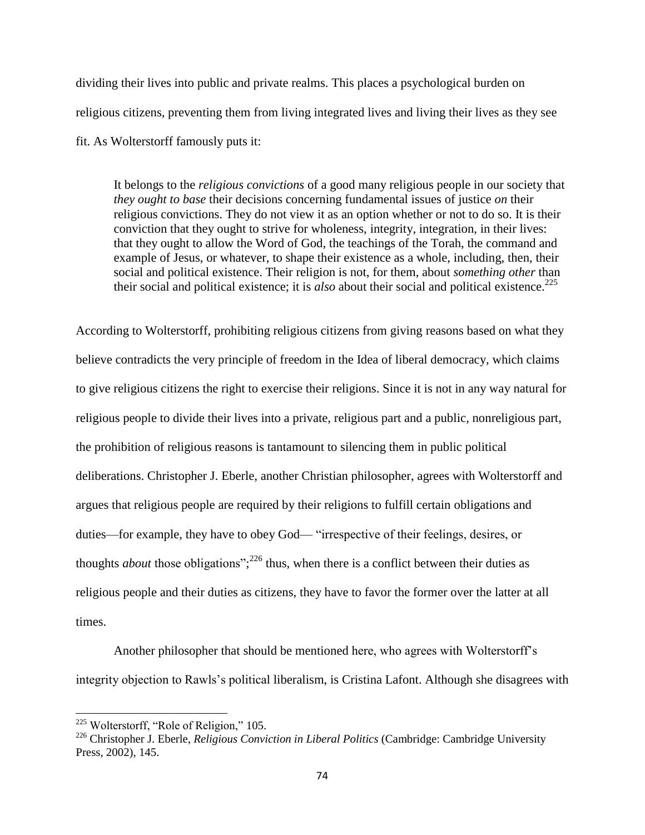dividing their lives into public and private realms. This places a psychological burden on religious citizens, preventing them from living integrated lives and living their lives as they see fit. As Wolterstorff famously puts it:

It belongs to the *religious convictions* of a good many religious people in our society that *they ought to base* their decisions concerning fundamental issues of justice *on* their religious convictions. They do not view it as an option whether or not to do so. It is their conviction that they ought to strive for wholeness, integrity, integration, in their lives: that they ought to allow the Word of God, the teachings of the Torah, the command and example of Jesus, or whatever, to shape their existence as a whole, including, then, their social and political existence. Their religion is not, for them, about *something other* than their social and political existence; it is *also* about their social and political existence.<sup>225</sup>

According to Wolterstorff, prohibiting religious citizens from giving reasons based on what they believe contradicts the very principle of freedom in the Idea of liberal democracy, which claims to give religious citizens the right to exercise their religions. Since it is not in any way natural for religious people to divide their lives into a private, religious part and a public, nonreligious part, the prohibition of religious reasons is tantamount to silencing them in public political deliberations. Christopher J. Eberle, another Christian philosopher, agrees with Wolterstorff and argues that religious people are required by their religions to fulfill certain obligations and duties—for example, they have to obey God— "irrespective of their feelings, desires, or thoughts *about* those obligations";<sup>226</sup> thus, when there is a conflict between their duties as religious people and their duties as citizens, they have to favor the former over the latter at all times.

Another philosopher that should be mentioned here, who agrees with Wolterstorff's integrity objection to Rawls's political liberalism, is Cristina Lafont. Although she disagrees with

<sup>&</sup>lt;sup>225</sup> Wolterstorff, "Role of Religion," 105.

<sup>226</sup> Christopher J. Eberle, *Religious Conviction in Liberal Politics* (Cambridge: Cambridge University Press, 2002), 145.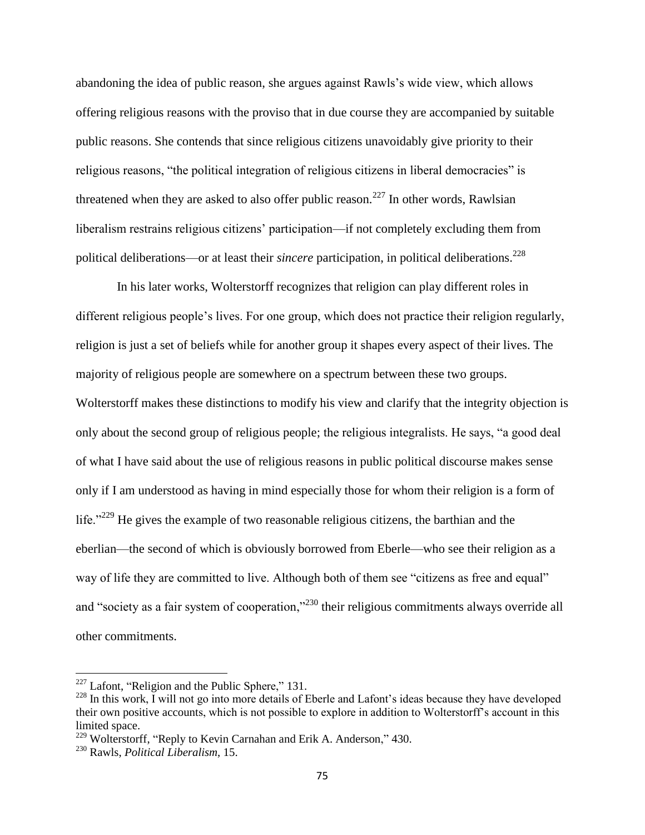abandoning the idea of public reason, she argues against Rawls's wide view, which allows offering religious reasons with the proviso that in due course they are accompanied by suitable public reasons. She contends that since religious citizens unavoidably give priority to their religious reasons, "the political integration of religious citizens in liberal democracies" is threatened when they are asked to also offer public reason.<sup>227</sup> In other words, Rawlsian liberalism restrains religious citizens' participation—if not completely excluding them from political deliberations—or at least their *sincere* participation, in political deliberations.<sup>228</sup>

In his later works, Wolterstorff recognizes that religion can play different roles in different religious people's lives. For one group, which does not practice their religion regularly, religion is just a set of beliefs while for another group it shapes every aspect of their lives. The majority of religious people are somewhere on a spectrum between these two groups. Wolterstorff makes these distinctions to modify his view and clarify that the integrity objection is only about the second group of religious people; the religious integralists. He says, "a good deal of what I have said about the use of religious reasons in public political discourse makes sense only if I am understood as having in mind especially those for whom their religion is a form of life."<sup>229</sup> He gives the example of two reasonable religious citizens, the barthian and the eberlian—the second of which is obviously borrowed from Eberle—who see their religion as a way of life they are committed to live. Although both of them see "citizens as free and equal" and "society as a fair system of cooperation,"<sup>230</sup> their religious commitments always override all other commitments.

 $227$  Lafont, "Religion and the Public Sphere," 131.

<sup>&</sup>lt;sup>228</sup> In this work, I will not go into more details of Eberle and Lafont's ideas because they have developed their own positive accounts, which is not possible to explore in addition to Wolterstorff's account in this limited space.

<sup>&</sup>lt;sup>229</sup> Wolterstorff, "Reply to Kevin Carnahan and Erik A. Anderson," 430.

<sup>230</sup> Rawls, *Political Liberalism*, 15.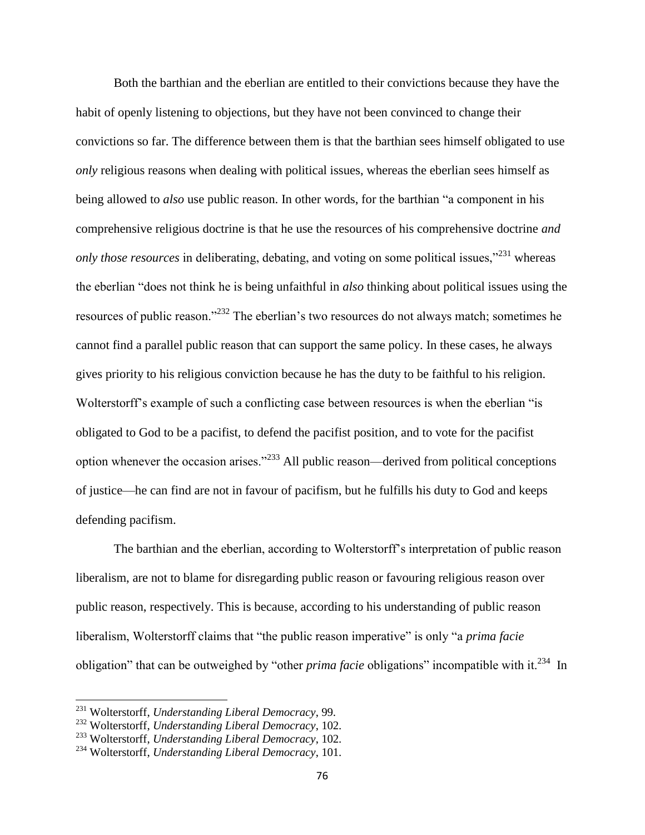Both the barthian and the eberlian are entitled to their convictions because they have the habit of openly listening to objections, but they have not been convinced to change their convictions so far. The difference between them is that the barthian sees himself obligated to use *only* religious reasons when dealing with political issues, whereas the eberlian sees himself as being allowed to *also* use public reason. In other words, for the barthian "a component in his comprehensive religious doctrine is that he use the resources of his comprehensive doctrine *and only those resources* in deliberating, debating, and voting on some political issues,"<sup>231</sup> whereas the eberlian "does not think he is being unfaithful in *also* thinking about political issues using the resources of public reason."<sup>232</sup> The eberlian's two resources do not always match; sometimes he cannot find a parallel public reason that can support the same policy. In these cases, he always gives priority to his religious conviction because he has the duty to be faithful to his religion. Wolterstorff's example of such a conflicting case between resources is when the eberlian "is obligated to God to be a pacifist, to defend the pacifist position, and to vote for the pacifist option whenever the occasion arises."<sup>233</sup> All public reason—derived from political conceptions of justice—he can find are not in favour of pacifism, but he fulfills his duty to God and keeps defending pacifism.

The barthian and the eberlian, according to Wolterstorff's interpretation of public reason liberalism, are not to blame for disregarding public reason or favouring religious reason over public reason, respectively. This is because, according to his understanding of public reason liberalism, Wolterstorff claims that "the public reason imperative" is only "a *prima facie* obligation" that can be outweighed by "other *prima facie* obligations" incompatible with it.<sup>234</sup> In

l

<sup>231</sup> Wolterstorff, *Understanding Liberal Democracy*, 99.

<sup>232</sup> Wolterstorff, *Understanding Liberal Democracy*, 102.

<sup>233</sup> Wolterstorff, *Understanding Liberal Democracy*, 102.

<sup>234</sup> Wolterstorff, *Understanding Liberal Democracy*, 101.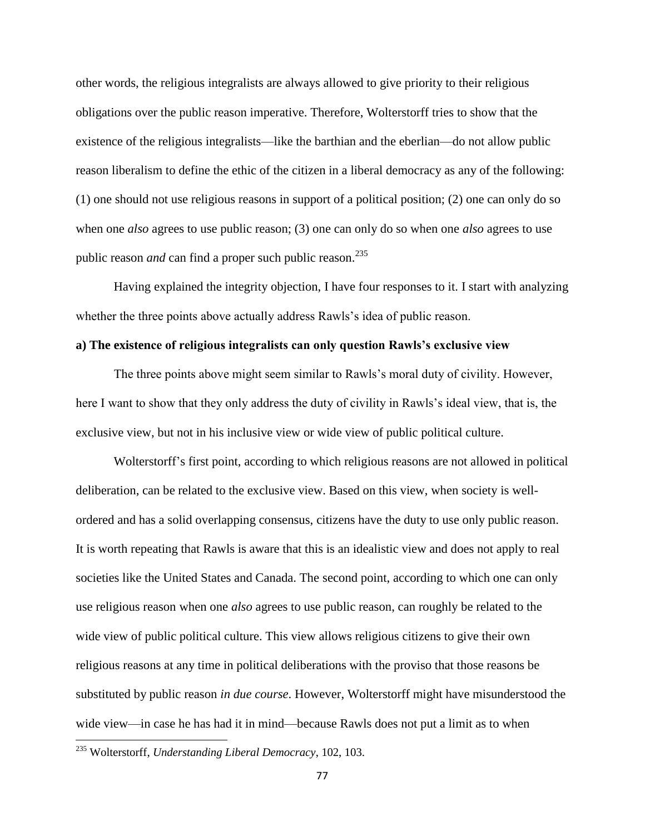other words, the religious integralists are always allowed to give priority to their religious obligations over the public reason imperative. Therefore, Wolterstorff tries to show that the existence of the religious integralists—like the barthian and the eberlian—do not allow public reason liberalism to define the ethic of the citizen in a liberal democracy as any of the following: (1) one should not use religious reasons in support of a political position; (2) one can only do so when one *also* agrees to use public reason; (3) one can only do so when one *also* agrees to use public reason *and* can find a proper such public reason.<sup>235</sup>

Having explained the integrity objection, I have four responses to it. I start with analyzing whether the three points above actually address Rawls's idea of public reason.

## **a) The existence of religious integralists can only question Rawls's exclusive view**

The three points above might seem similar to Rawls's moral duty of civility. However, here I want to show that they only address the duty of civility in Rawls's ideal view, that is, the exclusive view, but not in his inclusive view or wide view of public political culture.

Wolterstorff's first point, according to which religious reasons are not allowed in political deliberation, can be related to the exclusive view. Based on this view, when society is wellordered and has a solid overlapping consensus, citizens have the duty to use only public reason. It is worth repeating that Rawls is aware that this is an idealistic view and does not apply to real societies like the United States and Canada. The second point, according to which one can only use religious reason when one *also* agrees to use public reason, can roughly be related to the wide view of public political culture. This view allows religious citizens to give their own religious reasons at any time in political deliberations with the proviso that those reasons be substituted by public reason *in due course*. However, Wolterstorff might have misunderstood the wide view—in case he has had it in mind—because Rawls does not put a limit as to when

<sup>235</sup> Wolterstorff, *Understanding Liberal Democracy*, 102, 103.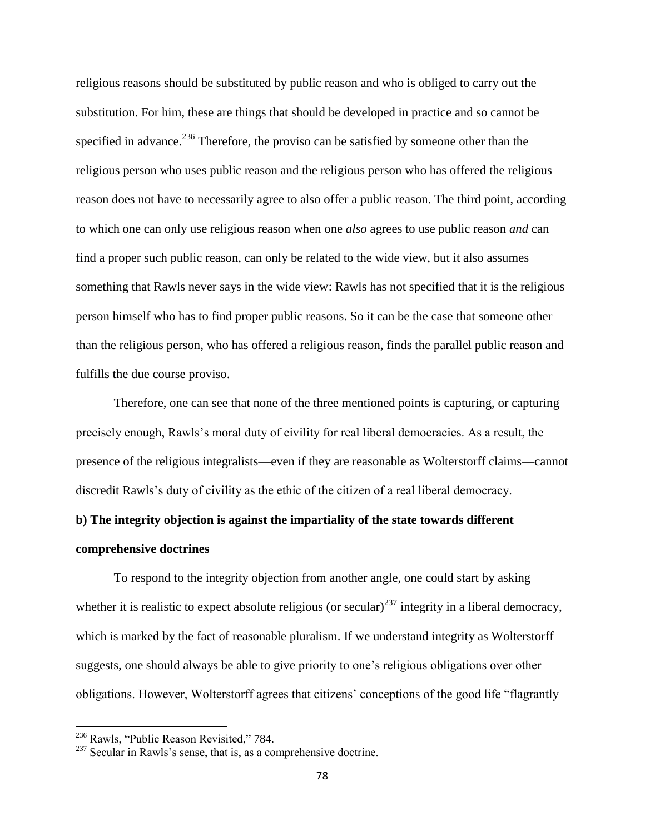religious reasons should be substituted by public reason and who is obliged to carry out the substitution. For him, these are things that should be developed in practice and so cannot be specified in advance.<sup>236</sup> Therefore, the proviso can be satisfied by someone other than the religious person who uses public reason and the religious person who has offered the religious reason does not have to necessarily agree to also offer a public reason. The third point, according to which one can only use religious reason when one *also* agrees to use public reason *and* can find a proper such public reason, can only be related to the wide view, but it also assumes something that Rawls never says in the wide view: Rawls has not specified that it is the religious person himself who has to find proper public reasons. So it can be the case that someone other than the religious person, who has offered a religious reason, finds the parallel public reason and fulfills the due course proviso.

Therefore, one can see that none of the three mentioned points is capturing, or capturing precisely enough, Rawls's moral duty of civility for real liberal democracies. As a result, the presence of the religious integralists—even if they are reasonable as Wolterstorff claims—cannot discredit Rawls's duty of civility as the ethic of the citizen of a real liberal democracy.

# **b) The integrity objection is against the impartiality of the state towards different comprehensive doctrines**

To respond to the integrity objection from another angle, one could start by asking whether it is realistic to expect absolute religious (or secular)<sup>237</sup> integrity in a liberal democracy, which is marked by the fact of reasonable pluralism. If we understand integrity as Wolterstorff suggests, one should always be able to give priority to one's religious obligations over other obligations. However, Wolterstorff agrees that citizens' conceptions of the good life "flagrantly

<sup>&</sup>lt;sup>236</sup> Rawls, "Public Reason Revisited," 784.

<sup>&</sup>lt;sup>237</sup> Secular in Rawls's sense, that is, as a comprehensive doctrine.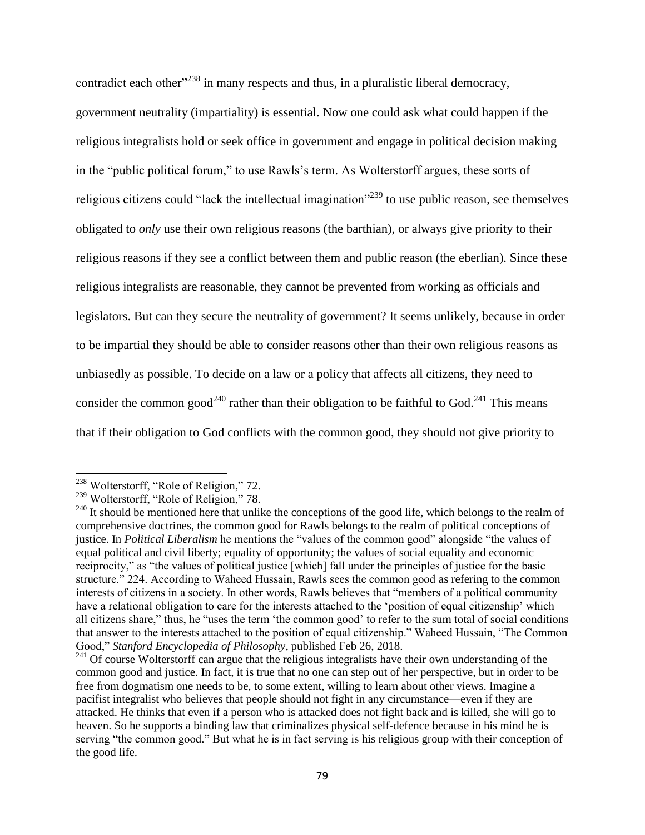contradict each other<sup> $238$ </sup> in many respects and thus, in a pluralistic liberal democracy, government neutrality (impartiality) is essential. Now one could ask what could happen if the religious integralists hold or seek office in government and engage in political decision making in the "public political forum," to use Rawls's term. As Wolterstorff argues, these sorts of religious citizens could "lack the intellectual imagination"<sup>239</sup> to use public reason, see themselves obligated to *only* use their own religious reasons (the barthian), or always give priority to their religious reasons if they see a conflict between them and public reason (the eberlian). Since these religious integralists are reasonable, they cannot be prevented from working as officials and legislators. But can they secure the neutrality of government? It seems unlikely, because in order to be impartial they should be able to consider reasons other than their own religious reasons as unbiasedly as possible. To decide on a law or a policy that affects all citizens, they need to consider the common good<sup>240</sup> rather than their obligation to be faithful to God.<sup>241</sup> This means that if their obligation to God conflicts with the common good, they should not give priority to

<sup>&</sup>lt;sup>238</sup> Wolterstorff, "Role of Religion," 72.

<sup>&</sup>lt;sup>239</sup> Wolterstorff, "Role of Religion," 78.

 $^{240}$  It should be mentioned here that unlike the conceptions of the good life, which belongs to the realm of comprehensive doctrines, the common good for Rawls belongs to the realm of political conceptions of justice. In *Political Liberalism* he mentions the "values of the common good" alongside "the values of equal political and civil liberty; equality of opportunity; the values of social equality and economic reciprocity," as "the values of political justice [which] fall under the principles of justice for the basic structure." 224. According to Waheed Hussain, Rawls sees the common good as refering to the common interests of citizens in a society. In other words, Rawls believes that "members of a political community have a relational obligation to care for the interests attached to the 'position of equal citizenship' which all citizens share," thus, he "uses the term 'the common good' to refer to the sum total of social conditions that answer to the interests attached to the position of equal citizenship." Waheed Hussain, "The Common Good," *Stanford Encyclopedia of Philosophy*, published Feb 26, 2018.

<sup>&</sup>lt;sup>241</sup> Of course Wolterstorff can argue that the religious integralists have their own understanding of the common good and justice. In fact, it is true that no one can step out of her perspective, but in order to be free from dogmatism one needs to be, to some extent, willing to learn about other views. Imagine a pacifist integralist who believes that people should not fight in any circumstance—even if they are attacked. He thinks that even if a person who is attacked does not fight back and is killed, she will go to heaven. So he supports a binding law that criminalizes physical self-defence because in his mind he is serving "the common good." But what he is in fact serving is his religious group with their conception of the good life.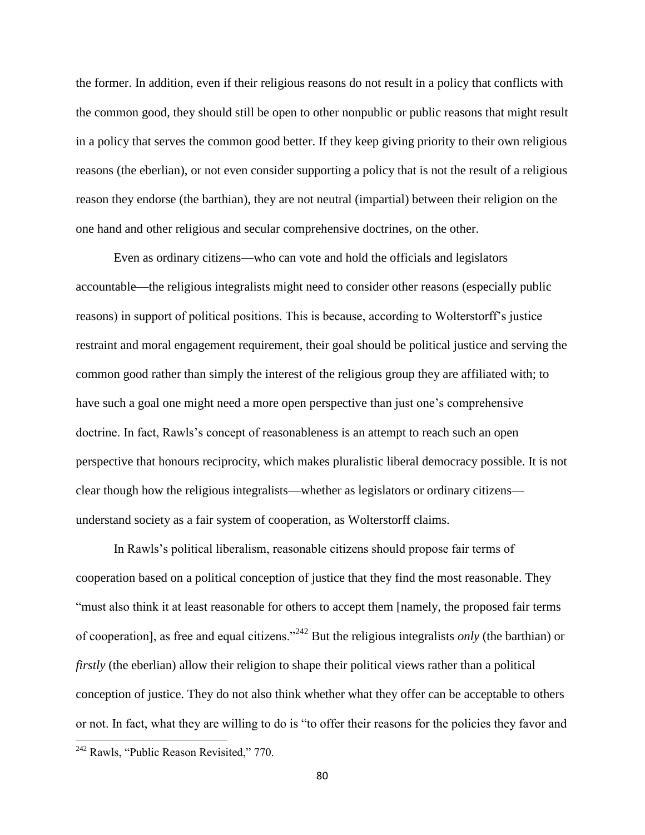the former. In addition, even if their religious reasons do not result in a policy that conflicts with the common good, they should still be open to other nonpublic or public reasons that might result in a policy that serves the common good better. If they keep giving priority to their own religious reasons (the eberlian), or not even consider supporting a policy that is not the result of a religious reason they endorse (the barthian), they are not neutral (impartial) between their religion on the one hand and other religious and secular comprehensive doctrines, on the other.

Even as ordinary citizens—who can vote and hold the officials and legislators accountable—the religious integralists might need to consider other reasons (especially public reasons) in support of political positions. This is because, according to Wolterstorff's justice restraint and moral engagement requirement, their goal should be political justice and serving the common good rather than simply the interest of the religious group they are affiliated with; to have such a goal one might need a more open perspective than just one's comprehensive doctrine. In fact, Rawls's concept of reasonableness is an attempt to reach such an open perspective that honours reciprocity, which makes pluralistic liberal democracy possible. It is not clear though how the religious integralists—whether as legislators or ordinary citizens understand society as a fair system of cooperation, as Wolterstorff claims.

In Rawls's political liberalism, reasonable citizens should propose fair terms of cooperation based on a political conception of justice that they find the most reasonable. They "must also think it at least reasonable for others to accept them [namely, the proposed fair terms of cooperation], as free and equal citizens."<sup>242</sup> But the religious integralists *only* (the barthian) or *firstly* (the eberlian) allow their religion to shape their political views rather than a political conception of justice. They do not also think whether what they offer can be acceptable to others or not. In fact, what they are willing to do is "to offer their reasons for the policies they favor and

<sup>&</sup>lt;sup>242</sup> Rawls, "Public Reason Revisited," 770.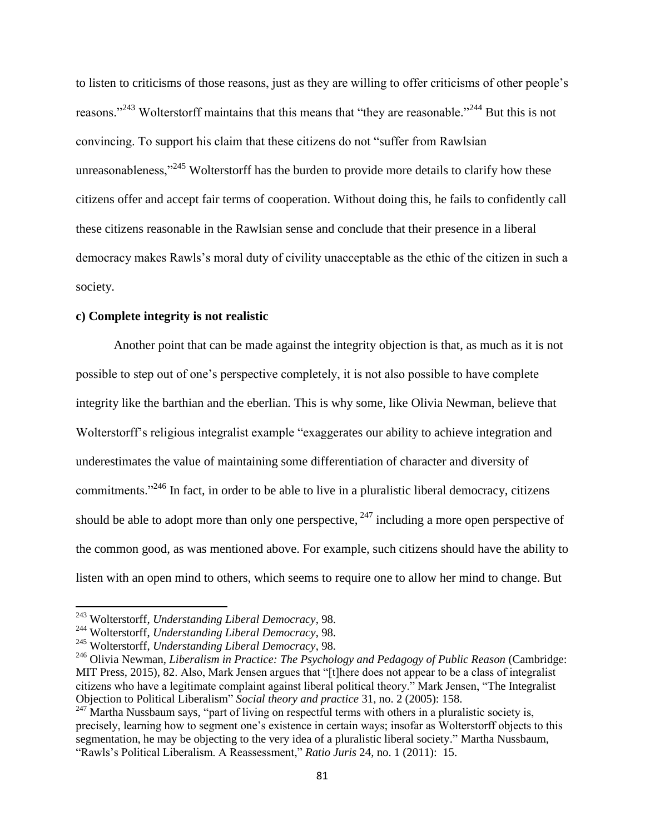to listen to criticisms of those reasons, just as they are willing to offer criticisms of other people's reasons."<sup>243</sup> Wolterstorff maintains that this means that "they are reasonable."<sup>244</sup> But this is not convincing. To support his claim that these citizens do not "suffer from Rawlsian unreasonableness,"<sup>245</sup> Wolterstorff has the burden to provide more details to clarify how these citizens offer and accept fair terms of cooperation. Without doing this, he fails to confidently call these citizens reasonable in the Rawlsian sense and conclude that their presence in a liberal democracy makes Rawls's moral duty of civility unacceptable as the ethic of the citizen in such a society.

### **c) Complete integrity is not realistic**

Another point that can be made against the integrity objection is that, as much as it is not possible to step out of one's perspective completely, it is not also possible to have complete integrity like the barthian and the eberlian. This is why some, like Olivia Newman, believe that Wolterstorff's religious integralist example "exaggerates our ability to achieve integration and underestimates the value of maintaining some differentiation of character and diversity of commitments."<sup>246</sup> In fact, in order to be able to live in a pluralistic liberal democracy, citizens should be able to adopt more than only one perspective,  $247$  including a more open perspective of the common good, as was mentioned above. For example, such citizens should have the ability to listen with an open mind to others, which seems to require one to allow her mind to change. But

l

<sup>243</sup> Wolterstorff, *Understanding Liberal Democracy*, 98.

<sup>244</sup> Wolterstorff, *Understanding Liberal Democracy*, 98.

<sup>245</sup> Wolterstorff, *Understanding Liberal Democracy*, 98.

<sup>246</sup> Olivia Newman, *Liberalism in Practice: The Psychology and Pedagogy of Public Reason* (Cambridge: MIT Press, 2015), 82. Also, Mark Jensen argues that "[t]here does not appear to be a class of integralist citizens who have a legitimate complaint against liberal political theory." Mark Jensen, "The Integralist Objection to Political Liberalism" *Social theory and practice* 31, no. 2 (2005): 158.

 $247$  Martha Nussbaum says, "part of living on respectful terms with others in a pluralistic society is, precisely, learning how to segment one's existence in certain ways; insofar as Wolterstorff objects to this segmentation, he may be objecting to the very idea of a pluralistic liberal society." Martha Nussbaum, "Rawls's Political Liberalism. A Reassessment," *Ratio Juris* 24, no. 1 (2011): 15.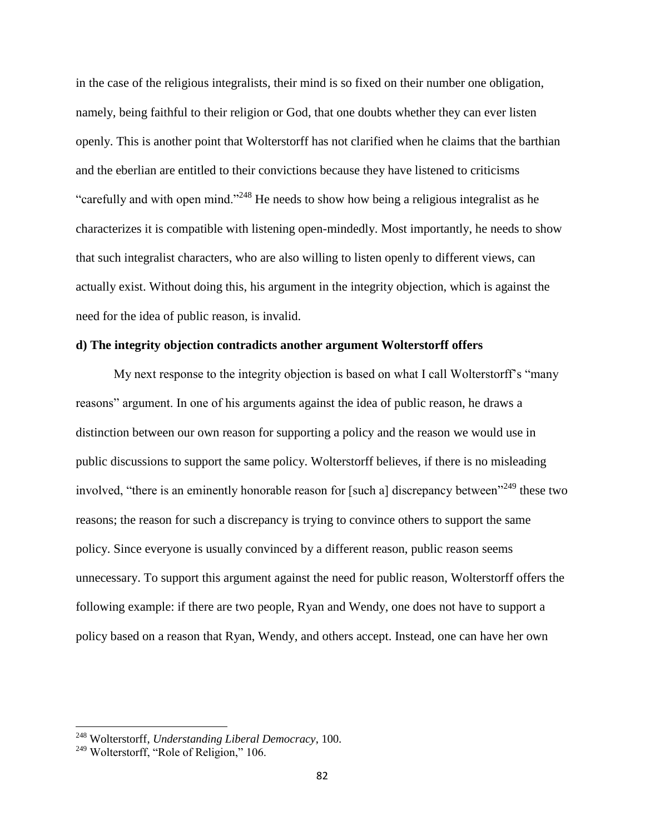in the case of the religious integralists, their mind is so fixed on their number one obligation, namely, being faithful to their religion or God, that one doubts whether they can ever listen openly. This is another point that Wolterstorff has not clarified when he claims that the barthian and the eberlian are entitled to their convictions because they have listened to criticisms "carefully and with open mind."<sup>248</sup> He needs to show how being a religious integralist as he characterizes it is compatible with listening open-mindedly. Most importantly, he needs to show that such integralist characters, who are also willing to listen openly to different views, can actually exist. Without doing this, his argument in the integrity objection, which is against the need for the idea of public reason, is invalid.

## **d) The integrity objection contradicts another argument Wolterstorff offers**

My next response to the integrity objection is based on what I call Wolterstorff's "many reasons" argument. In one of his arguments against the idea of public reason, he draws a distinction between our own reason for supporting a policy and the reason we would use in public discussions to support the same policy. Wolterstorff believes, if there is no misleading involved, "there is an eminently honorable reason for [such a] discrepancy between"<sup>249</sup> these two reasons; the reason for such a discrepancy is trying to convince others to support the same policy. Since everyone is usually convinced by a different reason, public reason seems unnecessary. To support this argument against the need for public reason, Wolterstorff offers the following example: if there are two people, Ryan and Wendy, one does not have to support a policy based on a reason that Ryan, Wendy, and others accept. Instead, one can have her own

<sup>248</sup> Wolterstorff, *Understanding Liberal Democracy*, 100.

<sup>&</sup>lt;sup>249</sup> Wolterstorff, "Role of Religion," 106.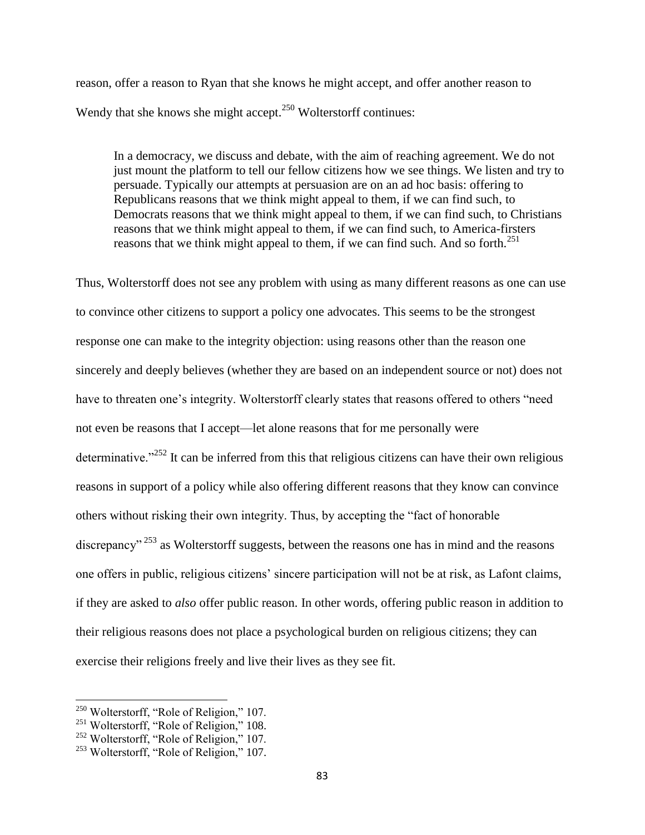reason, offer a reason to Ryan that she knows he might accept, and offer another reason to Wendy that she knows she might accept.<sup>250</sup> Wolterstorff continues:

In a democracy, we discuss and debate, with the aim of reaching agreement. We do not just mount the platform to tell our fellow citizens how we see things. We listen and try to persuade. Typically our attempts at persuasion are on an ad hoc basis: offering to Republicans reasons that we think might appeal to them, if we can find such, to Democrats reasons that we think might appeal to them, if we can find such, to Christians reasons that we think might appeal to them, if we can find such, to America-firsters reasons that we think might appeal to them, if we can find such. And so forth.<sup>251</sup>

Thus, Wolterstorff does not see any problem with using as many different reasons as one can use to convince other citizens to support a policy one advocates. This seems to be the strongest response one can make to the integrity objection: using reasons other than the reason one sincerely and deeply believes (whether they are based on an independent source or not) does not have to threaten one's integrity. Wolterstorff clearly states that reasons offered to others "need not even be reasons that I accept—let alone reasons that for me personally were determinative."<sup>252</sup> It can be inferred from this that religious citizens can have their own religious reasons in support of a policy while also offering different reasons that they know can convince others without risking their own integrity. Thus, by accepting the "fact of honorable discrepancy"<sup>253</sup> as Wolterstorff suggests, between the reasons one has in mind and the reasons one offers in public, religious citizens' sincere participation will not be at risk, as Lafont claims, if they are asked to *also* offer public reason. In other words, offering public reason in addition to their religious reasons does not place a psychological burden on religious citizens; they can exercise their religions freely and live their lives as they see fit.

l

<sup>&</sup>lt;sup>250</sup> Wolterstorff, "Role of Religion," 107.

<sup>&</sup>lt;sup>251</sup> Wolterstorff, "Role of Religion," 108.

<sup>&</sup>lt;sup>252</sup> Wolterstorff, "Role of Religion," 107.

<sup>&</sup>lt;sup>253</sup> Wolterstorff, "Role of Religion," 107.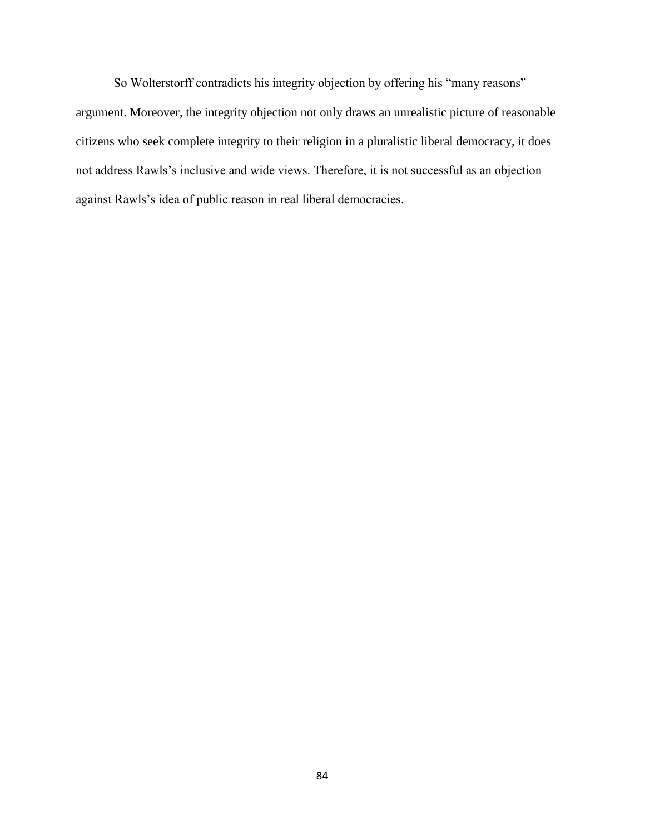So Wolterstorff contradicts his integrity objection by offering his "many reasons" argument. Moreover, the integrity objection not only draws an unrealistic picture of reasonable citizens who seek complete integrity to their religion in a pluralistic liberal democracy, it does not address Rawls's inclusive and wide views. Therefore, it is not successful as an objection against Rawls's idea of public reason in real liberal democracies.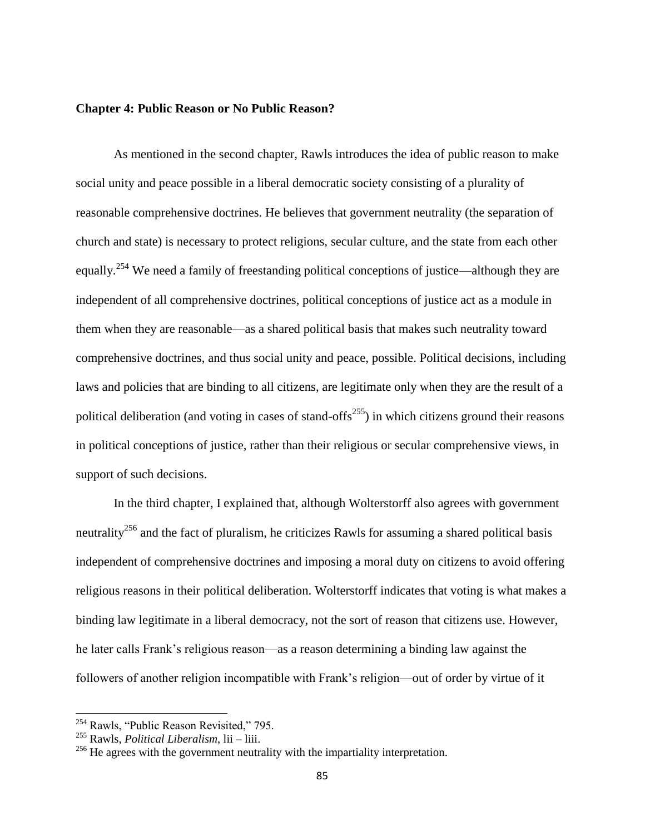#### **Chapter 4: Public Reason or No Public Reason?**

As mentioned in the second chapter, Rawls introduces the idea of public reason to make social unity and peace possible in a liberal democratic society consisting of a plurality of reasonable comprehensive doctrines. He believes that government neutrality (the separation of church and state) is necessary to protect religions, secular culture, and the state from each other equally.<sup>254</sup> We need a family of freestanding political conceptions of justice—although they are independent of all comprehensive doctrines, political conceptions of justice act as a module in them when they are reasonable—as a shared political basis that makes such neutrality toward comprehensive doctrines, and thus social unity and peace, possible. Political decisions, including laws and policies that are binding to all citizens, are legitimate only when they are the result of a political deliberation (and voting in cases of stand-offs<sup>255</sup>) in which citizens ground their reasons in political conceptions of justice, rather than their religious or secular comprehensive views, in support of such decisions.

In the third chapter, I explained that, although Wolterstorff also agrees with government neutrality<sup>256</sup> and the fact of pluralism, he criticizes Rawls for assuming a shared political basis independent of comprehensive doctrines and imposing a moral duty on citizens to avoid offering religious reasons in their political deliberation. Wolterstorff indicates that voting is what makes a binding law legitimate in a liberal democracy, not the sort of reason that citizens use. However, he later calls Frank's religious reason—as a reason determining a binding law against the followers of another religion incompatible with Frank's religion—out of order by virtue of it

<sup>&</sup>lt;sup>254</sup> Rawls, "Public Reason Revisited," 795.

<sup>255</sup> Rawls, *Political Liberalism*, lii – liii.

<sup>&</sup>lt;sup>256</sup> He agrees with the government neutrality with the impartiality interpretation.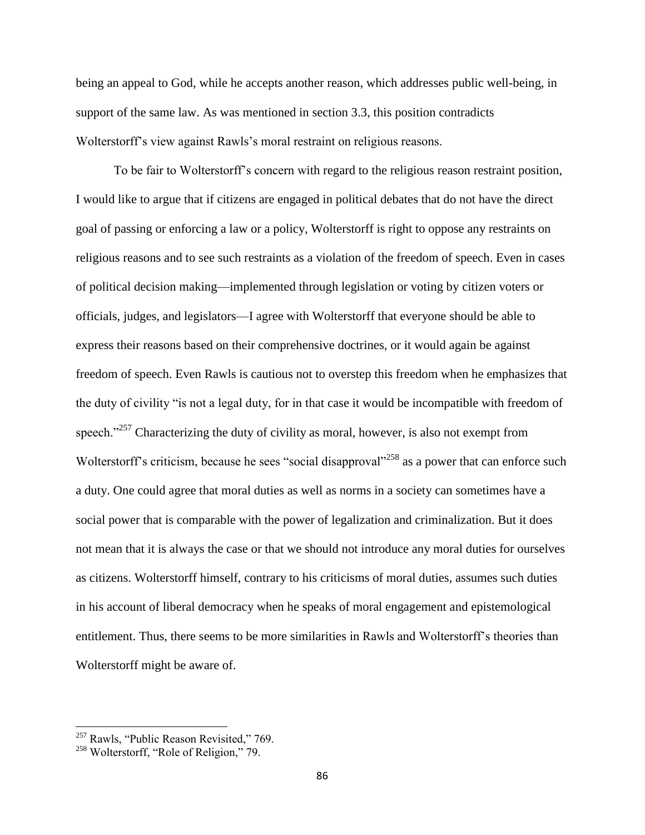being an appeal to God, while he accepts another reason, which addresses public well-being, in support of the same law. As was mentioned in section 3.3, this position contradicts Wolterstorff's view against Rawls's moral restraint on religious reasons.

To be fair to Wolterstorff's concern with regard to the religious reason restraint position, I would like to argue that if citizens are engaged in political debates that do not have the direct goal of passing or enforcing a law or a policy, Wolterstorff is right to oppose any restraints on religious reasons and to see such restraints as a violation of the freedom of speech. Even in cases of political decision making—implemented through legislation or voting by citizen voters or officials, judges, and legislators—I agree with Wolterstorff that everyone should be able to express their reasons based on their comprehensive doctrines, or it would again be against freedom of speech. Even Rawls is cautious not to overstep this freedom when he emphasizes that the duty of civility "is not a legal duty, for in that case it would be incompatible with freedom of speech."<sup> $257$ </sup> Characterizing the duty of civility as moral, however, is also not exempt from Wolterstorff's criticism, because he sees "social disapproval"<sup>258</sup> as a power that can enforce such a duty. One could agree that moral duties as well as norms in a society can sometimes have a social power that is comparable with the power of legalization and criminalization. But it does not mean that it is always the case or that we should not introduce any moral duties for ourselves as citizens. Wolterstorff himself, contrary to his criticisms of moral duties, assumes such duties in his account of liberal democracy when he speaks of moral engagement and epistemological entitlement. Thus, there seems to be more similarities in Rawls and Wolterstorff's theories than Wolterstorff might be aware of.

<sup>&</sup>lt;sup>257</sup> Rawls, "Public Reason Revisited," 769.

<sup>&</sup>lt;sup>258</sup> Wolterstorff, "Role of Religion," 79.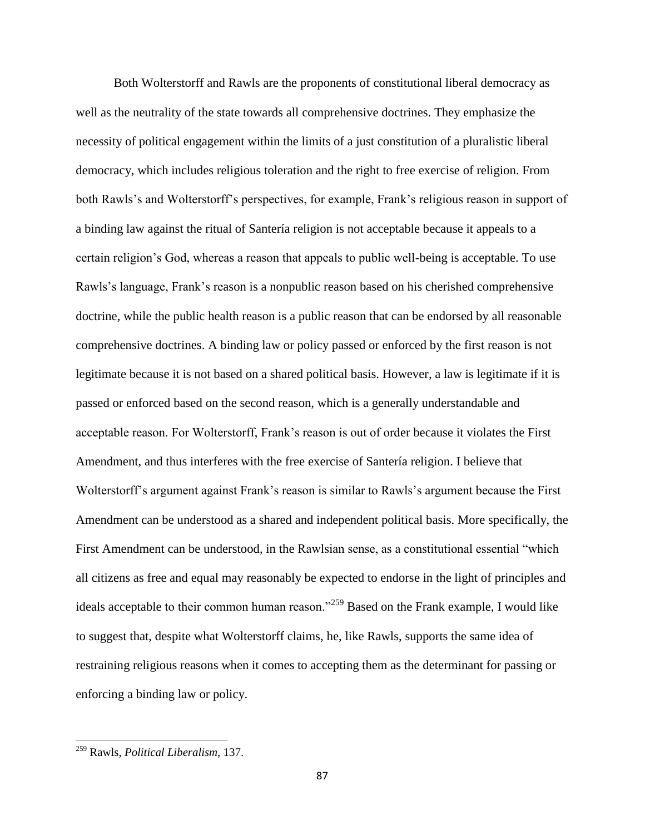Both Wolterstorff and Rawls are the proponents of constitutional liberal democracy as well as the neutrality of the state towards all comprehensive doctrines. They emphasize the necessity of political engagement within the limits of a just constitution of a pluralistic liberal democracy, which includes religious toleration and the right to free exercise of religion. From both Rawls's and Wolterstorff's perspectives, for example, Frank's religious reason in support of a binding law against the ritual of Santería religion is not acceptable because it appeals to a certain religion's God, whereas a reason that appeals to public well-being is acceptable. To use Rawls's language, Frank's reason is a nonpublic reason based on his cherished comprehensive doctrine, while the public health reason is a public reason that can be endorsed by all reasonable comprehensive doctrines. A binding law or policy passed or enforced by the first reason is not legitimate because it is not based on a shared political basis. However, a law is legitimate if it is passed or enforced based on the second reason, which is a generally understandable and acceptable reason. For Wolterstorff, Frank's reason is out of order because it violates the First Amendment, and thus interferes with the free exercise of Santería religion. I believe that Wolterstorff's argument against Frank's reason is similar to Rawls's argument because the First Amendment can be understood as a shared and independent political basis. More specifically, the First Amendment can be understood, in the Rawlsian sense, as a constitutional essential "which all citizens as free and equal may reasonably be expected to endorse in the light of principles and ideals acceptable to their common human reason."<sup>259</sup> Based on the Frank example, I would like to suggest that, despite what Wolterstorff claims, he, like Rawls, supports the same idea of restraining religious reasons when it comes to accepting them as the determinant for passing or enforcing a binding law or policy.

<sup>259</sup> Rawls, *Political Liberalism*, 137.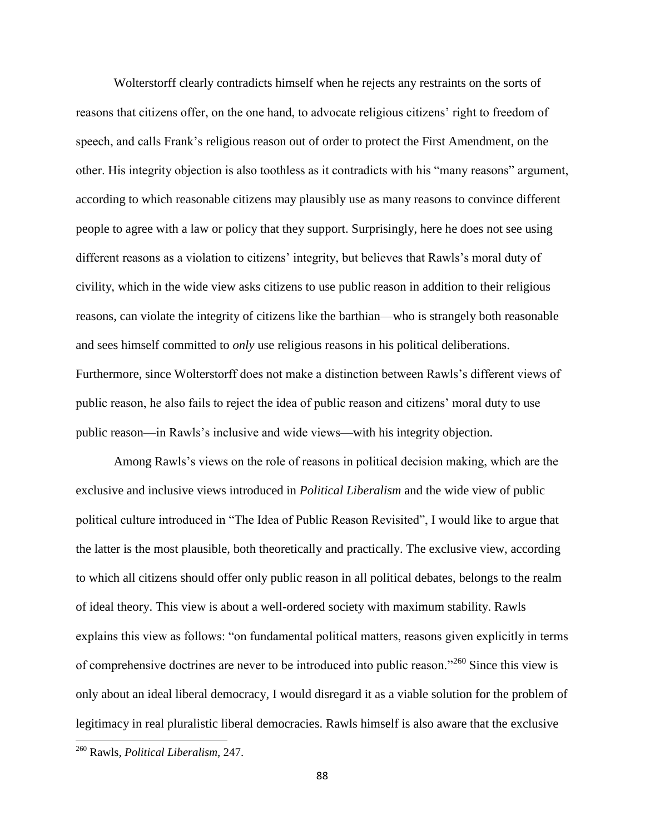Wolterstorff clearly contradicts himself when he rejects any restraints on the sorts of reasons that citizens offer, on the one hand, to advocate religious citizens' right to freedom of speech, and calls Frank's religious reason out of order to protect the First Amendment, on the other. His integrity objection is also toothless as it contradicts with his "many reasons" argument, according to which reasonable citizens may plausibly use as many reasons to convince different people to agree with a law or policy that they support. Surprisingly, here he does not see using different reasons as a violation to citizens' integrity, but believes that Rawls's moral duty of civility, which in the wide view asks citizens to use public reason in addition to their religious reasons, can violate the integrity of citizens like the barthian—who is strangely both reasonable and sees himself committed to *only* use religious reasons in his political deliberations. Furthermore, since Wolterstorff does not make a distinction between Rawls's different views of public reason, he also fails to reject the idea of public reason and citizens' moral duty to use public reason—in Rawls's inclusive and wide views—with his integrity objection.

Among Rawls's views on the role of reasons in political decision making, which are the exclusive and inclusive views introduced in *Political Liberalism* and the wide view of public political culture introduced in "The Idea of Public Reason Revisited", I would like to argue that the latter is the most plausible, both theoretically and practically. The exclusive view, according to which all citizens should offer only public reason in all political debates, belongs to the realm of ideal theory. This view is about a well-ordered society with maximum stability. Rawls explains this view as follows: "on fundamental political matters, reasons given explicitly in terms of comprehensive doctrines are never to be introduced into public reason."<sup>260</sup> Since this view is only about an ideal liberal democracy, I would disregard it as a viable solution for the problem of legitimacy in real pluralistic liberal democracies. Rawls himself is also aware that the exclusive

<sup>260</sup> Rawls, *Political Liberalism*, 247.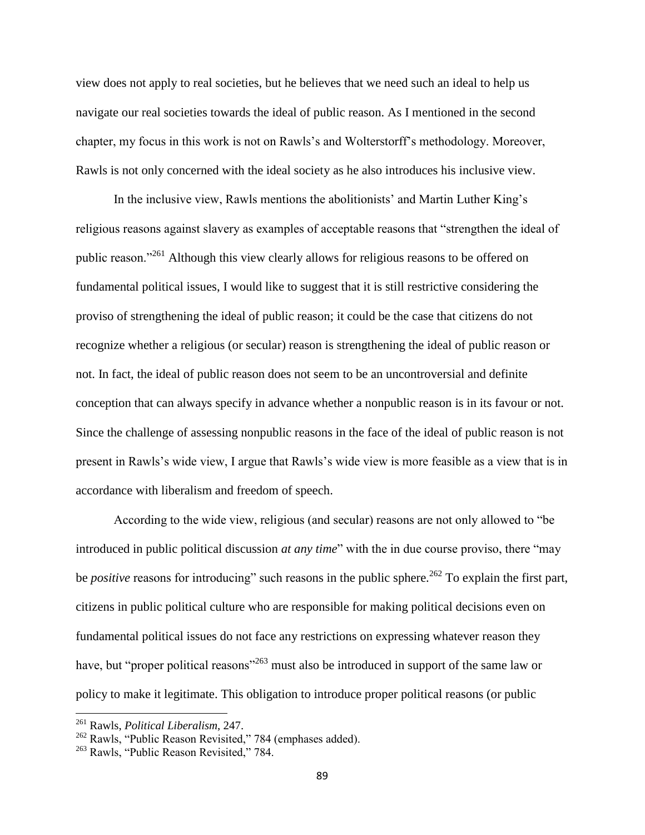view does not apply to real societies, but he believes that we need such an ideal to help us navigate our real societies towards the ideal of public reason. As I mentioned in the second chapter, my focus in this work is not on Rawls's and Wolterstorff's methodology. Moreover, Rawls is not only concerned with the ideal society as he also introduces his inclusive view.

In the inclusive view, Rawls mentions the abolitionists' and Martin Luther King's religious reasons against slavery as examples of acceptable reasons that "strengthen the ideal of public reason."<sup>261</sup> Although this view clearly allows for religious reasons to be offered on fundamental political issues, I would like to suggest that it is still restrictive considering the proviso of strengthening the ideal of public reason; it could be the case that citizens do not recognize whether a religious (or secular) reason is strengthening the ideal of public reason or not. In fact, the ideal of public reason does not seem to be an uncontroversial and definite conception that can always specify in advance whether a nonpublic reason is in its favour or not. Since the challenge of assessing nonpublic reasons in the face of the ideal of public reason is not present in Rawls's wide view, I argue that Rawls's wide view is more feasible as a view that is in accordance with liberalism and freedom of speech.

According to the wide view, religious (and secular) reasons are not only allowed to "be introduced in public political discussion *at any time*" with the in due course proviso, there "may be *positive* reasons for introducing" such reasons in the public sphere.<sup>262</sup> To explain the first part, citizens in public political culture who are responsible for making political decisions even on fundamental political issues do not face any restrictions on expressing whatever reason they have, but "proper political reasons"<sup>263</sup> must also be introduced in support of the same law or policy to make it legitimate. This obligation to introduce proper political reasons (or public

<sup>261</sup> Rawls, *Political Liberalism*, 247.

<sup>262</sup> Rawls, "Public Reason Revisited," 784 (emphases added).

<sup>&</sup>lt;sup>263</sup> Rawls, "Public Reason Revisited," 784.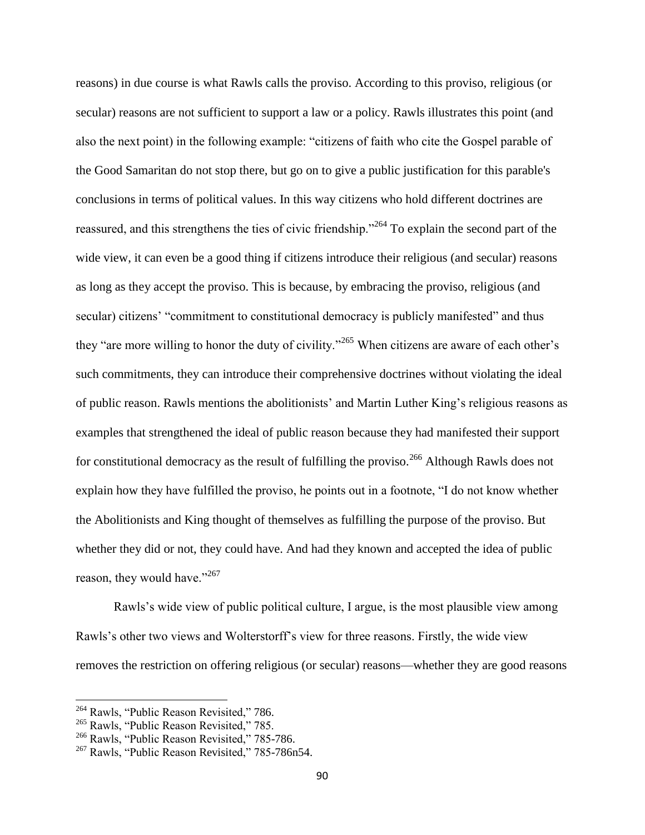reasons) in due course is what Rawls calls the proviso. According to this proviso, religious (or secular) reasons are not sufficient to support a law or a policy. Rawls illustrates this point (and also the next point) in the following example: "citizens of faith who cite the Gospel parable of the Good Samaritan do not stop there, but go on to give a public justification for this parable's conclusions in terms of political values. In this way citizens who hold different doctrines are reassured, and this strengthens the ties of civic friendship."<sup>264</sup> To explain the second part of the wide view, it can even be a good thing if citizens introduce their religious (and secular) reasons as long as they accept the proviso. This is because, by embracing the proviso, religious (and secular) citizens' "commitment to constitutional democracy is publicly manifested" and thus they "are more willing to honor the duty of civility."<sup>265</sup> When citizens are aware of each other's such commitments, they can introduce their comprehensive doctrines without violating the ideal of public reason. Rawls mentions the abolitionists' and Martin Luther King's religious reasons as examples that strengthened the ideal of public reason because they had manifested their support for constitutional democracy as the result of fulfilling the proviso.<sup>266</sup> Although Rawls does not explain how they have fulfilled the proviso, he points out in a footnote, "I do not know whether the Abolitionists and King thought of themselves as fulfilling the purpose of the proviso. But whether they did or not, they could have. And had they known and accepted the idea of public reason, they would have."<sup>267</sup>

Rawls's wide view of public political culture, I argue, is the most plausible view among Rawls's other two views and Wolterstorff's view for three reasons. Firstly, the wide view removes the restriction on offering religious (or secular) reasons—whether they are good reasons

l

<sup>&</sup>lt;sup>264</sup> Rawls, "Public Reason Revisited," 786.

<sup>&</sup>lt;sup>265</sup> Rawls, "Public Reason Revisited," 785.

<sup>&</sup>lt;sup>266</sup> Rawls, "Public Reason Revisited," 785-786.

<sup>&</sup>lt;sup>267</sup> Rawls, "Public Reason Revisited," 785-786n54.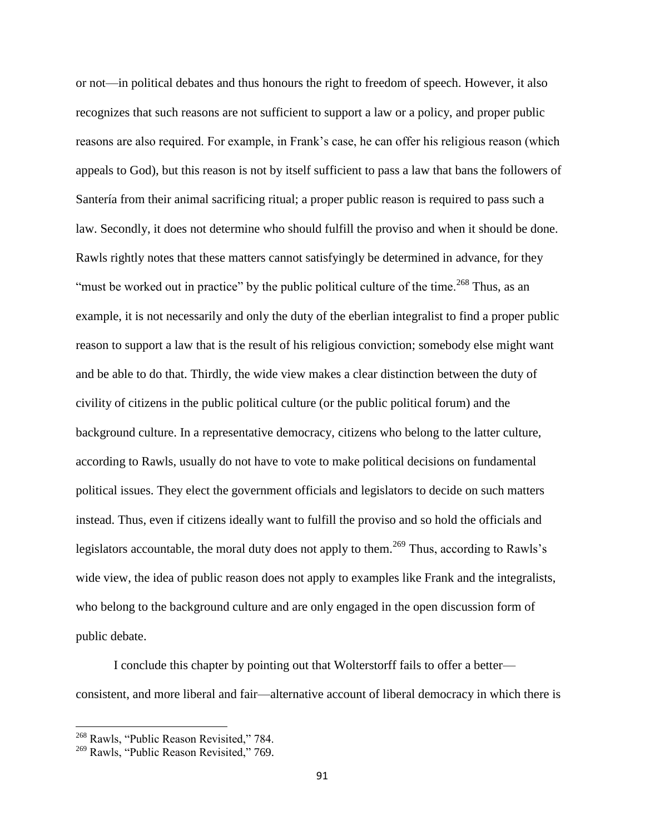or not—in political debates and thus honours the right to freedom of speech. However, it also recognizes that such reasons are not sufficient to support a law or a policy, and proper public reasons are also required. For example, in Frank's case, he can offer his religious reason (which appeals to God), but this reason is not by itself sufficient to pass a law that bans the followers of Santería from their animal sacrificing ritual; a proper public reason is required to pass such a law. Secondly, it does not determine who should fulfill the proviso and when it should be done. Rawls rightly notes that these matters cannot satisfyingly be determined in advance, for they "must be worked out in practice" by the public political culture of the time.<sup>268</sup> Thus, as an example, it is not necessarily and only the duty of the eberlian integralist to find a proper public reason to support a law that is the result of his religious conviction; somebody else might want and be able to do that. Thirdly, the wide view makes a clear distinction between the duty of civility of citizens in the public political culture (or the public political forum) and the background culture. In a representative democracy, citizens who belong to the latter culture, according to Rawls, usually do not have to vote to make political decisions on fundamental political issues. They elect the government officials and legislators to decide on such matters instead. Thus, even if citizens ideally want to fulfill the proviso and so hold the officials and legislators accountable, the moral duty does not apply to them.<sup>269</sup> Thus, according to Rawls's wide view, the idea of public reason does not apply to examples like Frank and the integralists, who belong to the background culture and are only engaged in the open discussion form of public debate.

I conclude this chapter by pointing out that Wolterstorff fails to offer a better consistent, and more liberal and fair—alternative account of liberal democracy in which there is

<sup>&</sup>lt;sup>268</sup> Rawls, "Public Reason Revisited," 784.

<sup>&</sup>lt;sup>269</sup> Rawls, "Public Reason Revisited," 769.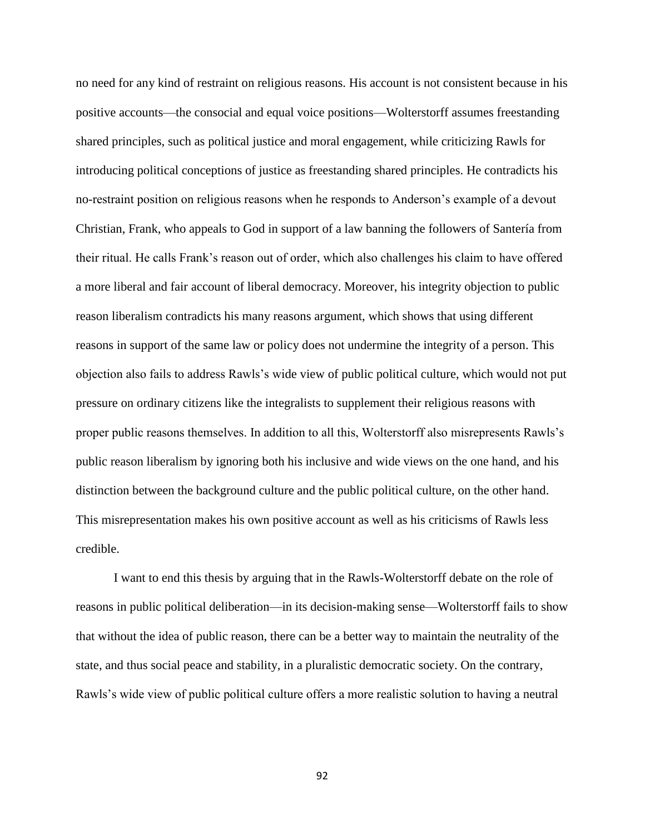no need for any kind of restraint on religious reasons. His account is not consistent because in his positive accounts—the consocial and equal voice positions—Wolterstorff assumes freestanding shared principles, such as political justice and moral engagement, while criticizing Rawls for introducing political conceptions of justice as freestanding shared principles. He contradicts his no-restraint position on religious reasons when he responds to Anderson's example of a devout Christian, Frank, who appeals to God in support of a law banning the followers of Santería from their ritual. He calls Frank's reason out of order, which also challenges his claim to have offered a more liberal and fair account of liberal democracy. Moreover, his integrity objection to public reason liberalism contradicts his many reasons argument, which shows that using different reasons in support of the same law or policy does not undermine the integrity of a person. This objection also fails to address Rawls's wide view of public political culture, which would not put pressure on ordinary citizens like the integralists to supplement their religious reasons with proper public reasons themselves. In addition to all this, Wolterstorff also misrepresents Rawls's public reason liberalism by ignoring both his inclusive and wide views on the one hand, and his distinction between the background culture and the public political culture, on the other hand. This misrepresentation makes his own positive account as well as his criticisms of Rawls less credible.

I want to end this thesis by arguing that in the Rawls-Wolterstorff debate on the role of reasons in public political deliberation—in its decision-making sense—Wolterstorff fails to show that without the idea of public reason, there can be a better way to maintain the neutrality of the state, and thus social peace and stability, in a pluralistic democratic society. On the contrary, Rawls's wide view of public political culture offers a more realistic solution to having a neutral

92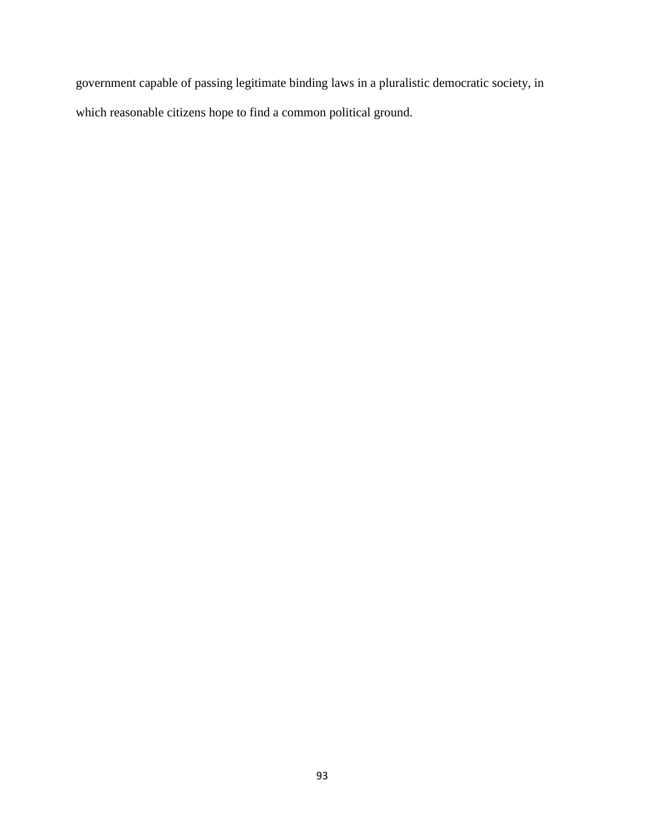government capable of passing legitimate binding laws in a pluralistic democratic society, in which reasonable citizens hope to find a common political ground.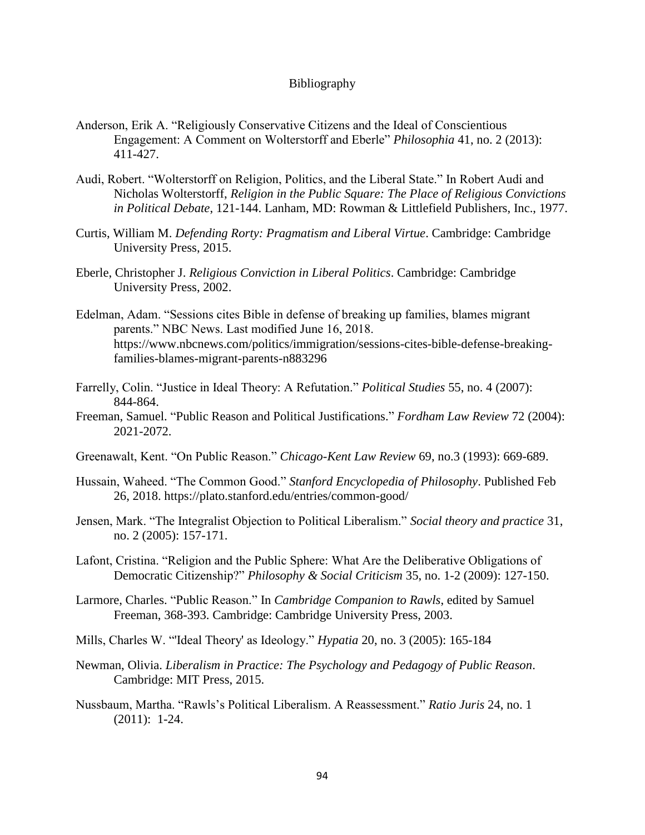#### Bibliography

- Anderson, Erik A. "Religiously Conservative Citizens and the Ideal of Conscientious Engagement: A Comment on Wolterstorff and Eberle" *Philosophia* 41, no. 2 (2013): 411-427.
- Audi, Robert. "Wolterstorff on Religion, Politics, and the Liberal State." In Robert Audi and Nicholas Wolterstorff, *Religion in the Public Square: The Place of Religious Convictions in Political Debate*, 121-144. Lanham, MD: Rowman & Littlefield Publishers, Inc., 1977.
- Curtis, William M. *Defending Rorty: Pragmatism and Liberal Virtue*. Cambridge: Cambridge University Press, 2015.
- Eberle, Christopher J. *Religious Conviction in Liberal Politics*. Cambridge: Cambridge University Press, 2002.
- Edelman, Adam. "Sessions cites Bible in defense of breaking up families, blames migrant parents." NBC News. Last modified June 16, 2018. https://www.nbcnews.com/politics/immigration/sessions-cites-bible-defense-breakingfamilies-blames-migrant-parents-n883296
- Farrelly, Colin. "Justice in Ideal Theory: A Refutation." *Political Studies* 55, no. 4 (2007): 844-864.
- Freeman, Samuel. "Public Reason and Political Justifications." *Fordham Law Review* 72 (2004): 2021-2072.
- Greenawalt, Kent. "On Public Reason." *Chicago-Kent Law Review* 69, no.3 (1993): 669-689.
- Hussain, Waheed. "The Common Good." *Stanford Encyclopedia of Philosophy*. Published Feb 26, 2018. https://plato.stanford.edu/entries/common-good/
- Jensen, Mark. "The Integralist Objection to Political Liberalism." *Social theory and practice* 31, no. 2 (2005): 157-171.
- Lafont, Cristina. "Religion and the Public Sphere: What Are the Deliberative Obligations of Democratic Citizenship?" *Philosophy & Social Criticism* 35, no. 1-2 (2009): 127-150.
- Larmore, Charles. "Public Reason." In *Cambridge Companion to Rawls*, edited by Samuel Freeman, 368-393. Cambridge: Cambridge University Press, 2003.
- Mills, Charles W. "'Ideal Theory' as Ideology." *Hypatia* 20, no. 3 (2005): 165-184
- Newman, Olivia. *Liberalism in Practice: The Psychology and Pedagogy of Public Reason*. Cambridge: MIT Press, 2015.
- Nussbaum, Martha. "Rawls's Political Liberalism. A Reassessment." *Ratio Juris* 24, no. 1 (2011): 1-24.